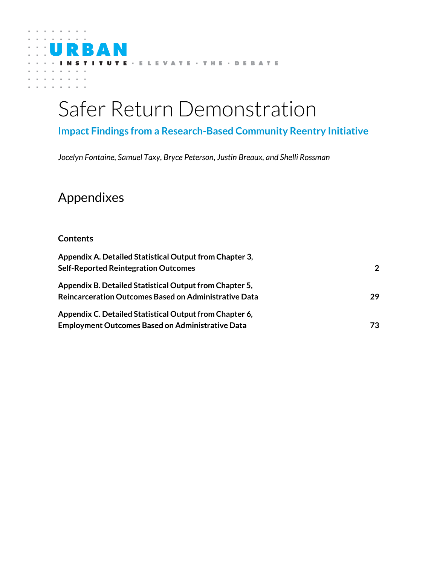

TUTE - ELEVATE - THE - DEBATE

# **Impact Findings from a Research-Based Community Reentry Initiative**

*Jocelyn Fontaine, Samuel Taxy, Bryce Peterson, Justin Breaux, and Shelli Rossman*

# Appendixes

R 7

M

# **Contents**

U

| Appendix A. Detailed Statistical Output from Chapter 3, |              |
|---------------------------------------------------------|--------------|
| <b>Self-Reported Reintegration Outcomes</b>             | $\mathbf{2}$ |
| Appendix B. Detailed Statistical Output from Chapter 5, |              |
| Reincarceration Outcomes Based on Administrative Data   | 29           |
| Appendix C. Detailed Statistical Output from Chapter 6, |              |
| <b>Employment Outcomes Based on Administrative Data</b> | 73.          |
|                                                         |              |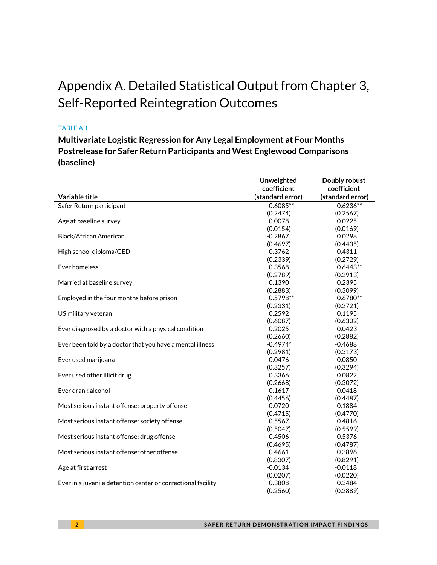# <span id="page-1-0"></span>Appendix A. Detailed Statistical Output from Chapter 3, Self-Reported Reintegration Outcomes

### TABLE A.1

**Multivariate Logistic Regression for Any Legal Employment at Four Months Postrelease for Safer Return Participants and West Englewood Comparisons (baseline)**

|                                                              | Unweighted       | Doubly robust    |
|--------------------------------------------------------------|------------------|------------------|
|                                                              | coefficient      | coefficient      |
| Variable title                                               | (standard error) | (standard error) |
| Safer Return participant                                     | $0.6085**$       | $0.6236**$       |
|                                                              | (0.2474)         | (0.2567)         |
| Age at baseline survey                                       | 0.0078           | 0.0225           |
|                                                              | (0.0154)         | (0.0169)         |
| <b>Black/African American</b>                                | $-0.2867$        | 0.0298           |
|                                                              | (0.4697)         | (0.4435)         |
| High school diploma/GED                                      | 0.3762           | 0.4311           |
|                                                              | (0.2339)         | (0.2729)         |
| Ever homeless                                                | 0.3568           | $0.6443**$       |
|                                                              | (0.2789)         | (0.2913)         |
| Married at baseline survey                                   | 0.1390           | 0.2395           |
|                                                              | (0.2883)         | (0.3099)         |
| Employed in the four months before prison                    | $0.5798**$       | $0.6780**$       |
|                                                              | (0.2331)         | (0.2721)         |
| US military veteran                                          | 0.2592           | 0.1195           |
|                                                              | (0.6087)         | (0.6302)         |
| Ever diagnosed by a doctor with a physical condition         | 0.2025           | 0.0423           |
|                                                              | (0.2660)         | (0.2882)         |
| Ever been told by a doctor that you have a mental illness    | $-0.4974*$       | $-0.4688$        |
|                                                              | (0.2981)         | (0.3173)         |
| Ever used marijuana                                          | $-0.0476$        | 0.0850           |
|                                                              | (0.3257)         | (0.3294)         |
| Ever used other illicit drug                                 | 0.3366           | 0.0822           |
|                                                              | (0.2668)         | (0.3072)         |
| Ever drank alcohol                                           | 0.1617           | 0.0418           |
|                                                              | (0.4456)         | (0.4487)         |
| Most serious instant offense: property offense               | $-0.0720$        | $-0.1884$        |
|                                                              | (0.4715)         | (0.4770)         |
| Most serious instant offense: society offense                | 0.5567           | 0.4816           |
|                                                              | (0.5047)         | (0.5599)         |
| Most serious instant offense: drug offense                   | $-0.4506$        | $-0.5376$        |
|                                                              | (0.4695)         | (0.4787)         |
| Most serious instant offense: other offense                  | 0.4661           | 0.3896           |
|                                                              | (0.8307)         | (0.8291)         |
| Age at first arrest                                          | $-0.0134$        | $-0.0118$        |
|                                                              | (0.0207)         | (0.0220)         |
| Ever in a juvenile detention center or correctional facility | 0.3808           | 0.3484           |
|                                                              | (0.2560)         | (0.2889)         |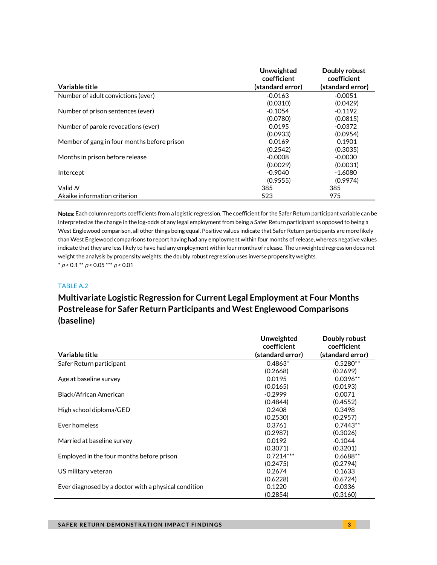|                                             | Unweighted<br>coefficient | Doubly robust<br>coefficient |
|---------------------------------------------|---------------------------|------------------------------|
| Variable title                              | (standard error)          | (standard error)             |
| Number of adult convictions (ever)          | $-0.0163$                 | $-0.0051$                    |
|                                             | (0.0310)                  | (0.0429)                     |
| Number of prison sentences (ever)           | $-0.1054$                 | $-0.1192$                    |
|                                             | (0.0780)                  | (0.0815)                     |
| Number of parole revocations (ever)         | 0.0195                    | $-0.0372$                    |
|                                             | (0.0933)                  | (0.0954)                     |
| Member of gang in four months before prison | 0.0169                    | 0.1901                       |
|                                             | (0.2542)                  | (0.3035)                     |
| Months in prison before release             | $-0.0008$                 | $-0.0030$                    |
|                                             | (0.0029)                  | (0.0031)                     |
| Intercept                                   | $-0.9040$                 | $-1.6080$                    |
|                                             | (0.9555)                  | (0.9974)                     |
| Valid N                                     | 385                       | 385                          |
| Akaike information criterion                | 523                       | 975                          |

Notes: Each column reports coefficients from a logistic regression. The coefficient for the Safer Return participant variable can be interpreted as the change in the log-odds of any legal employment from being a Safer Return participant as opposed to being a West Englewood comparison, all other things being equal. Positive values indicate that Safer Return participants are more likely than West Englewood comparisons to report having had any employment within four months of release, whereas negative values indicate that they are less likely to have had any employment within four months of release. The unweighted regression does not weight the analysis by propensity weights; the doubly robust regression uses inverse propensity weights.  $* p < 0.1 ** p < 0.05*** p < 0.01$ 

### TABLE A.2

# **Multivariate Logistic Regression for Current Legal Employment at Four Months Postrelease for Safer Return Participants and West Englewood Comparisons (baseline)**

|                                                      | Unweighted       | Doubly robust    |
|------------------------------------------------------|------------------|------------------|
|                                                      | coefficient      | coefficient      |
| Variable title                                       | (standard error) | (standard error) |
| Safer Return participant                             | $0.4863*$        | $0.5280**$       |
|                                                      | (0.2668)         | (0.2699)         |
| Age at baseline survey                               | 0.0195           | $0.0396**$       |
|                                                      | (0.0165)         | (0.0193)         |
| Black/African American                               | $-0.2999$        | 0.0071           |
|                                                      | (0.4844)         | (0.4552)         |
| High school diploma/GED                              | 0.2408           | 0.3498           |
|                                                      | (0.2530)         | (0.2957)         |
| Ever homeless                                        | 0.3761           | $0.7443**$       |
|                                                      | (0.2987)         | (0.3026)         |
| Married at baseline survey                           | 0.0192           | $-0.1044$        |
|                                                      | (0.3071)         | (0.3201)         |
| Employed in the four months before prison            | $0.7214***$      | $0.6688**$       |
|                                                      | (0.2475)         | (0.2794)         |
| US military veteran                                  | 0.2674           | 0.1633           |
|                                                      | (0.6228)         | (0.6724)         |
| Ever diagnosed by a doctor with a physical condition | 0.1220           | $-0.0336$        |
|                                                      | (0.2854)         | (0.3160)         |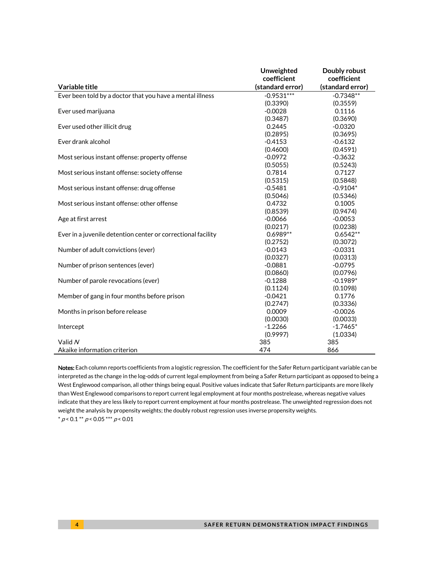|                                                              | Unweighted       | Doubly robust    |
|--------------------------------------------------------------|------------------|------------------|
|                                                              | coefficient      | coefficient      |
| Variable title                                               | (standard error) | (standard error) |
| Ever been told by a doctor that you have a mental illness    | $-0.9531***$     | $-0.7348**$      |
|                                                              | (0.3390)         | (0.3559)         |
| Ever used marijuana                                          | $-0.0028$        | 0.1116           |
|                                                              | (0.3487)         | (0.3690)         |
| Ever used other illicit drug                                 | 0.2445           | $-0.0320$        |
|                                                              | (0.2895)         | (0.3695)         |
| Ever drank alcohol                                           | $-0.4153$        | $-0.6132$        |
|                                                              | (0.4600)         | (0.4591)         |
| Most serious instant offense: property offense               | $-0.0972$        | $-0.3632$        |
|                                                              | (0.5055)         | (0.5243)         |
| Most serious instant offense: society offense                | 0.7814           | 0.7127           |
|                                                              | (0.5315)         | (0.5848)         |
| Most serious instant offense: drug offense                   | $-0.5481$        | $-0.9104*$       |
|                                                              | (0.5046)         | (0.5346)         |
| Most serious instant offense: other offense                  | 0.4732           | 0.1005           |
|                                                              | (0.8539)         | (0.9474)         |
| Age at first arrest                                          | $-0.0066$        | $-0.0053$        |
|                                                              | (0.0217)         | (0.0238)         |
| Ever in a juvenile detention center or correctional facility | $0.6989**$       | $0.6542**$       |
|                                                              | (0.2752)         | (0.3072)         |
| Number of adult convictions (ever)                           | $-0.0143$        | $-0.0331$        |
|                                                              | (0.0327)         | (0.0313)         |
| Number of prison sentences (ever)                            | $-0.0881$        | $-0.0795$        |
|                                                              | (0.0860)         | (0.0796)         |
| Number of parole revocations (ever)                          | $-0.1288$        | $-0.1989*$       |
|                                                              | (0.1124)         | (0.1098)         |
| Member of gang in four months before prison                  | $-0.0421$        | 0.1776           |
|                                                              | (0.2747)         | (0.3336)         |
| Months in prison before release                              | 0.0009           | $-0.0026$        |
|                                                              | (0.0030)         | (0.0033)         |
| Intercept                                                    | $-1.2266$        | $-1.7465*$       |
|                                                              | (0.9997)         | (1.0334)         |
| Valid N                                                      | 385              | 385              |
| Akaike information criterion                                 | 474              | 866              |

Notes: Each column reports coefficients from a logistic regression. The coefficient for the Safer Return participant variable can be interpreted as the change in the log-odds of current legal employment from being a Safer Return participant as opposed to being a West Englewood comparison, all other things being equal. Positive values indicate that Safer Return participants are more likely than West Englewood comparisons to report current legal employment at four months postrelease, whereas negative values indicate that they are less likely to report current employment at four months postrelease. The unweighted regression does not weight the analysis by propensity weights; the doubly robust regression uses inverse propensity weights.  $^{*}$   $\rho$  < 0.1  $^{**}$   $\rho$  < 0.05  $^{***}$   $\rho$  < 0.01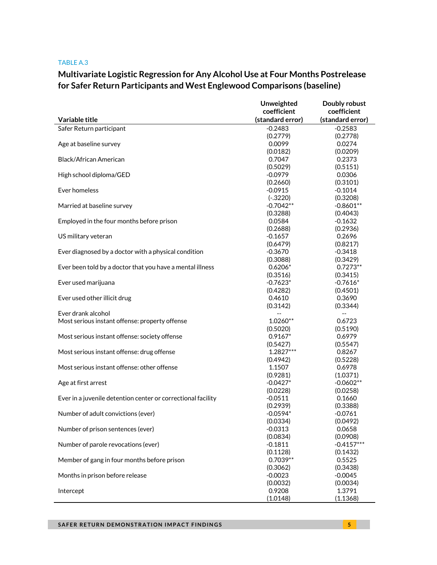#### TABLE A.3

# **Multivariate Logistic Regression for Any Alcohol Use at Four Months Postrelease for Safer Return Participants and West Englewood Comparisons (baseline)**

|                                                              | Unweighted               | Doubly robust            |
|--------------------------------------------------------------|--------------------------|--------------------------|
|                                                              | coefficient              | coefficient              |
| Variable title                                               | (standard error)         | (standard error)         |
| Safer Return participant                                     | $-0.2483$                | $-0.2583$                |
|                                                              | (0.2779)                 | (0.2778)                 |
| Age at baseline survey                                       | 0.0099                   | 0.0274                   |
|                                                              | (0.0182)                 | (0.0209)                 |
| Black/African American                                       | 0.7047                   | 0.2373                   |
|                                                              | (0.5029)                 | (0.5151)                 |
| High school diploma/GED                                      | $-0.0979$                | 0.0306                   |
|                                                              | (0.2660)                 | (0.3101)                 |
| Ever homeless                                                | $-0.0915$                | $-0.1014$                |
|                                                              | $(-.3220)$               | (0.3208)                 |
| Married at baseline survey                                   | $-0.7042**$              | $-0.8601**$              |
|                                                              | (0.3288)                 | (0.4043)                 |
| Employed in the four months before prison                    | 0.0584                   | $-0.1632$                |
|                                                              | (0.2688)                 | (0.2936)                 |
| US military veteran                                          | $-0.1657$                | 0.2696                   |
|                                                              | (0.6479)                 | (0.8217)                 |
| Ever diagnosed by a doctor with a physical condition         | $-0.3670$                | $-0.3418$                |
|                                                              | (0.3088)                 | (0.3429)                 |
| Ever been told by a doctor that you have a mental illness    | $0.6206*$                | $0.7273**$               |
|                                                              | (0.3516)                 | (0.3415)                 |
| Ever used marijuana                                          | $-0.7623*$               | $-0.7616*$               |
|                                                              | (0.4282)                 | (0.4501)                 |
| Ever used other illicit drug                                 | 0.4610                   | 0.3690                   |
|                                                              | (0.3142)                 | (0.3344)                 |
| Ever drank alcohol                                           | $\overline{\phantom{a}}$ | $\overline{\phantom{a}}$ |
| Most serious instant offense: property offense               | $1.0260**$               | 0.6723                   |
|                                                              | (0.5020)                 | (0.5190)                 |
| Most serious instant offense: society offense                | $0.9167*$                | 0.6979                   |
|                                                              | (0.5427)                 | (0.5547)                 |
| Most serious instant offense: drug offense                   | 1.2827***                | 0.8267                   |
|                                                              | (0.4942)                 | (0.5228)                 |
| Most serious instant offense: other offense                  | 1.1507                   | 0.6978                   |
|                                                              | (0.9281)                 | (1.0371)                 |
| Age at first arrest                                          | $-0.0427*$               | $-0.0602**$              |
|                                                              | (0.0228)<br>$-0.0511$    | (0.0258)<br>0.1660       |
| Ever in a juvenile detention center or correctional facility | (0.2939)                 | (0.3388)                 |
| Number of adult convictions (ever)                           | $-0.0594*$               | $-0.0761$                |
|                                                              | (0.0334)                 | (0.0492)                 |
| Number of prison sentences (ever)                            | $-0.0313$                | 0.0658                   |
|                                                              | (0.0834)                 | (0.0908)                 |
| Number of parole revocations (ever)                          | $-0.1811$                | $-0.4157***$             |
|                                                              | (0.1128)                 | (0.1432)                 |
| Member of gang in four months before prison                  | $0.7039**$               | 0.5525                   |
|                                                              | (0.3062)                 | (0.3438)                 |
| Months in prison before release                              | $-0.0023$                | $-0.0045$                |
|                                                              | (0.0032)                 | (0.0034)                 |
| Intercept                                                    | 0.9208                   | 1.3791                   |
|                                                              | (1.0148)                 | (1.1368)                 |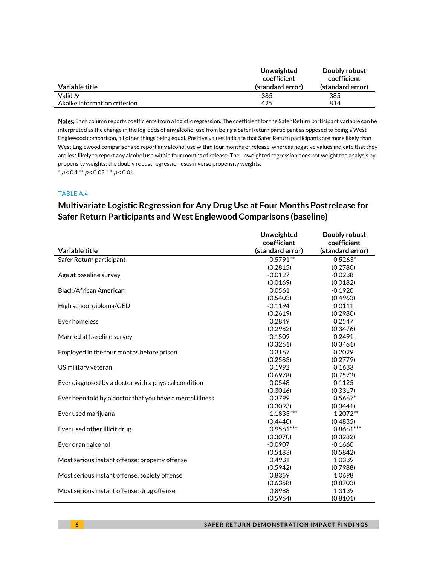|                              | Unweighted<br>coefficient | Doubly robust<br>coefficient |
|------------------------------|---------------------------|------------------------------|
| Variable title               | (standard error)          | (standard error)             |
| Valid N                      | 385                       | 385                          |
| Akaike information criterion | 425                       | 814                          |

Notes: Each column reports coefficients from a logistic regression. The coefficient for the Safer Return participant variable can be interpreted as the change in the log-odds of any alcohol use from being a Safer Return participant as opposed to being a West Englewood comparison, all other things being equal. Positive values indicate that Safer Return participants are more likely than West Englewood comparisons to report any alcohol use within four months of release, whereas negative values indicate that they are less likely to report any alcohol use within four months of release. The unweighted regression does not weight the analysis by propensity weights; the doubly robust regression uses inverse propensity weights.  $* p < 0.1 ** p < 0.05 ** p < 0.01$ 

### TABLE A.4

# **Multivariate Logistic Regression for Any Drug Use at Four Months Postrelease for Safer Return Participants and West Englewood Comparisons (baseline)**

|                                                           | Unweighted       | Doubly robust    |
|-----------------------------------------------------------|------------------|------------------|
|                                                           | coefficient      | coefficient      |
| Variable title                                            | (standard error) | (standard error) |
| Safer Return participant                                  | $-0.5791**$      | $-0.5263*$       |
|                                                           | (0.2815)         | (0.2780)         |
| Age at baseline survey                                    | $-0.0127$        | $-0.0238$        |
|                                                           | (0.0169)         | (0.0182)         |
| Black/African American                                    | 0.0561           | $-0.1920$        |
|                                                           | (0.5403)         | (0.4963)         |
| High school diploma/GED                                   | $-0.1194$        | 0.0111           |
|                                                           | (0.2619)         | (0.2980)         |
| Ever homeless                                             | 0.2849           | 0.2547           |
|                                                           | (0.2982)         | (0.3476)         |
| Married at baseline survey                                | $-0.1509$        | 0.2491           |
|                                                           | (0.3261)         | (0.3461)         |
| Employed in the four months before prison                 | 0.3167           | 0.2029           |
|                                                           | (0.2583)         | (0.2779)         |
| US military veteran                                       | 0.1992           | 0.1633           |
|                                                           | (0.6978)         | (0.7572)         |
| Ever diagnosed by a doctor with a physical condition      | $-0.0548$        | $-0.1125$        |
|                                                           | (0.3016)         | (0.3317)         |
| Ever been told by a doctor that you have a mental illness | 0.3799           | $0.5667*$        |
|                                                           | (0.3093)         | (0.3441)         |
| Ever used marijuana                                       | $1.1833***$      | 1.2072**         |
|                                                           | (0.4440)         | (0.4835)         |
| Ever used other illicit drug                              | $0.9561***$      | $0.8661***$      |
|                                                           | (0.3070)         | (0.3282)         |
| Ever drank alcohol                                        | $-0.0907$        | $-0.1660$        |
|                                                           | (0.5183)         | (0.5842)         |
| Most serious instant offense: property offense            | 0.4931           | 1.0339           |
|                                                           | (0.5942)         | (0.7988)         |
| Most serious instant offense: society offense             | 0.8359           | 1.0698           |
|                                                           | (0.6358)         | (0.8703)         |
| Most serious instant offense: drug offense                | 0.8988           | 1.3139           |
|                                                           | (0.5964)         | (0.8101)         |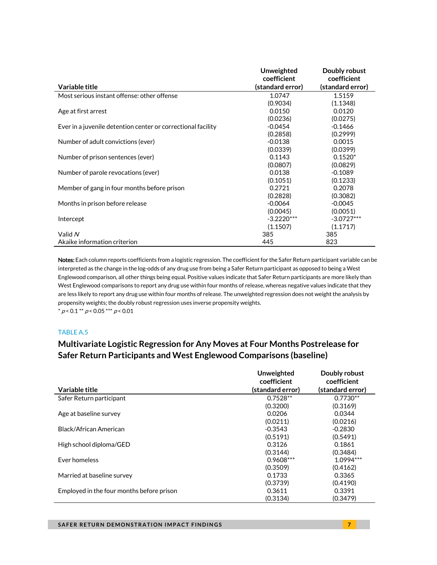|                                                              | Unweighted       | Doubly robust    |
|--------------------------------------------------------------|------------------|------------------|
|                                                              | coefficient      | coefficient      |
| Variable title                                               | (standard error) | (standard error) |
| Most serious instant offense: other offense                  | 1.0747           | 1.5159           |
|                                                              | (0.9034)         | (1.1348)         |
| Age at first arrest                                          | 0.0150           | 0.0120           |
|                                                              | (0.0236)         | (0.0275)         |
| Ever in a juvenile detention center or correctional facility | $-0.0454$        | $-0.1466$        |
|                                                              | (0.2858)         | (0.2999)         |
| Number of adult convictions (ever)                           | $-0.0138$        | 0.0015           |
|                                                              | (0.0339)         | (0.0399)         |
| Number of prison sentences (ever)                            | 0.1143           | $0.1520*$        |
|                                                              | (0.0807)         | (0.0829)         |
| Number of parole revocations (ever)                          | 0.0138           | $-0.1089$        |
|                                                              | (0.1051)         | (0.1233)         |
| Member of gang in four months before prison                  | 0.2721           | 0.2078           |
|                                                              | (0.2828)         | (0.3082)         |
| Months in prison before release                              | $-0.0064$        | $-0.0045$        |
|                                                              | (0.0045)         | (0.0051)         |
| Intercept                                                    | $-3.2220***$     | $-3.0727***$     |
|                                                              | (1.1507)         | (1.1717)         |
| Valid N                                                      | 385              | 385              |
| Akaike information criterion                                 | 445              | 823              |

Notes: Each column reports coefficients from a logistic regression. The coefficient for the Safer Return participant variable can be interpreted as the change in the log-odds of any drug use from being a Safer Return participant as opposed to being a West Englewood comparison, all other things being equal. Positive values indicate that Safer Return participants are more likely than West Englewood comparisons to report any drug use within four months of release, whereas negative values indicate that they are less likely to report any drug use within four months of release. The unweighted regression does not weight the analysis by propensity weights; the doubly robust regression uses inverse propensity weights.  $*$  p < 0.1  $*$  p < 0.05  $*$   $*$  p < 0.01

TABLE A.5

### **Multivariate Logistic Regression for Any Moves at Four Months Postrelease for Safer Return Participants and West Englewood Comparisons (baseline)**

|                                           | Unweighted       | Doubly robust    |
|-------------------------------------------|------------------|------------------|
|                                           | coefficient      | coefficient      |
| Variable title                            | (standard error) | (standard error) |
| Safer Return participant                  | $0.7528**$       | $0.7730**$       |
|                                           | (0.3200)         | (0.3169)         |
| Age at baseline survey                    | 0.0206           | 0.0344           |
|                                           | (0.0211)         | (0.0216)         |
| Black/African American                    | $-0.3543$        | $-0.2830$        |
|                                           | (0.5191)         | (0.5491)         |
| High school diploma/GED                   | 0.3126           | 0.1861           |
|                                           | (0.3144)         | (0.3484)         |
| Ever homeless                             | $0.9608***$      | $1.0994***$      |
|                                           | (0.3509)         | (0.4162)         |
| Married at baseline survey                | 0.1733           | 0.3365           |
|                                           | (0.3739)         | (0.4190)         |
| Employed in the four months before prison | 0.3611           | 0.3391           |
|                                           | (0.3134)         | (0.3479)         |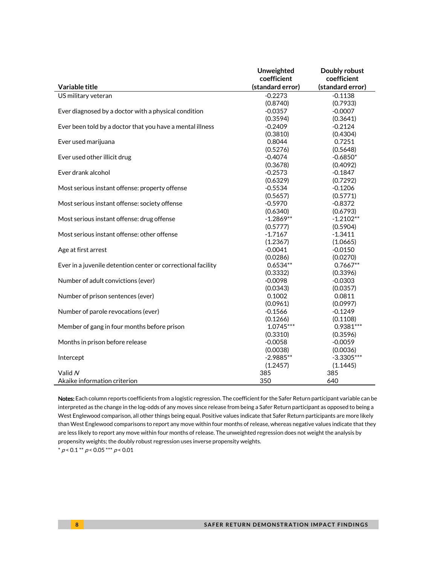|                                                              | Unweighted       | Doubly robust    |
|--------------------------------------------------------------|------------------|------------------|
|                                                              | coefficient      | coefficient      |
| Variable title                                               | (standard error) | (standard error) |
| US military veteran                                          | $-0.2273$        | $-0.1138$        |
|                                                              | (0.8740)         | (0.7933)         |
| Ever diagnosed by a doctor with a physical condition         | $-0.0357$        | $-0.0007$        |
|                                                              | (0.3594)         | (0.3641)         |
| Ever been told by a doctor that you have a mental illness    | $-0.2409$        | $-0.2124$        |
|                                                              | (0.3810)         | (0.4304)         |
| Ever used marijuana                                          | 0.8044           | 0.7251           |
|                                                              | (0.5276)         | (0.5648)         |
| Ever used other illicit drug                                 | $-0.4074$        | $-0.6850*$       |
|                                                              | (0.3678)         | (0.4092)         |
| Ever drank alcohol                                           | $-0.2573$        | $-0.1847$        |
|                                                              | (0.6329)         | (0.7292)         |
| Most serious instant offense: property offense               | $-0.5534$        | $-0.1206$        |
|                                                              | (0.5657)         | (0.5771)         |
| Most serious instant offense: society offense                | $-0.5970$        | $-0.8372$        |
|                                                              | (0.6340)         | (0.6793)         |
| Most serious instant offense: drug offense                   | $-1.2869**$      | $-1.2102**$      |
|                                                              | (0.5777)         | (0.5904)         |
| Most serious instant offense: other offense                  | $-1.7167$        | $-1.3411$        |
|                                                              | (1.2367)         | (1.0665)         |
| Age at first arrest                                          | $-0.0041$        | $-0.0150$        |
|                                                              | (0.0286)         | (0.0270)         |
| Ever in a juvenile detention center or correctional facility | $0.6534**$       | $0.7667**$       |
|                                                              | (0.3332)         | (0.3396)         |
| Number of adult convictions (ever)                           | $-0.0098$        | $-0.0303$        |
|                                                              | (0.0343)         | (0.0357)         |
| Number of prison sentences (ever)                            | 0.1002           | 0.0811           |
|                                                              | (0.0961)         | (0.0997)         |
| Number of parole revocations (ever)                          | $-0.1566$        | $-0.1249$        |
|                                                              | (0.1266)         | (0.1108)         |
| Member of gang in four months before prison                  | $1.0745***$      | $0.9381***$      |
|                                                              | (0.3310)         | (0.3596)         |
| Months in prison before release                              | $-0.0058$        | $-0.0059$        |
|                                                              | (0.0038)         | (0.0036)         |
| Intercept                                                    | $-2.9885**$      | $-3.3305***$     |
|                                                              | (1.2457)         | (1.1445)         |
| Valid N                                                      | 385              | 385              |
| Akaike information criterion                                 | 350              | 640              |

Notes: Each column reports coefficients from a logistic regression. The coefficient for the Safer Return participant variable can be interpreted as the change in the log-odds of any moves since release from being a Safer Return participant as opposed to being a West Englewood comparison, all other things being equal. Positive values indicate that Safer Return participants are more likely than West Englewood comparisons to report any move within four months of release, whereas negative values indicate that they are less likely to report any move within four months of release. The unweighted regression does not weight the analysis by propensity weights; the doubly robust regression uses inverse propensity weights.

 $* p < 0.1** p < 0.05*** p < 0.01*$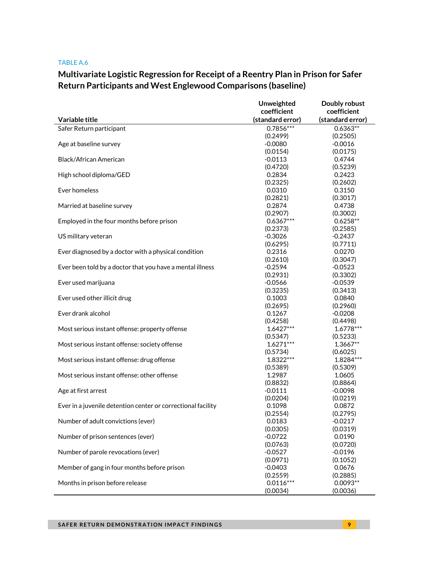#### TABLE A.6

# **Multivariate Logistic Regression for Receipt of a Reentry Plan in Prison for Safer Return Participants and West Englewood Comparisons (baseline)**

|                                                              | Unweighted         | Doubly robust         |
|--------------------------------------------------------------|--------------------|-----------------------|
|                                                              | coefficient        | coefficient           |
| Variable title                                               | (standard error)   | (standard error)      |
| Safer Return participant                                     | $0.7856***$        | $0.6363**$            |
|                                                              | (0.2499)           | (0.2505)              |
| Age at baseline survey                                       | $-0.0080$          | $-0.0016$             |
|                                                              | (0.0154)           | (0.0175)              |
| Black/African American                                       | $-0.0113$          | 0.4744                |
|                                                              | (0.4720)           | (0.5239)              |
| High school diploma/GED                                      | 0.2834             | 0.2423                |
|                                                              | (0.2325)           | (0.2602)              |
| Ever homeless                                                | 0.0310             | 0.3150                |
|                                                              | (0.2821)           | (0.3017)              |
| Married at baseline survey                                   | 0.2874             | 0.4738                |
|                                                              | (0.2907)           | (0.3002)              |
| Employed in the four months before prison                    | $0.6367***$        | $0.6258**$            |
|                                                              | (0.2373)           | (0.2585)              |
| US military veteran                                          | $-0.3026$          | $-0.2437$             |
|                                                              | (0.6295)           | (0.7711)              |
| Ever diagnosed by a doctor with a physical condition         | 0.2316             | 0.0270                |
|                                                              | (0.2610)           | (0.3047)              |
| Ever been told by a doctor that you have a mental illness    | $-0.2594$          | $-0.0523$             |
|                                                              | (0.2931)           | (0.3302)              |
| Ever used marijuana                                          | $-0.0566$          | $-0.0539$             |
|                                                              | (0.3235)           | (0.3413)              |
| Ever used other illicit drug                                 | 0.1003             | 0.0840                |
|                                                              | (0.2695)           | (0.2960)              |
| Ever drank alcohol                                           | 0.1267             | $-0.0208$             |
|                                                              | (0.4258)           | (0.4498)              |
| Most serious instant offense: property offense               | $1.6427***$        | $1.6778***$           |
|                                                              | (0.5347)           | (0.5233)              |
| Most serious instant offense: society offense                | $1.6271***$        | 1.3667**              |
|                                                              | (0.5734)           | (0.6025)              |
| Most serious instant offense: drug offense                   | 1.8322***          | 1.8284 ***            |
|                                                              | (0.5389)           | (0.5309)              |
| Most serious instant offense: other offense                  | 1.2987<br>(0.8832) | 1.0605                |
|                                                              | $-0.0111$          | (0.8864)<br>$-0.0098$ |
| Age at first arrest                                          | (0.0204)           | (0.0219)              |
| Ever in a juvenile detention center or correctional facility | 0.1098             | 0.0872                |
|                                                              | (0.2554)           | (0.2795)              |
| Number of adult convictions (ever)                           | 0.0183             | $-0.0217$             |
|                                                              | (0.0305)           | (0.0319)              |
| Number of prison sentences (ever)                            | $-0.0722$          | 0.0190                |
|                                                              | (0.0763)           | (0.0720)              |
| Number of parole revocations (ever)                          | $-0.0527$          | $-0.0196$             |
|                                                              | (0.0971)           | (0.1052)              |
| Member of gang in four months before prison                  | $-0.0403$          | 0.0676                |
|                                                              | (0.2559)           | (0.2885)              |
| Months in prison before release                              | $0.0116***$        | $0.0093**$            |
|                                                              | (0.0034)           | (0.0036)              |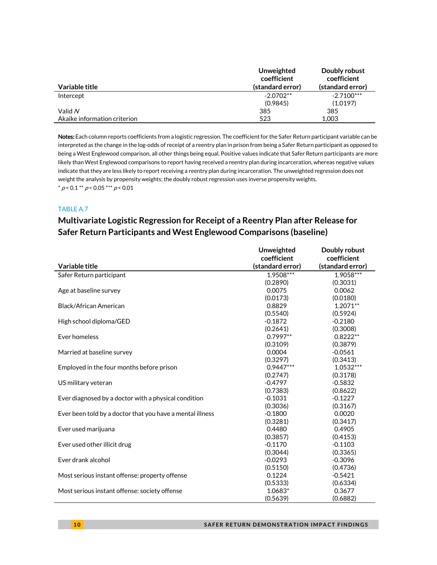| Variable title               | Unweighted<br>coefficient<br>(standard error) | Doubly robust<br>coefficient<br>(standard error) |
|------------------------------|-----------------------------------------------|--------------------------------------------------|
| Intercept                    | $-2.0702**$                                   | $-2.7100***$                                     |
|                              | (0.9845)                                      | (1.0197)                                         |
| Valid N                      | 385                                           | 385                                              |
| Akaike information criterion | 523                                           | 1.003                                            |

Notes: Each column reports coefficients from a logistic regression. The coefficient for the Safer Return participant variable can be interpreted as the change in the log-odds of receipt of a reentry plan in prison from being a Safer Return participant as opposed to being a West Englewood comparison, all other things being equal. Positive values indicate that Safer Return participants are more likely than West Englewood comparisons to report having received a reentry plan during incarceration, whereas negative values indicate that they are less likely to report receiving a reentry plan during incarceration. The unweighted regression does not weight the analysis by propensity weights; the doubly robust regression uses inverse propensity weights.  $* p < 0.1 ** p < 0.05*** p < 0.01$ 

### TABLE A.7

# **Multivariate Logistic Regression for Receipt of a Reentry Plan after Release for Safer Return Participants and West Englewood Comparisons (baseline)**

|                                                           | Unweighted       | Doubly robust    |
|-----------------------------------------------------------|------------------|------------------|
|                                                           | coefficient      | coefficient      |
| Variable title                                            | (standard error) | (standard error) |
| Safer Return participant                                  | 1.9508***        | 1.9058***        |
|                                                           | (0.2890)         | (0.3031)         |
| Age at baseline survey                                    | 0.0075           | 0.0062           |
|                                                           | (0.0173)         | (0.0180)         |
| Black/African American                                    | 0.8829           | $1.2071**$       |
|                                                           | (0.5540)         | (0.5924)         |
| High school diploma/GED                                   | $-0.1872$        | $-0.2180$        |
|                                                           | (0.2641)         | (0.3008)         |
| Ever homeless                                             | $0.7997**$       | $0.8222**$       |
|                                                           | (0.3109)         | (0.3879)         |
| Married at baseline survey                                | 0.0004           | $-0.0561$        |
|                                                           | (0.3297)         | (0.3413)         |
| Employed in the four months before prison                 | $0.9447***$      | $1.0532***$      |
|                                                           | (0.2747)         | (0.3178)         |
| US military veteran                                       | $-0.4797$        | $-0.5832$        |
|                                                           | (0.7383)         | (0.8622)         |
| Ever diagnosed by a doctor with a physical condition      | $-0.1031$        | $-0.1227$        |
|                                                           | (0.3036)         | (0.3167)         |
| Ever been told by a doctor that you have a mental illness | $-0.1800$        | 0.0020           |
|                                                           | (0.3281)         | (0.3417)         |
| Ever used marijuana                                       | 0.4480           | 0.4905           |
|                                                           | (0.3857)         | (0.4153)         |
| Ever used other illicit drug                              | $-0.1170$        | $-0.1103$        |
|                                                           | (0.3044)         | (0.3365)         |
| Ever drank alcohol                                        | $-0.0293$        | $-0.3096$        |
|                                                           | (0.5150)         | (0.4736)         |
| Most serious instant offense: property offense            | 0.1224           | $-0.5421$        |
|                                                           | (0.5333)         | (0.6334)         |
| Most serious instant offense: society offense             | 1.0683*          | 0.3677           |
|                                                           | (0.5639)         | (0.6882)         |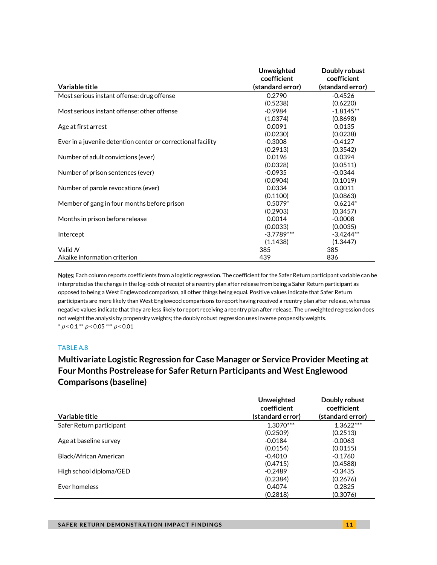|                                                              | <b>Unweighted</b> | Doubly robust    |
|--------------------------------------------------------------|-------------------|------------------|
|                                                              | coefficient       | coefficient      |
| Variable title                                               | (standard error)  | (standard error) |
| Most serious instant offense: drug offense                   | 0.2790            | $-0.4526$        |
|                                                              | (0.5238)          | (0.6220)         |
| Most serious instant offense: other offense                  | $-0.9984$         | $-1.8145**$      |
|                                                              | (1.0374)          | (0.8698)         |
| Age at first arrest                                          | 0.0091            | 0.0135           |
|                                                              | (0.0230)          | (0.0238)         |
| Ever in a juvenile detention center or correctional facility | $-0.3008$         | $-0.4127$        |
|                                                              | (0.2913)          | (0.3542)         |
| Number of adult convictions (ever)                           | 0.0196            | 0.0394           |
|                                                              | (0.0328)          | (0.0511)         |
| Number of prison sentences (ever)                            | $-0.0935$         | $-0.0344$        |
|                                                              | (0.0904)          | (0.1019)         |
| Number of parole revocations (ever)                          | 0.0334            | 0.0011           |
|                                                              | (0.1100)          | (0.0863)         |
| Member of gang in four months before prison                  | $0.5079*$         | $0.6214*$        |
|                                                              | (0.2903)          | (0.3457)         |
| Months in prison before release                              | 0.0014            | $-0.0008$        |
|                                                              | (0.0033)          | (0.0035)         |
| Intercept                                                    | $-3.7789***$      | $-3.4244**$      |
|                                                              | (1.1438)          | (1.3447)         |
| Valid N                                                      | 385               | 385              |
| Akaike information criterion                                 | 439               | 836              |

Notes: Each column reports coefficients from a logistic regression. The coefficient for the Safer Return participant variable can be interpreted as the change in the log-odds of receipt of a reentry plan after release from being a Safer Return participant as opposed to being a West Englewood comparison, all other things being equal. Positive values indicate that Safer Return participants are more likely than West Englewood comparisons to report having received a reentry plan after release, whereas negative values indicate that they are less likely to report receiving a reentry plan after release. The unweighted regression does not weight the analysis by propensity weights; the doubly robust regression uses inverse propensity weights.  $* p < 0.1 ** p < 0.05*** p < 0.01$ 

### TABLE A.8

# **Multivariate Logistic Regression for Case Manager or Service Provider Meeting at Four Months Postrelease for Safer Return Participants and West Englewood Comparisons (baseline)**

|                          | Unweighted<br>coefficient | Doubly robust<br>coefficient |
|--------------------------|---------------------------|------------------------------|
| Variable title           | (standard error)          | (standard error)             |
| Safer Return participant | $1.3070***$               | $1.3622***$                  |
|                          | (0.2509)                  | (0.2513)                     |
| Age at baseline survey   | $-0.0184$                 | $-0.0063$                    |
|                          | (0.0154)                  | (0.0155)                     |
| Black/African American   | $-0.4010$                 | $-0.1760$                    |
|                          | (0.4715)                  | (0.4588)                     |
| High school diploma/GED  | $-0.2489$                 | $-0.3435$                    |
|                          | (0.2384)                  | (0.2676)                     |
| Ever homeless            | 0.4074                    | 0.2825                       |
|                          | (0.2818)                  | (0.3076)                     |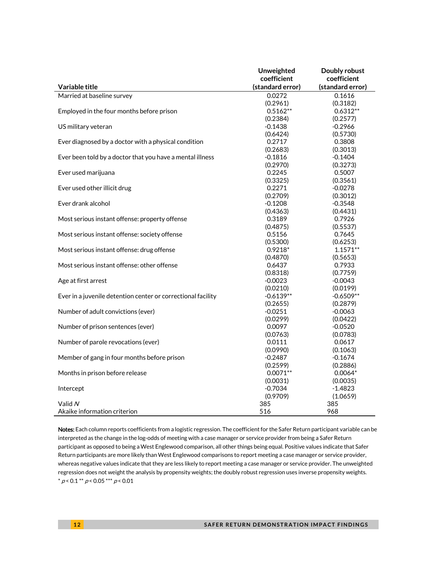|                                                              | Unweighted       | Doubly robust    |
|--------------------------------------------------------------|------------------|------------------|
|                                                              | coefficient      | coefficient      |
| Variable title                                               | (standard error) | (standard error) |
| Married at baseline survey                                   | 0.0272           | 0.1616           |
|                                                              | (0.2961)         | (0.3182)         |
| Employed in the four months before prison                    | $0.5162**$       | $0.6312**$       |
|                                                              | (0.2384)         | (0.2577)         |
| US military veteran                                          | $-0.1438$        | $-0.2966$        |
|                                                              | (0.6424)         | (0.5730)         |
| Ever diagnosed by a doctor with a physical condition         | 0.2717           | 0.3808           |
|                                                              | (0.2683)         | (0.3013)         |
| Ever been told by a doctor that you have a mental illness    | $-0.1816$        | $-0.1404$        |
|                                                              | (0.2970)         | (0.3273)         |
| Ever used marijuana                                          | 0.2245           | 0.5007           |
|                                                              | (0.3325)         | (0.3561)         |
| Ever used other illicit drug                                 | 0.2271           | $-0.0278$        |
|                                                              | (0.2709)         | (0.3012)         |
| Ever drank alcohol                                           | $-0.1208$        | $-0.3548$        |
|                                                              | (0.4363)         | (0.4431)         |
| Most serious instant offense: property offense               | 0.3189           | 0.7926           |
|                                                              | (0.4875)         | (0.5537)         |
| Most serious instant offense: society offense                | 0.5156           | 0.7645           |
|                                                              | (0.5300)         | (0.6253)         |
| Most serious instant offense: drug offense                   | $0.9218*$        | $1.1571**$       |
|                                                              | (0.4870)         | (0.5653)         |
| Most serious instant offense: other offense                  | 0.6437           | 0.7933           |
|                                                              | (0.8318)         | (0.7759)         |
| Age at first arrest                                          | $-0.0023$        | $-0.0043$        |
|                                                              | (0.0210)         | (0.0199)         |
| Ever in a juvenile detention center or correctional facility | $-0.6139**$      | $-0.6509**$      |
|                                                              | (0.2655)         | (0.2879)         |
| Number of adult convictions (ever)                           | $-0.0251$        | $-0.0063$        |
|                                                              | (0.0299)         | (0.0422)         |
| Number of prison sentences (ever)                            | 0.0097           | $-0.0520$        |
|                                                              | (0.0763)         | (0.0783)         |
| Number of parole revocations (ever)                          | 0.0111           | 0.0617           |
|                                                              | (0.0990)         | (0.1063)         |
| Member of gang in four months before prison                  | $-0.2487$        | $-0.1674$        |
|                                                              | (0.2599)         | (0.2886)         |
| Months in prison before release                              | $0.0071**$       | $0.0064*$        |
|                                                              | (0.0031)         | (0.0035)         |
| Intercept                                                    | $-0.7034$        | $-1.4823$        |
|                                                              | (0.9709)         | (1.0659)         |
| Valid N                                                      | 385              | 385              |
| Akaike information criterion                                 | 516              | 968              |

Notes: Each column reports coefficients from a logistic regression. The coefficient for the Safer Return participant variable can be interpreted as the change in the log-odds of meeting with a case manager or service provider from being a Safer Return participant as opposed to being a West Englewood comparison, all other things being equal. Positive values indicate that Safer Return participants are more likely than West Englewood comparisons to report meeting a case manager or service provider, whereas negative values indicate that they are less likely to report meeting a case manager or service provider. The unweighted regression does not weight the analysis by propensity weights; the doubly robust regression uses inverse propensity weights.  $^*$   $\rho$  < 0.1  $^{**}$   $\rho$  < 0.05  $^{***}$   $\rho$  < 0.01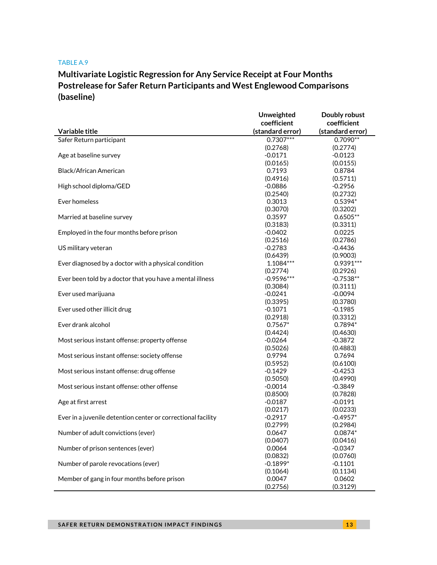#### TABLE A.9

# **Multivariate Logistic Regression for Any Service Receipt at Four Months Postrelease for Safer Return Participants and West Englewood Comparisons (baseline)**

|                                                              | Unweighted       | Doubly robust    |
|--------------------------------------------------------------|------------------|------------------|
|                                                              | coefficient      | coefficient      |
| Variable title                                               | (standard error) | (standard error) |
| Safer Return participant                                     | $0.7307***$      | $0.7090**$       |
|                                                              | (0.2768)         | (0.2774)         |
| Age at baseline survey                                       | $-0.0171$        | $-0.0123$        |
|                                                              | (0.0165)         | (0.0155)         |
| Black/African American                                       | 0.7193           | 0.8784           |
|                                                              | (0.4916)         | (0.5711)         |
| High school diploma/GED                                      | $-0.0886$        | $-0.2956$        |
|                                                              | (0.2540)         | (0.2732)         |
| Ever homeless                                                | 0.3013           | $0.5394*$        |
|                                                              | (0.3070)         | (0.3202)         |
| Married at baseline survey                                   | 0.3597           | $0.6505**$       |
|                                                              | (0.3183)         | (0.3311)         |
| Employed in the four months before prison                    | $-0.0402$        | 0.0225           |
|                                                              | (0.2516)         | (0.2786)         |
| US military veteran                                          | $-0.2783$        | $-0.4436$        |
|                                                              | (0.6439)         | (0.9003)         |
| Ever diagnosed by a doctor with a physical condition         | 1.1084***        | $0.9391***$      |
|                                                              | (0.2774)         | (0.2926)         |
| Ever been told by a doctor that you have a mental illness    | $-0.9596***$     | $-0.7538**$      |
|                                                              | (0.3084)         | (0.3111)         |
| Ever used marijuana                                          | $-0.0241$        | $-0.0094$        |
|                                                              | (0.3395)         | (0.3780)         |
| Ever used other illicit drug                                 | $-0.1071$        | $-0.1985$        |
|                                                              | (0.2918)         | (0.3312)         |
| Ever drank alcohol                                           | $0.7567*$        | $0.7894*$        |
|                                                              | (0.4424)         | (0.4630)         |
| Most serious instant offense: property offense               | $-0.0264$        | $-0.3872$        |
|                                                              | (0.5026)         | (0.4883)         |
| Most serious instant offense: society offense                | 0.9794           | 0.7694           |
|                                                              | (0.5952)         | (0.6100)         |
| Most serious instant offense: drug offense                   | $-0.1429$        | $-0.4253$        |
|                                                              | (0.5050)         | (0.4990)         |
| Most serious instant offense: other offense                  | $-0.0014$        | $-0.3849$        |
|                                                              | (0.8500)         | (0.7828)         |
| Age at first arrest                                          | $-0.0187$        | $-0.0191$        |
|                                                              | (0.0217)         | (0.0233)         |
| Ever in a juvenile detention center or correctional facility | $-0.2917$        | $-0.4957*$       |
|                                                              | (0.2799)         | (0.2984)         |
| Number of adult convictions (ever)                           | 0.0647           | $0.0874*$        |
|                                                              | (0.0407)         | (0.0416)         |
| Number of prison sentences (ever)                            | 0.0064           | $-0.0347$        |
|                                                              | (0.0832)         | (0.0760)         |
| Number of parole revocations (ever)                          | $-0.1899*$       | $-0.1101$        |
|                                                              | (0.1064)         | (0.1134)         |
| Member of gang in four months before prison                  | 0.0047           | 0.0602           |
|                                                              | (0.2756)         | (0.3129)         |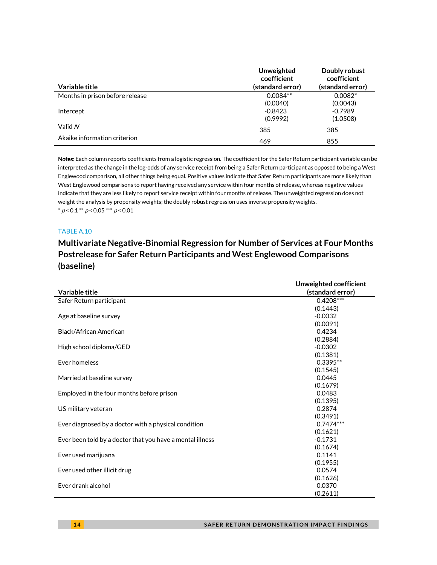|                                 | Unweighted<br>coefficient | Doubly robust<br>coefficient |
|---------------------------------|---------------------------|------------------------------|
| Variable title                  | (standard error)          | (standard error)             |
| Months in prison before release | $0.0084**$                | $0.0082*$                    |
|                                 | (0.0040)                  | (0.0043)                     |
| Intercept                       | $-0.8423$                 | $-0.7989$                    |
|                                 | (0.9992)                  | (1.0508)                     |
| Valid N                         | 385                       | 385                          |
| Akaike information criterion    | 469                       | 855                          |

Notes: Each column reports coefficients from a logistic regression. The coefficient for the Safer Return participant variable can be interpreted as the change in the log-odds of any service receipt from being a Safer Return participant as opposed to being a West Englewood comparison, all other things being equal. Positive values indicate that Safer Return participants are more likely than West Englewood comparisons to report having received any service within four months of release, whereas negative values indicate that they are less likely to report service receipt within four months of release. The unweighted regression does not weight the analysis by propensity weights; the doubly robust regression uses inverse propensity weights.  $* p < 0.1 ** p < 0.05 ** p < 0.01$ 

### TABLE A.10

j.

## **Multivariate Negative-Binomial Regression for Number of Services at Four Months Postrelease for Safer Return Participants and West Englewood Comparisons (baseline)**

| Variable title                                            | Unweighted coefficient<br>(standard error) |
|-----------------------------------------------------------|--------------------------------------------|
| Safer Return participant                                  | $0.4208***$                                |
|                                                           | (0.1443)                                   |
| Age at baseline survey                                    | $-0.0032$                                  |
|                                                           | (0.0091)                                   |
| Black/African American                                    | 0.4234                                     |
|                                                           | (0.2884)                                   |
| High school diploma/GED                                   | $-0.0302$                                  |
|                                                           | (0.1381)                                   |
| Ever homeless                                             | $0.3395**$                                 |
|                                                           | (0.1545)                                   |
| Married at baseline survey                                | 0.0445                                     |
|                                                           | (0.1679)                                   |
| Employed in the four months before prison                 | 0.0483                                     |
|                                                           | (0.1395)                                   |
| US military veteran                                       | 0.2874                                     |
|                                                           | (0.3491)                                   |
| Ever diagnosed by a doctor with a physical condition      | $0.7474***$                                |
|                                                           | (0.1621)                                   |
| Ever been told by a doctor that you have a mental illness | $-0.1731$                                  |
|                                                           | (0.1674)                                   |
| Ever used marijuana                                       | 0.1141                                     |
|                                                           | (0.1955)                                   |
| Ever used other illicit drug                              | 0.0574                                     |
|                                                           | (0.1626)                                   |
| Ever drank alcohol                                        | 0.0370                                     |
|                                                           | (0.2611)                                   |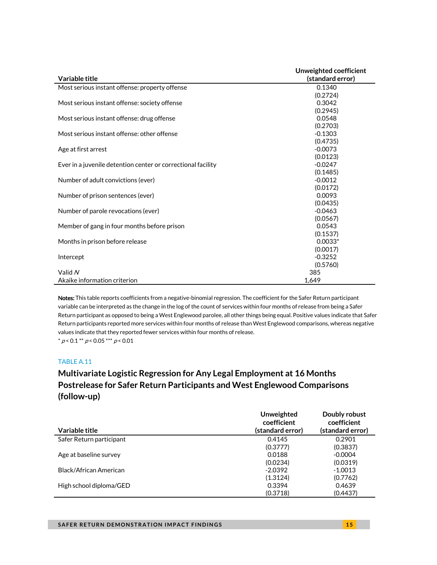| Variable title                                               | Unweighted coefficient<br>(standard error) |
|--------------------------------------------------------------|--------------------------------------------|
| Most serious instant offense: property offense               | 0.1340                                     |
|                                                              | (0.2724)                                   |
| Most serious instant offense: society offense                | 0.3042                                     |
|                                                              | (0.2945)                                   |
| Most serious instant offense: drug offense                   | 0.0548                                     |
|                                                              | (0.2703)                                   |
| Most serious instant offense: other offense                  | $-0.1303$                                  |
|                                                              | (0.4735)                                   |
|                                                              | $-0.0073$                                  |
| Age at first arrest                                          |                                            |
|                                                              | (0.0123)<br>$-0.0247$                      |
| Ever in a juvenile detention center or correctional facility |                                            |
|                                                              | (0.1485)                                   |
| Number of adult convictions (ever)                           | $-0.0012$                                  |
|                                                              | (0.0172)                                   |
| Number of prison sentences (ever)                            | 0.0093                                     |
|                                                              | (0.0435)                                   |
| Number of parole revocations (ever)                          | $-0.0463$                                  |
|                                                              | (0.0567)                                   |
| Member of gang in four months before prison                  | 0.0543                                     |
|                                                              | (0.1537)                                   |
| Months in prison before release                              | $0.0033*$                                  |
|                                                              | (0.0017)                                   |
| Intercept                                                    | $-0.3252$                                  |
|                                                              | (0.5760)                                   |
| Valid N                                                      | 385                                        |
| Akaike information criterion                                 | 1,649                                      |

Notes: This table reports coefficients from a negative-binomial regression. The coefficient for the Safer Return participant variable can be interpreted as the change in the log of the count of services within four months of release from being a Safer Return participant as opposed to being a West Englewood parolee, all other things being equal. Positive values indicate that Safer Return participants reported more services within four months of release than West Englewood comparisons, whereas negative values indicate that they reported fewer services within four months of release.  $* p < 0.1 ** p < 0.05 ** p < 0.01$ 

### TABLE A.11

# **Multivariate Logistic Regression for Any Legal Employment at 16 Months Postrelease for Safer Return Participants and West Englewood Comparisons (follow-up)**

|                          | <b>Unweighted</b><br>coefficient | Doubly robust<br>coefficient |
|--------------------------|----------------------------------|------------------------------|
| Variable title           | (standard error)                 | (standard error)             |
| Safer Return participant | 0.4145                           | 0.2901                       |
|                          | (0.3777)                         | (0.3837)                     |
| Age at baseline survey   | 0.0188                           | $-0.0004$                    |
|                          | (0.0234)                         | (0.0319)                     |
| Black/African American   | $-2.0392$                        | $-1.0013$                    |
|                          | (1.3124)                         | (0.7762)                     |
| High school diploma/GED  | 0.3394                           | 0.4639                       |
|                          | (0.3718)                         | (0.4437)                     |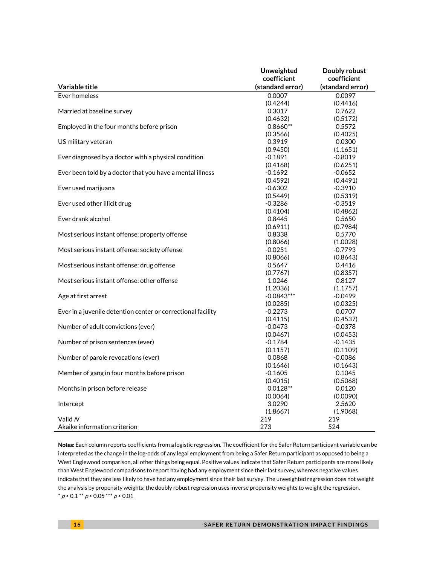|                                                              | Unweighted             | Doubly robust      |
|--------------------------------------------------------------|------------------------|--------------------|
|                                                              | coefficient            | coefficient        |
| Variable title                                               | (standard error)       | (standard error)   |
| Ever homeless                                                | 0.0007                 | 0.0097             |
|                                                              | (0.4244)               | (0.4416)           |
| Married at baseline survey                                   | 0.3017                 | 0.7622             |
|                                                              | (0.4632)               | (0.5172)           |
| Employed in the four months before prison                    | $0.8660**$             | 0.5572             |
|                                                              | (0.3566)               | (0.4025)           |
| US military veteran                                          | 0.3919                 | 0.0300             |
|                                                              | (0.9450)               | (1.1651)           |
| Ever diagnosed by a doctor with a physical condition         | $-0.1891$              | $-0.8019$          |
|                                                              | (0.4168)               | (0.6251)           |
| Ever been told by a doctor that you have a mental illness    | $-0.1692$              | $-0.0652$          |
|                                                              | (0.4592)               | (0.4491)           |
| Ever used marijuana                                          | $-0.6302$              | $-0.3910$          |
|                                                              | (0.5449)               | (0.5319)           |
| Ever used other illicit drug                                 | $-0.3286$              | $-0.3519$          |
| Ever drank alcohol                                           | (0.4104)<br>0.8445     | (0.4862)<br>0.5650 |
|                                                              | (0.6911)               | (0.7984)           |
| Most serious instant offense: property offense               | 0.8338                 | 0.5770             |
|                                                              | (0.8066)               | (1.0028)           |
| Most serious instant offense: society offense                | $-0.0251$              | $-0.7793$          |
|                                                              | (0.8066)               | (0.8643)           |
| Most serious instant offense: drug offense                   | 0.5647                 | 0.4416             |
|                                                              | (0.7767)               | (0.8357)           |
| Most serious instant offense: other offense                  | 1.0246                 | 0.8127             |
|                                                              | (1.2036)               | (1.1757)           |
| Age at first arrest                                          | $-0.0843***$           | $-0.0499$          |
|                                                              | (0.0285)               | (0.0325)           |
| Ever in a juvenile detention center or correctional facility | -0.2273                | 0.0707             |
|                                                              | (0.4115)               | (0.4537)           |
| Number of adult convictions (ever)                           | $-0.0473$              | $-0.0378$          |
|                                                              | (0.0467)               | (0.0453)           |
| Number of prison sentences (ever)                            | $-0.1784$              | $-0.1435$          |
|                                                              | (0.1157)               | (0.1109)           |
| Number of parole revocations (ever)                          | 0.0868                 | $-0.0086$          |
|                                                              | (0.1646)               | (0.1643)           |
| Member of gang in four months before prison                  | $-0.1605$              | 0.1045             |
| Months in prison before release                              | (0.4015)<br>$0.0128**$ | (0.5068)<br>0.0120 |
|                                                              | (0.0064)               | (0.0090)           |
| Intercept                                                    | 3.0290                 | 2.5620             |
|                                                              | (1.8667)               | (1.9068)           |
| Valid N                                                      | 219                    | 219                |
| Akaike information criterion                                 | 273                    | 524                |

Notes: Each column reports coefficients from a logistic regression. The coefficient for the Safer Return participant variable can be interpreted as the change in the log-odds of any legal employment from being a Safer Return participant as opposed to being a West Englewood comparison, all other things being equal. Positive values indicate that Safer Return participants are more likely than West Englewood comparisons to report having had any employment since their last survey, whereas negative values indicate that they are less likely to have had any employment since their last survey. The unweighted regression does not weight the analysis by propensity weights; the doubly robust regression uses inverse propensity weights to weight the regression.  $* p < 0.1 ** p < 0.05 ** p < 0.01$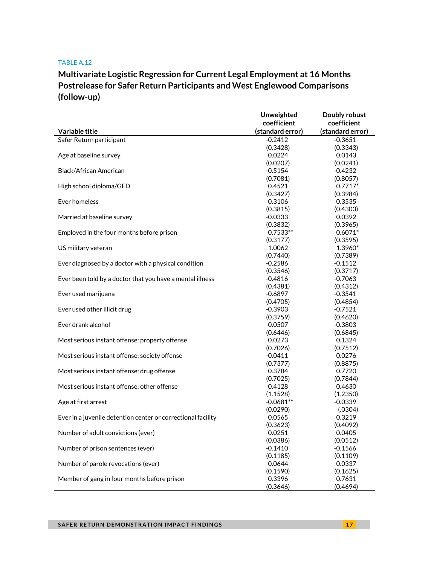#### TABLE A.12

# **Multivariate Logistic Regression for Current Legal Employment at 16 Months Postrelease for Safer Return Participants and West Englewood Comparisons (follow-up)**

|                                                              | <b>Unweighted</b> | Doubly robust    |
|--------------------------------------------------------------|-------------------|------------------|
|                                                              | coefficient       | coefficient      |
| Variable title                                               | (standard error)  | (standard error) |
| Safer Return participant                                     | $-0.2412$         | $-0.3651$        |
|                                                              | (0.3428)          | (0.3343)         |
| Age at baseline survey                                       | 0.0224            | 0.0143           |
|                                                              | (0.0207)          | (0.0241)         |
| <b>Black/African American</b>                                | $-0.5154$         | $-0.4232$        |
|                                                              | (0.7081)          | (0.8057)         |
| High school diploma/GED                                      | 0.4521            | $0.7717*$        |
|                                                              | (0.3427)          | (0.3984)         |
| Ever homeless                                                | 0.3106            | 0.3535           |
|                                                              | (0.3815)          | (0.4303)         |
| Married at baseline survey                                   | $-0.0333$         | 0.0392           |
|                                                              | (0.3832)          | (0.3965)         |
| Employed in the four months before prison                    | $0.7533**$        | $0.6071*$        |
|                                                              | (0.3177)          | (0.3595)         |
| US military veteran                                          | 1.0062            | 1.3960*          |
|                                                              | (0.7440)          | (0.7389)         |
| Ever diagnosed by a doctor with a physical condition         | $-0.2586$         | $-0.1512$        |
|                                                              | (0.3546)          | (0.3717)         |
| Ever been told by a doctor that you have a mental illness    | $-0.4816$         | $-0.7063$        |
|                                                              | (0.4381)          | (0.4312)         |
| Ever used marijuana                                          | $-0.6897$         | $-0.3541$        |
|                                                              | (0.4705)          | (0.4854)         |
| Ever used other illicit drug                                 | $-0.3903$         | $-0.7521$        |
|                                                              | (0.3759)          | (0.4620)         |
| Ever drank alcohol                                           | 0.0507            | $-0.3803$        |
|                                                              | (0.6446)          | (0.6845)         |
| Most serious instant offense: property offense               | 0.0273            | 0.1324           |
|                                                              | (0.7026)          | (0.7512)         |
| Most serious instant offense: society offense                | $-0.0411$         | 0.0276           |
|                                                              | (0.7377)          | (0.8875)         |
| Most serious instant offense: drug offense                   | 0.3784            | 0.7720           |
|                                                              | (0.7025)          | (0.7844)         |
| Most serious instant offense: other offense                  | 0.4128            | 0.4630           |
|                                                              | (1.1528)          | (1.2350)         |
| Age at first arrest                                          | $-0.0681**$       | $-0.0339$        |
|                                                              | (0.0290)          | (.0304)          |
| Ever in a juvenile detention center or correctional facility | 0.0565            | 0.3219           |
|                                                              | (0.3623)          | (0.4092)         |
| Number of adult convictions (ever)                           | 0.0251            | 0.0405           |
|                                                              | (0.0386)          | (0.0512)         |
| Number of prison sentences (ever)                            | $-0.1410$         | $-0.1566$        |
|                                                              | (0.1185)          | (0.1109)         |
| Number of parole revocations (ever)                          | 0.0644            | 0.0337           |
|                                                              | (0.1590)          | (0.1625)         |
| Member of gang in four months before prison                  | 0.3396            | 0.7631           |
|                                                              | (0.3646)          | (0.4694)         |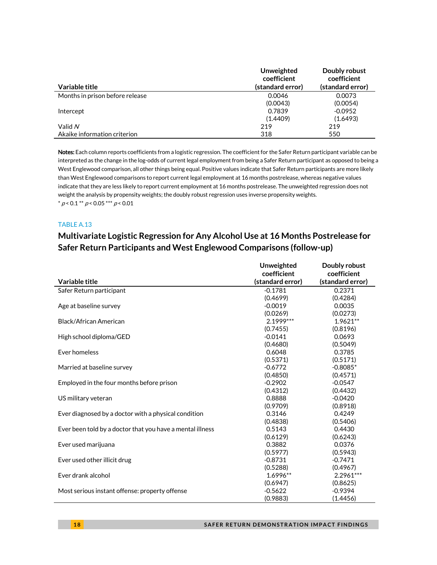| Variable title                  | Unweighted<br>coefficient<br>(standard error) | Doubly robust<br>coefficient<br>(standard error) |
|---------------------------------|-----------------------------------------------|--------------------------------------------------|
| Months in prison before release | 0.0046                                        | 0.0073                                           |
|                                 | (0.0043)                                      | (0.0054)                                         |
| Intercept                       | 0.7839                                        | $-0.0952$                                        |
|                                 | (1.4409)                                      | (1.6493)                                         |
| Valid N                         | 219                                           | 219                                              |
| Akaike information criterion    | 318                                           | 550                                              |

Notes: Each column reports coefficients from a logistic regression. The coefficient for the Safer Return participant variable can be interpreted as the change in the log-odds of current legal employment from being a Safer Return participant as opposed to being a West Englewood comparison, all other things being equal. Positive values indicate that Safer Return participants are more likely than West Englewood comparisons to report current legal employment at 16 months postrelease, whereas negative values indicate that they are less likely to report current employment at 16 months postrelease. The unweighted regression does not weight the analysis by propensity weights; the doubly robust regression uses inverse propensity weights.  $^*$   $\rho$  < 0.1  $^{**}$   $\rho$  < 0.05  $^{***}$   $\rho$  < 0.01

### TABLE A.13

# **Multivariate Logistic Regression for Any Alcohol Use at 16 Months Postrelease for Safer Return Participants and West Englewood Comparisons (follow-up)**

|                                                           | Unweighted<br>coefficient | Doubly robust<br>coefficient |
|-----------------------------------------------------------|---------------------------|------------------------------|
| Variable title                                            | (standard error)          | (standard error)             |
| Safer Return participant                                  | $-0.1781$                 | 0.2371                       |
|                                                           | (0.4699)                  | (0.4284)                     |
| Age at baseline survey                                    | $-0.0019$                 | 0.0035                       |
|                                                           | (0.0269)                  | (0.0273)                     |
| Black/African American                                    | 2.1999 ***                | 1.9621**                     |
|                                                           | (0.7455)                  | (0.8196)                     |
| High school diploma/GED                                   | $-0.0141$                 | 0.0693                       |
|                                                           | (0.4680)                  | (0.5049)                     |
| Ever homeless                                             | 0.6048                    | 0.3785                       |
|                                                           | (0.5371)                  | (0.5171)                     |
| Married at baseline survey                                | $-0.6772$                 | $-0.8085*$                   |
|                                                           | (0.4850)                  | (0.4571)                     |
| Employed in the four months before prison                 | $-0.2902$                 | $-0.0547$                    |
|                                                           | (0.4312)                  | (0.4432)                     |
| US military veteran                                       | 0.8888                    | $-0.0420$                    |
|                                                           | (0.9709)                  | (0.8918)                     |
| Ever diagnosed by a doctor with a physical condition      | 0.3146                    | 0.4249                       |
|                                                           | (0.4838)                  | (0.5406)                     |
| Ever been told by a doctor that you have a mental illness | 0.5143                    | 0.4430                       |
|                                                           | (0.6129)                  | (0.6243)                     |
| Ever used marijuana                                       | 0.3882                    | 0.0376                       |
|                                                           | (0.5977)                  | (0.5943)                     |
| Ever used other illicit drug                              | $-0.8731$                 | $-0.7471$                    |
|                                                           | (0.5288)                  | (0.4967)                     |
| Ever drank alcohol                                        | 1.6996**                  | 2.2961***                    |
|                                                           | (0.6947)                  | (0.8625)                     |
| Most serious instant offense: property offense            | $-0.5622$                 | $-0.9394$                    |
|                                                           | (0.9883)                  | (1.4456)                     |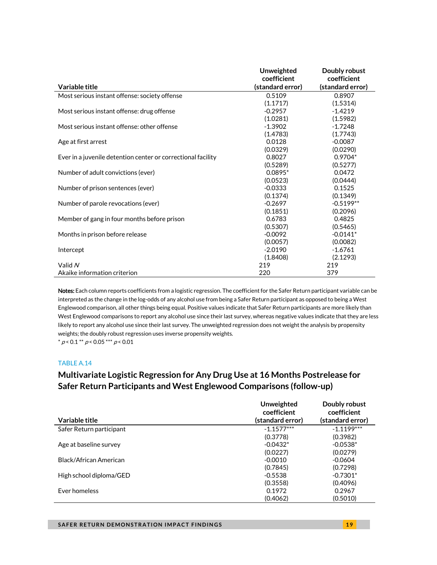|                                                              | <b>Unweighted</b> | Doubly robust    |
|--------------------------------------------------------------|-------------------|------------------|
|                                                              | coefficient       | coefficient      |
| Variable title                                               | (standard error)  | (standard error) |
| Most serious instant offense: society offense                | 0.5109            | 0.8907           |
|                                                              | (1.1717)          | (1.5314)         |
| Most serious instant offense: drug offense                   | $-0.2957$         | $-1.4219$        |
|                                                              | (1.0281)          | (1.5982)         |
| Most serious instant offense: other offense                  | $-1.3902$         | $-1.7248$        |
|                                                              | (1.4783)          | (1.7743)         |
| Age at first arrest                                          | 0.0128            | $-0.0087$        |
|                                                              | (0.0329)          | (0.0290)         |
| Ever in a juvenile detention center or correctional facility | 0.8027            | $0.9704*$        |
|                                                              | (0.5289)          | (0.5277)         |
| Number of adult convictions (ever)                           | $0.0895*$         | 0.0472           |
|                                                              | (0.0523)          | (0.0444)         |
| Number of prison sentences (ever)                            | $-0.0333$         | 0.1525           |
|                                                              | (0.1374)          | (0.1349)         |
| Number of parole revocations (ever)                          | $-0.2697$         | $-0.5199**$      |
|                                                              | (0.1851)          | (0.2096)         |
| Member of gang in four months before prison                  | 0.6783            | 0.4825           |
|                                                              | (0.5307)          | (0.5465)         |
| Months in prison before release                              | $-0.0092$         | $-0.0141*$       |
|                                                              | (0.0057)          | (0.0082)         |
| Intercept                                                    | $-2.0190$         | $-1.6761$        |
|                                                              | (1.8408)          | (2.1293)         |
| Valid N                                                      | 219               | 219              |
| Akaike information criterion                                 | 220               | 379              |

Notes: Each column reports coefficients from a logistic regression. The coefficient for the Safer Return participant variable can be interpreted as the change in the log-odds of any alcohol use from being a Safer Return participant as opposed to being a West Englewood comparison, all other things being equal. Positive values indicate that Safer Return participants are more likely than West Englewood comparisons to report any alcohol use since their last survey, whereas negative values indicate that they are less likely to report any alcohol use since their last survey. The unweighted regression does not weight the analysis by propensity weights; the doubly robust regression uses inverse propensity weights.

 $* p < 0.1 ** p < 0.05*** p < 0.01$ 

### TABLE A.14

# **Multivariate Logistic Regression for Any Drug Use at 16 Months Postrelease for Safer Return Participants and West Englewood Comparisons (follow-up)**

|                          | Unweighted<br>coefficient | Doubly robust<br>coefficient |
|--------------------------|---------------------------|------------------------------|
| Variable title           | (standard error)          | (standard error)             |
| Safer Return participant | $-1.1577***$              | $-1.1199***$                 |
|                          | (0.3778)                  | (0.3982)                     |
| Age at baseline survey   | $-0.0432*$                | $-0.0538*$                   |
|                          | (0.0227)                  | (0.0279)                     |
| Black/African American   | $-0.0010$                 | $-0.0604$                    |
|                          | (0.7845)                  | (0.7298)                     |
| High school diploma/GED  | $-0.5538$                 | $-0.7301*$                   |
|                          | (0.3558)                  | (0.4096)                     |
| Ever homeless            | 0.1972                    | 0.2967                       |
|                          | (0.4062)                  | (0.5010)                     |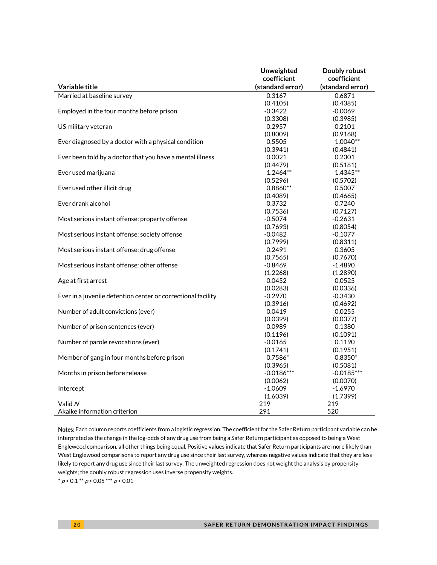|                                                              | Unweighted       | Doubly robust    |
|--------------------------------------------------------------|------------------|------------------|
|                                                              | coefficient      | coefficient      |
| Variable title                                               | (standard error) | (standard error) |
| Married at baseline survey                                   | 0.3167           | 0.6871           |
|                                                              | (0.4105)         | (0.4385)         |
| Employed in the four months before prison                    | $-0.3422$        | $-0.0069$        |
|                                                              | (0.3308)         | (0.3985)         |
| US military veteran                                          | 0.2957           | 0.2101           |
|                                                              | (0.8009)         | (0.9168)         |
| Ever diagnosed by a doctor with a physical condition         | 0.5505           | $1.0040**$       |
|                                                              | (0.3941)         | (0.4841)         |
| Ever been told by a doctor that you have a mental illness    | 0.0021           | 0.2301           |
|                                                              | (0.4479)         | (0.5181)         |
| Ever used marijuana                                          | 1.2464**         | 1.4345**         |
|                                                              | (0.5296)         | (0.5702)         |
| Ever used other illicit drug                                 | $0.8860**$       | 0.5007           |
|                                                              | (0.4089)         | (0.4665)         |
| Ever drank alcohol                                           | 0.3732           | 0.7240           |
|                                                              | (0.7536)         | (0.7127)         |
| Most serious instant offense: property offense               | $-0.5074$        | $-0.2631$        |
|                                                              | (0.7693)         | (0.8054)         |
| Most serious instant offense: society offense                | $-0.0482$        | $-0.1077$        |
|                                                              | (0.7999)         | (0.8311)         |
| Most serious instant offense: drug offense                   | 0.2491           | 0.3605           |
|                                                              | (0.7565)         | (0.7670)         |
| Most serious instant offense: other offense                  | $-0.8469$        | $-1.4890$        |
|                                                              | (1.2268)         | (1.2890)         |
| Age at first arrest                                          | 0.0452           | 0.0525           |
|                                                              | (0.0283)         | (0.0336)         |
| Ever in a juvenile detention center or correctional facility | $-0.2970$        | $-0.3430$        |
|                                                              | (0.3916)         | (0.4692)         |
| Number of adult convictions (ever)                           | 0.0419           | 0.0255           |
|                                                              | (0.0399)         | (0.0377)         |
| Number of prison sentences (ever)                            | 0.0989           | 0.1380           |
|                                                              | (0.1196)         | (0.1091)         |
| Number of parole revocations (ever)                          | $-0.0165$        | 0.1190           |
|                                                              | (0.1741)         | (0.1951)         |
| Member of gang in four months before prison                  | $0.7586*$        | $0.8350*$        |
|                                                              | (0.3965)         | (0.5081)         |
| Months in prison before release                              | $-0.0186***$     | $-0.0185***$     |
|                                                              | (0.0062)         | (0.0070)         |
| Intercept                                                    | $-1.0609$        | $-1.6970$        |
|                                                              | (1.6039)         | (1.7399)         |
| Valid N                                                      | 219              | 219              |
| Akaike information criterion                                 | 291              | 520              |

Notes: Each column reports coefficients from a logistic regression. The coefficient for the Safer Return participant variable can be interpreted as the change in the log-odds of any drug use from being a Safer Return participant as opposed to being a West Englewood comparison, all other things being equal. Positive values indicate that Safer Return participants are more likely than West Englewood comparisons to report any drug use since their last survey, whereas negative values indicate that they are less likely to report any drug use since their last survey. The unweighted regression does not weight the analysis by propensity weights; the doubly robust regression uses inverse propensity weights.

 $^*$   $\rho$  < 0.1  $^{**}$   $\rho$  < 0.05  $^{***}$   $\rho$  < 0.01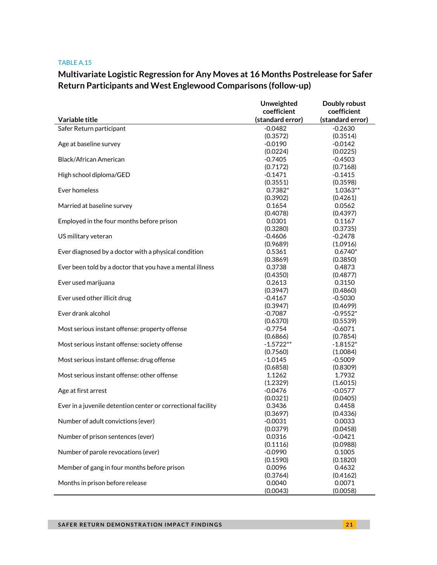#### TABLE A.15

# **Multivariate Logistic Regression for Any Moves at 16 Months Postrelease for Safer Return Participants and West Englewood Comparisons (follow-up)**

|                                                              | Unweighted         | Doubly robust      |
|--------------------------------------------------------------|--------------------|--------------------|
|                                                              | coefficient        | coefficient        |
| Variable title                                               | (standard error)   | (standard error)   |
| Safer Return participant                                     | $-0.0482$          | $-0.2630$          |
|                                                              | (0.3572)           | (0.3514)           |
| Age at baseline survey                                       | $-0.0190$          | $-0.0142$          |
|                                                              | (0.0224)           | (0.0225)           |
| Black/African American                                       | $-0.7405$          | $-0.4503$          |
|                                                              | (0.7172)           | (0.7168)           |
| High school diploma/GED                                      | $-0.1471$          | $-0.1415$          |
|                                                              | (0.3551)           | (0.3598)           |
| Ever homeless                                                | $0.7382*$          | 1.0363**           |
|                                                              | (0.3902)           | (0.4261)           |
| Married at baseline survey                                   | 0.1654             | 0.0562             |
|                                                              | (0.4078)           | (0.4397)           |
| Employed in the four months before prison                    | 0.0301             | 0.1167             |
|                                                              | (0.3280)           | (0.3735)           |
| US military veteran                                          | $-0.4606$          | $-0.2478$          |
|                                                              | (0.9689)           | (1.0916)           |
| Ever diagnosed by a doctor with a physical condition         | 0.5361             | $0.6740*$          |
|                                                              | (0.3869)           | (0.3850)           |
| Ever been told by a doctor that you have a mental illness    | 0.3738             | 0.4873             |
|                                                              | (0.4350)           | (0.4877)           |
| Ever used marijuana                                          | 0.2613             | 0.3150             |
|                                                              | (0.3947)           | (0.4860)           |
| Ever used other illicit drug                                 | $-0.4167$          | $-0.5030$          |
|                                                              | (0.3947)           | (0.4699)           |
| Ever drank alcohol                                           | $-0.7087$          | $-0.9552*$         |
|                                                              | (0.6370)           | (0.5539)           |
| Most serious instant offense: property offense               | $-0.7754$          | $-0.6071$          |
|                                                              | (0.6866)           | (0.7854)           |
| Most serious instant offense: society offense                | $-1.5722**$        | $-1.8152*$         |
|                                                              | (0.7560)           | (1.0084)           |
| Most serious instant offense: drug offense                   | $-1.0145$          | $-0.5009$          |
| Most serious instant offense: other offense                  | (0.6858)<br>1.1262 | (0.8309)<br>1.7932 |
|                                                              | (1.2329)           | (1.6015)           |
| Age at first arrest                                          | $-0.0476$          | $-0.0577$          |
|                                                              | (0.0321)           | (0.0405)           |
| Ever in a juvenile detention center or correctional facility | 0.3436             | 0.4458             |
|                                                              | (0.3697)           | (0.4336)           |
| Number of adult convictions (ever)                           | $-0.0031$          | 0.0033             |
|                                                              | (0.0379)           | (0.0458)           |
| Number of prison sentences (ever)                            | 0.0316             | $-0.0421$          |
|                                                              | (0.1116)           | (0.0988)           |
| Number of parole revocations (ever)                          | $-0.0990$          | 0.1005             |
|                                                              | (0.1590)           | (0.1820)           |
| Member of gang in four months before prison                  | 0.0096             | 0.4632             |
|                                                              | (0.3764)           | (0.4162)           |
| Months in prison before release                              | 0.0040             | 0.0071             |
|                                                              | (0.0043)           | (0.0058)           |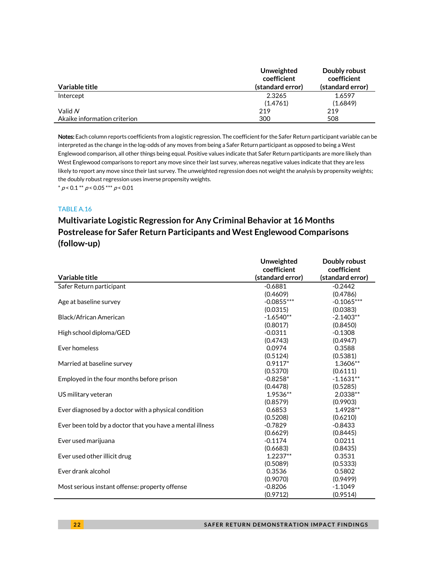| Variable title               | Unweighted<br>coefficient<br>(standard error) | Doubly robust<br>coefficient<br>(standard error) |
|------------------------------|-----------------------------------------------|--------------------------------------------------|
|                              |                                               |                                                  |
| Intercept                    | 2.3265                                        | 1.6597                                           |
|                              | (1.4761)                                      | (1.6849)                                         |
| Valid N                      | 219                                           | 219                                              |
| Akaike information criterion | 300                                           | 508                                              |

Notes: Each column reports coefficients from a logistic regression. The coefficient for the Safer Return participant variable can be interpreted as the change in the log-odds of any moves from being a Safer Return participant as opposed to being a West Englewood comparison, all other things being equal. Positive values indicate that Safer Return participants are more likely than West Englewood comparisons to report any move since their last survey, whereas negative values indicate that they are less likely to report any move since their last survey. The unweighted regression does not weight the analysis by propensity weights; the doubly robust regression uses inverse propensity weights.

 $* p < 0.1 ** p < 0.05*** p < 0.01$ 

### TABLE A.16

# **Multivariate Logistic Regression for Any Criminal Behavior at 16 Months Postrelease for Safer Return Participants and West Englewood Comparisons (follow-up)**

|                                                           | Unweighted       | Doubly robust    |
|-----------------------------------------------------------|------------------|------------------|
|                                                           | coefficient      | coefficient      |
| Variable title                                            | (standard error) | (standard error) |
| Safer Return participant                                  | $-0.6881$        | $-0.2442$        |
|                                                           | (0.4609)         | (0.4786)         |
| Age at baseline survey                                    | $-0.0855***$     | $-0.1065***$     |
|                                                           | (0.0315)         | (0.0383)         |
| Black/African American                                    | $-1.6540**$      | $-2.1403**$      |
|                                                           | (0.8017)         | (0.8450)         |
| High school diploma/GED                                   | $-0.0311$        | $-0.1308$        |
|                                                           | (0.4743)         | (0.4947)         |
| Ever homeless                                             | 0.0974           | 0.3588           |
|                                                           | (0.5124)         | (0.5381)         |
| Married at baseline survey                                | $0.9117*$        | 1.3606**         |
|                                                           | (0.5370)         | (0.6111)         |
| Employed in the four months before prison                 | $-0.8258*$       | $-1.1631**$      |
|                                                           | (0.4478)         | (0.5285)         |
| US military veteran                                       | 1.9536**         | 2.0338**         |
|                                                           | (0.8579)         | (0.9903)         |
| Ever diagnosed by a doctor with a physical condition      | 0.6853           | 1.4928**         |
|                                                           | (0.5208)         | (0.6210)         |
| Ever been told by a doctor that you have a mental illness | $-0.7829$        | $-0.8433$        |
|                                                           | (0.6629)         | (0.8445)         |
| Ever used marijuana                                       | $-0.1174$        | 0.0211           |
|                                                           | (0.6683)         | (0.8435)         |
| Ever used other illicit drug                              | $1.2237**$       | 0.3531           |
|                                                           | (0.5089)         | (0.5333)         |
| Ever drank alcohol                                        | 0.3536           | 0.5802           |
|                                                           | (0.9070)         | (0.9499)         |
| Most serious instant offense: property offense            | $-0.8206$        | $-1.1049$        |
|                                                           | (0.9712)         | (0.9514)         |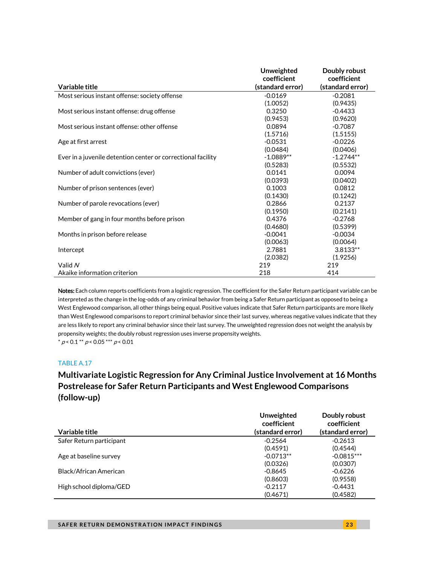|                                                              | <b>Unweighted</b> | Doubly robust    |
|--------------------------------------------------------------|-------------------|------------------|
|                                                              | coefficient       | coefficient      |
| Variable title                                               | (standard error)  | (standard error) |
| Most serious instant offense: society offense                | $-0.0169$         | $-0.2081$        |
|                                                              | (1.0052)          | (0.9435)         |
| Most serious instant offense: drug offense                   | 0.3250            | $-0.4433$        |
|                                                              | (0.9453)          | (0.9620)         |
| Most serious instant offense: other offense                  | 0.0894            | $-0.7087$        |
|                                                              | (1.5716)          | (1.5155)         |
| Age at first arrest                                          | $-0.0531$         | $-0.0226$        |
|                                                              | (0.0484)          | (0.0406)         |
| Ever in a juvenile detention center or correctional facility | $-1.0889**$       | $-1.2744**$      |
|                                                              | (0.5283)          | (0.5532)         |
| Number of adult convictions (ever)                           | 0.0141            | 0.0094           |
|                                                              | (0.0393)          | (0.0402)         |
| Number of prison sentences (ever)                            | 0.1003            | 0.0812           |
|                                                              | (0.1430)          | (0.1242)         |
| Number of parole revocations (ever)                          | 0.2866            | 0.2137           |
|                                                              | (0.1950)          | (0.2141)         |
| Member of gang in four months before prison                  | 0.4376            | $-0.2768$        |
|                                                              | (0.4680)          | (0.5399)         |
| Months in prison before release                              | $-0.0041$         | $-0.0034$        |
|                                                              | (0.0063)          | (0.0064)         |
| Intercept                                                    | 2.7881            | $3.8133**$       |
|                                                              | (2.0382)          | (1.9256)         |
| Valid N                                                      | 219               | 219              |
| Akaike information criterion                                 | 218               | 414              |

Notes: Each column reports coefficients from a logistic regression. The coefficient for the Safer Return participant variable can be interpreted as the change in the log-odds of any criminal behavior from being a Safer Return participant as opposed to being a West Englewood comparison, all other things being equal. Positive values indicate that Safer Return participants are more likely than West Englewood comparisons to report criminal behavior since their last survey, whereas negative values indicate that they are less likely to report any criminal behavior since their last survey. The unweighted regression does not weight the analysis by propensity weights; the doubly robust regression uses inverse propensity weights.  $*$   $p < 0.1$   $*$   $*$   $p < 0.05$   $*$   $*$   $*$   $p < 0.01$ 

TABLE A.17

# **Multivariate Logistic Regression for Any Criminal Justice Involvement at 16 Months Postrelease for Safer Return Participants and West Englewood Comparisons (follow-up)**

|                          | Unweighted<br>coefficient | Doubly robust<br>coefficient |
|--------------------------|---------------------------|------------------------------|
| Variable title           | (standard error)          | (standard error)             |
| Safer Return participant | $-0.2564$                 | $-0.2613$                    |
|                          | (0.4591)                  | (0.4544)                     |
| Age at baseline survey   | $-0.0713**$               | $-0.0815***$                 |
|                          | (0.0326)                  | (0.0307)                     |
| Black/African American   | $-0.8645$                 | $-0.6226$                    |
|                          | (0.8603)                  | (0.9558)                     |
| High school diploma/GED  | $-0.2117$                 | $-0.4431$                    |
|                          | (0.4671)                  | (0.4582)                     |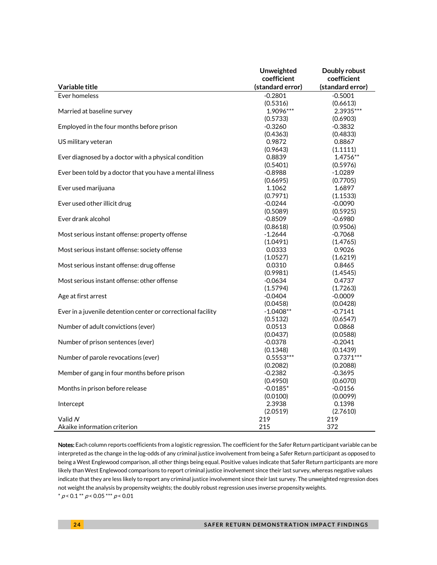|                                                              | Unweighted            | Doubly robust         |
|--------------------------------------------------------------|-----------------------|-----------------------|
|                                                              | coefficient           | coefficient           |
| Variable title                                               | (standard error)      | (standard error)      |
| Ever homeless                                                | $-0.2801$             | $-0.5001$             |
|                                                              | (0.5316)              | (0.6613)              |
| Married at baseline survey                                   | 1.9096***             | 2.3935***             |
|                                                              | (0.5733)              | (0.6903)              |
| Employed in the four months before prison                    | $-0.3260$             | $-0.3832$             |
|                                                              | (0.4363)              | (0.4833)              |
| US military veteran                                          | 0.9872                | 0.8867                |
|                                                              | (0.9643)              | (1.1111)              |
| Ever diagnosed by a doctor with a physical condition         | 0.8839                | 1.4756**              |
|                                                              | (0.5401)              | (0.5976)              |
| Ever been told by a doctor that you have a mental illness    | $-0.8988$             | $-1.0289$             |
|                                                              | (0.6695)              | (0.7705)              |
| Ever used marijuana                                          | 1.1062                | 1.6897                |
|                                                              | (0.7971)              | (1.1533)              |
| Ever used other illicit drug                                 | $-0.0244$             | $-0.0090$             |
| Ever drank alcohol                                           | (0.5089)              | (0.5925)              |
|                                                              | $-0.8509$             | $-0.6980$             |
| Most serious instant offense: property offense               | (0.8618)<br>$-1.2644$ | (0.9506)<br>$-0.7068$ |
|                                                              |                       |                       |
| Most serious instant offense: society offense                | (1.0491)<br>0.0333    | (1.4765)<br>0.9026    |
|                                                              | (1.0527)              | (1.6219)              |
| Most serious instant offense: drug offense                   | 0.0310                | 0.8465                |
|                                                              | (0.9981)              | (1.4545)              |
| Most serious instant offense: other offense                  | $-0.0634$             | 0.4737                |
|                                                              | (1.5794)              | (1.7263)              |
| Age at first arrest                                          | $-0.0404$             | $-0.0009$             |
|                                                              | (0.0458)              | (0.0428)              |
| Ever in a juvenile detention center or correctional facility | $-1.0408**$           | $-0.7141$             |
|                                                              | (0.5132)              | (0.6547)              |
| Number of adult convictions (ever)                           | 0.0513                | 0.0868                |
|                                                              | (0.0437)              | (0.0588)              |
| Number of prison sentences (ever)                            | $-0.0378$             | $-0.2041$             |
|                                                              | (0.1348)              | (0.1439)              |
| Number of parole revocations (ever)                          | $0.5553***$           | $0.7371***$           |
|                                                              | (0.2082)              | (0.2088)              |
| Member of gang in four months before prison                  | $-0.2382$             | $-0.3695$             |
|                                                              | (0.4950)              | (0.6070)              |
| Months in prison before release                              | $-0.0185*$            | $-0.0156$             |
|                                                              | (0.0100)              | (0.0099)              |
| Intercept                                                    | 2.3938                | 0.1398                |
|                                                              | (2.0519)              | (2.7610)              |
| Valid N                                                      | 219                   | 219                   |
| Akaike information criterion                                 | 215                   | 372                   |

Notes: Each column reports coefficients from a logistic regression. The coefficient for the Safer Return participant variable can be interpreted as the change in the log-odds of any criminal justice involvement from being a Safer Return participant as opposed to being a West Englewood comparison, all other things being equal. Positive values indicate that Safer Return participants are more likely than West Englewood comparisons to report criminal justice involvement since their last survey, whereas negative values indicate that they are less likely to report any criminal justice involvement since their last survey. The unweighted regression does not weight the analysis by propensity weights; the doubly robust regression uses inverse propensity weights.  $*$  p < 0.1  $*$  p < 0.05  $*$   $*$  p < 0.01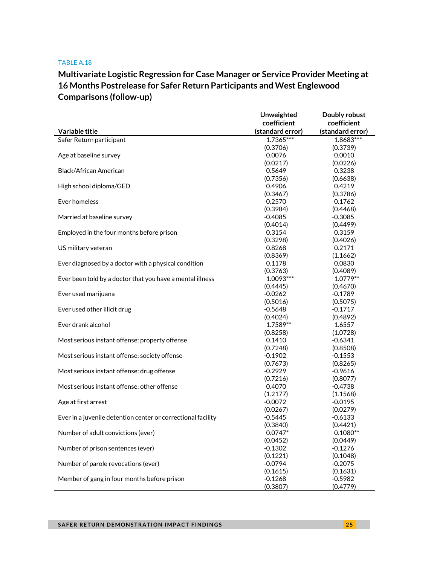### TABLE A.18

# **Multivariate Logistic Regression for Case Manager or Service Provider Meeting at 16 Months Postrelease for Safer Return Participants and West Englewood Comparisons (follow-up)**

|                                                              | <b>Unweighted</b> | Doubly robust    |
|--------------------------------------------------------------|-------------------|------------------|
|                                                              | coefficient       | coefficient      |
| Variable title                                               | (standard error)  | (standard error) |
| Safer Return participant                                     | $1.7365***$       | 1.8683***        |
|                                                              | (0.3706)          | (0.3739)         |
| Age at baseline survey                                       | 0.0076            | 0.0010           |
|                                                              | (0.0217)          | (0.0226)         |
| <b>Black/African American</b>                                | 0.5649            | 0.3238           |
|                                                              | (0.7356)          | (0.6638)         |
| High school diploma/GED                                      | 0.4906            | 0.4219           |
|                                                              | (0.3467)          | (0.3786)         |
| Ever homeless                                                | 0.2570            | 0.1762           |
|                                                              | (0.3984)          | (0.4468)         |
| Married at baseline survey                                   | $-0.4085$         | $-0.3085$        |
|                                                              | (0.4014)          | (0.4499)         |
| Employed in the four months before prison                    | 0.3154            | 0.3159           |
|                                                              | (0.3298)          | (0.4026)         |
| US military veteran                                          | 0.8268            | 0.2171           |
|                                                              | (0.8369)          | (1.1662)         |
| Ever diagnosed by a doctor with a physical condition         | 0.1178            | 0.0830           |
|                                                              | (0.3763)          | (0.4089)         |
| Ever been told by a doctor that you have a mental illness    | $1.0093***$       | 1.0779**         |
|                                                              | (0.4445)          | (0.4670)         |
| Ever used marijuana                                          | $-0.0262$         | $-0.1789$        |
|                                                              | (0.5016)          | (0.5075)         |
| Ever used other illicit drug                                 | $-0.5648$         | $-0.1717$        |
|                                                              | (0.4024)          | (0.4892)         |
| Ever drank alcohol                                           | 1.7589**          | 1.6557           |
|                                                              | (0.8258)          | (1.0728)         |
| Most serious instant offense: property offense               | 0.1410            | $-0.6341$        |
|                                                              | (0.7248)          | (0.8508)         |
| Most serious instant offense: society offense                | $-0.1902$         | $-0.1553$        |
|                                                              | (0.7673)          | (0.8265)         |
| Most serious instant offense: drug offense                   | $-0.2929$         | $-0.9616$        |
|                                                              | (0.7216)          | (0.8077)         |
| Most serious instant offense: other offense                  | 0.4070            | $-0.4738$        |
|                                                              | (1.2177)          | (1.1568)         |
| Age at first arrest                                          | $-0.0072$         | $-0.0195$        |
|                                                              | (0.0267)          | (0.0279)         |
| Ever in a juvenile detention center or correctional facility | $-0.5445$         | $-0.6133$        |
|                                                              | (0.3840)          | (0.4421)         |
| Number of adult convictions (ever)                           | $0.0747*$         | $0.1080**$       |
|                                                              | (0.0452)          | (0.0449)         |
| Number of prison sentences (ever)                            | $-0.1302$         | $-0.1276$        |
|                                                              | (0.1221)          | (0.1048)         |
| Number of parole revocations (ever)                          | $-0.0794$         | $-0.2075$        |
|                                                              | (0.1615)          | (0.1631)         |
| Member of gang in four months before prison                  | $-0.1268$         | $-0.5982$        |
|                                                              | (0.3807)          | (0.4779)         |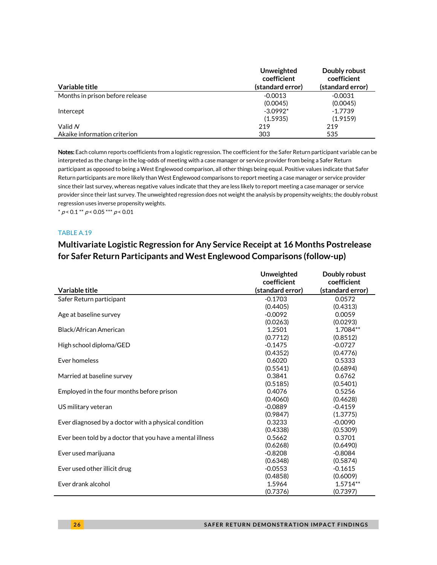| Variable title                  | Unweighted<br>coefficient<br>(standard error) | Doubly robust<br>coefficient<br>(standard error) |
|---------------------------------|-----------------------------------------------|--------------------------------------------------|
| Months in prison before release | $-0.0013$                                     | $-0.0031$                                        |
|                                 | (0.0045)                                      | (0.0045)                                         |
| Intercept                       | $-3.0992*$                                    | $-1.7739$                                        |
|                                 | (1.5935)                                      | (1.9159)                                         |
| Valid N                         | 219                                           | 219                                              |
| Akaike information criterion    | 303                                           | 535                                              |

Notes: Each column reports coefficients from a logistic regression. The coefficient for the Safer Return participant variable can be interpreted as the change in the log-odds of meeting with a case manager or service provider from being a Safer Return participant as opposed to being a West Englewood comparison, all other things being equal. Positive values indicate that Safer Return participants are more likely than West Englewood comparisons to report meeting a case manager or service provider since their last survey, whereas negative values indicate that they are less likely to report meeting a case manager or service provider since their last survey. The unweighted regression does not weight the analysis by propensity weights; the doubly robust regression uses inverse propensity weights.

 $^*$   $\rho$  < 0.1  $^{**}$   $\rho$  < 0.05  $^{***}$   $\rho$  < 0.01

#### TABLE A.19

### **Multivariate Logistic Regression for Any Service Receipt at 16 Months Postrelease for Safer Return Participants and West Englewood Comparisons (follow-up)**

|                                                           | Unweighted       | Doubly robust    |
|-----------------------------------------------------------|------------------|------------------|
|                                                           | coefficient      | coefficient      |
| Variable title                                            | (standard error) | (standard error) |
| Safer Return participant                                  | $-0.1703$        | 0.0572           |
|                                                           | (0.4405)         | (0.4313)         |
| Age at baseline survey                                    | $-0.0092$        | 0.0059           |
|                                                           | (0.0263)         | (0.0293)         |
| Black/African American                                    | 1.2501           | 1.7084**         |
|                                                           | (0.7712)         | (0.8512)         |
| High school diploma/GED                                   | $-0.1475$        | $-0.0727$        |
|                                                           | (0.4352)         | (0.4776)         |
| Ever homeless                                             | 0.6020           | 0.5333           |
|                                                           | (0.5541)         | (0.6894)         |
| Married at baseline survey                                | 0.3841           | 0.6762           |
|                                                           | (0.5185)         | (0.5401)         |
| Employed in the four months before prison                 | 0.4076           | 0.5256           |
|                                                           | (0.4060)         | (0.4628)         |
| US military veteran                                       | $-0.0889$        | $-0.4159$        |
|                                                           | (0.9847)         | (1.3775)         |
| Ever diagnosed by a doctor with a physical condition      | 0.3233           | $-0.0090$        |
|                                                           | (0.4338)         | (0.5309)         |
| Ever been told by a doctor that you have a mental illness | 0.5662           | 0.3701           |
|                                                           | (0.6268)         | (0.6490)         |
| Ever used marijuana                                       | $-0.8208$        | $-0.8084$        |
|                                                           | (0.6348)         | (0.5874)         |
| Ever used other illicit drug                              | $-0.0553$        | $-0.1615$        |
|                                                           | (0.4858)         | (0.6009)         |
| Ever drank alcohol                                        | 1.5964           | $1.5714**$       |
|                                                           | (0.7376)         | (0.7397)         |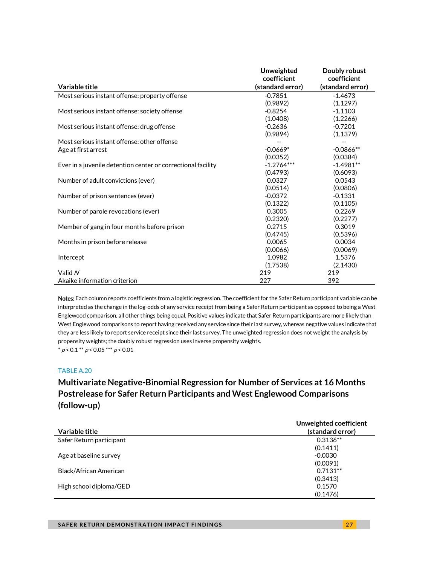|                                                              | <b>Unweighted</b> | Doubly robust    |
|--------------------------------------------------------------|-------------------|------------------|
|                                                              | coefficient       | coefficient      |
| Variable title                                               | (standard error)  | (standard error) |
| Most serious instant offense: property offense               | $-0.7851$         | $-1.4673$        |
|                                                              | (0.9892)          | (1.1297)         |
| Most serious instant offense: society offense                | $-0.8254$         | $-1.1103$        |
|                                                              | (1.0408)          | (1.2266)         |
| Most serious instant offense: drug offense                   | $-0.2636$         | $-0.7201$        |
|                                                              | (0.9894)          | (1.1379)         |
| Most serious instant offense: other offense                  |                   |                  |
| Age at first arrest                                          | $-0.0669*$        | $-0.0866**$      |
|                                                              | (0.0352)          | (0.0384)         |
| Ever in a juvenile detention center or correctional facility | $-1.2764***$      | $-1.4981**$      |
|                                                              | (0.4793)          | (0.6093)         |
| Number of adult convictions (ever)                           | 0.0327            | 0.0543           |
|                                                              | (0.0514)          | (0.0806)         |
| Number of prison sentences (ever)                            | $-0.0372$         | $-0.1331$        |
|                                                              | (0.1322)          | (0.1105)         |
| Number of parole revocations (ever)                          | 0.3005            | 0.2269           |
|                                                              | (0.2320)          | (0.2277)         |
| Member of gang in four months before prison                  | 0.2715            | 0.3019           |
|                                                              | (0.4745)          | (0.5396)         |
| Months in prison before release                              | 0.0065            | 0.0034           |
|                                                              | (0.0066)          | (0.0069)         |
| Intercept                                                    | 1.0982            | 1.5376           |
|                                                              | (1.7538)          | (2.1430)         |
| Valid N                                                      | 219               | 219              |
| Akaike information criterion                                 | 227               | 392              |

Notes: Each column reports coefficients from a logistic regression. The coefficient for the Safer Return participant variable can be interpreted as the change in the log-odds of any service receipt from being a Safer Return participant as opposed to being a West Englewood comparison, all other things being equal. Positive values indicate that Safer Return participants are more likely than West Englewood comparisons to report having received any service since their last survey, whereas negative values indicate that they are less likely to report service receipt since their last survey. The unweighted regression does not weight the analysis by propensity weights; the doubly robust regression uses inverse propensity weights.  $*$  p < 0.1  $*$  p < 0.05  $*$   $*$  p < 0.01

### TABLE A.20

### **Multivariate Negative-Binomial Regression for Number of Services at 16 Months Postrelease for Safer Return Participants and West Englewood Comparisons (follow-up)**

| Variable title           | Unweighted coefficient<br>(standard error) |
|--------------------------|--------------------------------------------|
| Safer Return participant | $0.3136**$                                 |
|                          | (0.1411)                                   |
| Age at baseline survey   | $-0.0030$                                  |
|                          | (0.0091)                                   |
| Black/African American   | $0.7131**$                                 |
|                          | (0.3413)                                   |
| High school diploma/GED  | 0.1570                                     |
|                          | (0.1476)                                   |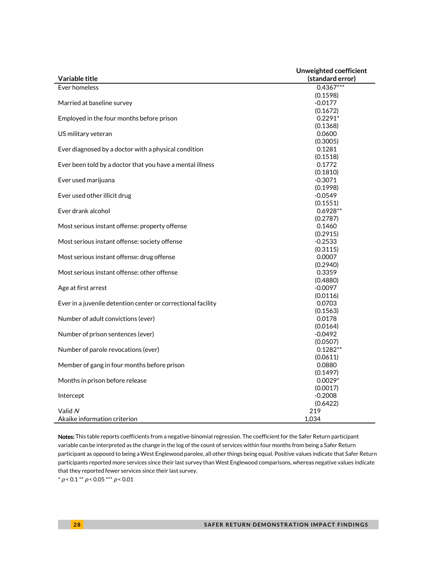|                                                              | Unweighted coefficient |
|--------------------------------------------------------------|------------------------|
| Variable title                                               | (standard error)       |
| Ever homeless                                                | $0.4367***$            |
|                                                              | (0.1598)               |
| Married at baseline survey                                   | $-0.0177$              |
|                                                              | (0.1672)               |
| Employed in the four months before prison                    | $0.2291*$              |
|                                                              | (0.1368)               |
| US military veteran                                          | 0.0600                 |
|                                                              | (0.3005)               |
| Ever diagnosed by a doctor with a physical condition         | 0.1281                 |
|                                                              | (0.1518)               |
| Ever been told by a doctor that you have a mental illness    | 0.1772                 |
|                                                              | (0.1810)               |
| Ever used marijuana                                          | $-0.3071$              |
|                                                              | (0.1998)               |
| Ever used other illicit drug                                 | $-0.0549$              |
|                                                              | (0.1551)               |
| Ever drank alcohol                                           | $0.6928**$             |
|                                                              | (0.2787)               |
| Most serious instant offense: property offense               | 0.1460                 |
|                                                              | (0.2915)               |
| Most serious instant offense: society offense                | $-0.2533$              |
|                                                              | (0.3115)               |
| Most serious instant offense: drug offense                   | 0.0007                 |
|                                                              | (0.2940)               |
| Most serious instant offense: other offense                  | 0.3359                 |
|                                                              | (0.4880)               |
| Age at first arrest                                          | $-0.0097$              |
|                                                              | (0.0116)               |
| Ever in a juvenile detention center or correctional facility | 0.0703                 |
|                                                              | (0.1563)               |
| Number of adult convictions (ever)                           | 0.0178                 |
|                                                              | (0.0164)               |
| Number of prison sentences (ever)                            | $-0.0492$              |
|                                                              | (0.0507)               |
| Number of parole revocations (ever)                          | $0.1282**$             |
|                                                              | (0.0611)               |
| Member of gang in four months before prison                  | 0.0880                 |
|                                                              | (0.1497)               |
| Months in prison before release                              | $0.0029*$              |
|                                                              | (0.0017)               |
| Intercept                                                    | $-0.2008$              |
|                                                              | (0.6422)               |
| Valid N                                                      | 219                    |
| Akaike information criterion                                 | 1,034                  |

Notes: This table reports coefficients from a negative-binomial regression. The coefficient for the Safer Return participant variable can be interpreted as the change in the log of the count of services within four months from being a Safer Return participant as opposed to being a West Englewood parolee, all other things being equal. Positive values indicate that Safer Return participants reported more services since their last survey than West Englewood comparisons, whereas negative values indicate that they reported fewer services since their last survey.

 $* p < 0.1** p < 0.05*** p < 0.01$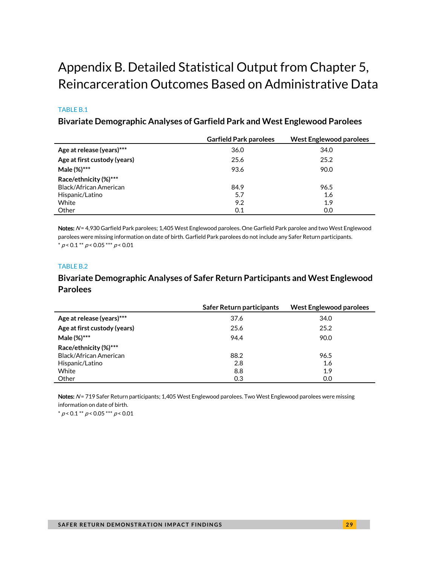# <span id="page-28-0"></span>Appendix B. Detailed Statistical Output from Chapter 5, Reincarceration Outcomes Based on Administrative Data

### TABLE B.1

### **Bivariate Demographic Analyses of Garfield Park and West Englewood Parolees**

|                               | <b>Garfield Park parolees</b> | <b>West Englewood parolees</b> |
|-------------------------------|-------------------------------|--------------------------------|
| Age at release (years)***     | 36.0                          | 34.0                           |
| Age at first custody (years)  | 25.6                          | 25.2                           |
| Male (%)***                   | 93.6                          | 90.0                           |
| Race/ethnicity (%)***         |                               |                                |
| <b>Black/African American</b> | 84.9                          | 96.5                           |
| Hispanic/Latino               | 5.7                           | 1.6                            |
| White                         | 9.2                           | 1.9                            |
| Other                         | 0.1                           | 0.0                            |

Notes: N= 4,930 Garfield Park parolees; 1,405 West Englewood parolees. One Garfield Park parolee and two West Englewood parolees were missing information on date of birth. Garfield Park parolees do not include any Safer Return participants.  $* p < 0.1 ** p < 0.05*** p < 0.01$ 

### TABLE B.2

### **Bivariate Demographic Analyses of Safer Return Participants and West Englewood Parolees**

|                               | Safer Return participants | West Englewood parolees |
|-------------------------------|---------------------------|-------------------------|
| Age at release (years)***     | 37.6                      | 34.0                    |
| Age at first custody (years)  | 25.6                      | 25.2                    |
| Male (%)***                   | 94.4                      | 90.0                    |
| Race/ethnicity (%)***         |                           |                         |
| <b>Black/African American</b> | 88.2                      | 96.5                    |
| Hispanic/Latino               | 2.8                       | 1.6                     |
| White                         | 8.8                       | 1.9                     |
| Other                         | 0.3                       | 0.0                     |

Notes: N= 719 Safer Return participants; 1,405 West Englewood parolees. Two West Englewood parolees were missing information on date of birth.

 $* p < 0.1 ** p < 0.05 ** p < 0.01$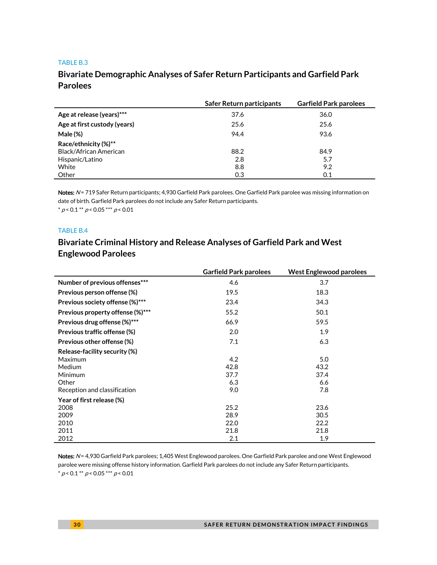#### TABLE B.3

### **Bivariate Demographic Analyses of Safer Return Participants and Garfield Park Parolees**

|                              | Safer Return participants | <b>Garfield Park parolees</b> |
|------------------------------|---------------------------|-------------------------------|
| Age at release (years)***    | 37.6                      | 36.0                          |
| Age at first custody (years) | 25.6                      | 25.6                          |
| Male (%)                     | 94.4                      | 93.6                          |
| Race/ethnicity (%)**         |                           |                               |
| Black/African American       | 88.2                      | 84.9                          |
| Hispanic/Latino              | 2.8                       | 5.7                           |
| White                        | 8.8                       | 9.2                           |
| Other                        | 0.3                       | 0.1                           |

Notes: N= 719 Safer Return participants; 4,930 Garfield Park parolees. One Garfield Park parolee was missing information on date of birth. Garfield Park parolees do not include any Safer Return participants.  $* p < 0.1 ** p < 0.05 ** p < 0.01$ 

#### TABLE B.4

### **Bivariate Criminal History and Release Analyses of Garfield Park and West Englewood Parolees**

|                                  | <b>Garfield Park parolees</b> | <b>West Englewood parolees</b> |
|----------------------------------|-------------------------------|--------------------------------|
| Number of previous offenses***   | 4.6                           | 3.7                            |
| Previous person offense (%)      | 19.5                          | 18.3                           |
| Previous society offense (%)***  | 23.4                          | 34.3                           |
| Previous property offense (%)*** | 55.2                          | 50.1                           |
| Previous drug offense (%)***     | 66.9                          | 59.5                           |
| Previous traffic offense (%)     | 2.0                           | 1.9                            |
| Previous other offense (%)       | 7.1                           | 6.3                            |
| Release-facility security (%)    |                               |                                |
| Maximum                          | 4.2                           | 5.0                            |
| Medium                           | 42.8                          | 43.2                           |
| Minimum                          | 37.7                          | 37.4                           |
| Other                            | 6.3                           | 6.6                            |
| Reception and classification     | 9.0                           | 7.8                            |
| Year of first release (%)        |                               |                                |
| 2008                             | 25.2                          | 23.6                           |
| 2009                             | 28.9                          | 30.5                           |
| 2010                             | 22.0                          | 22.2                           |
| 2011                             | 21.8                          | 21.8                           |
| 2012                             | 2.1                           | 1.9                            |

Notes: N= 4,930 Garfield Park parolees; 1,405 West Englewood parolees. One Garfield Park parolee and one West Englewood parolee were missing offense history information. Garfield Park parolees do not include any Safer Return participants.  $*$  p < 0.1  $*$  p < 0.05  $*$   $*$  p < 0.01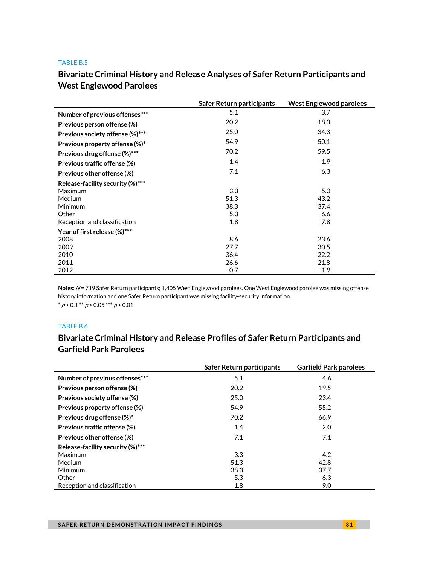#### TABLE B.5

# **Bivariate Criminal History and Release Analyses of Safer Return Participants and West Englewood Parolees**

|                                  | Safer Return participants | <b>West Englewood parolees</b> |
|----------------------------------|---------------------------|--------------------------------|
| Number of previous offenses***   | 5.1                       | 3.7                            |
| Previous person offense (%)      | 20.2                      | 18.3                           |
| Previous society offense (%)***  | 25.0                      | 34.3                           |
| Previous property offense (%)*   | 54.9                      | 50.1                           |
| Previous drug offense (%)***     | 70.2                      | 59.5                           |
| Previous traffic offense (%)     | 1.4                       | 1.9                            |
| Previous other offense (%)       | 7.1                       | 6.3                            |
| Release-facility security (%)*** |                           |                                |
| Maximum                          | 3.3                       | 5.0                            |
| <b>Medium</b>                    | 51.3                      | 43.2                           |
| Minimum                          | 38.3                      | 37.4                           |
| Other                            | 5.3                       | 6.6                            |
| Reception and classification     | 1.8                       | 7.8                            |
| Year of first release (%)***     |                           |                                |
| 2008                             | 8.6                       | 23.6                           |
| 2009                             | 27.7                      | 30.5                           |
| 2010                             | 36.4                      | 22.2                           |
| 2011                             | 26.6                      | 21.8                           |
| 2012                             | 0.7                       | 1.9                            |

Notes: N= 719 Safer Return participants; 1,405 West Englewood parolees. One West Englewood parolee was missing offense history information and one Safer Return participant was missing facility-security information.  $^*$   $\rho$  < 0.1  $^{**}$   $\rho$  < 0.05  $^{***}$   $\rho$  < 0.01

#### TABLE B.6

### **Bivariate Criminal History and Release Profiles of Safer Return Participants and Garfield Park Parolees**

|                                  | Safer Return participants | <b>Garfield Park parolees</b> |
|----------------------------------|---------------------------|-------------------------------|
| Number of previous offenses***   | 5.1                       | 4.6                           |
| Previous person offense (%)      | 20.2                      | 19.5                          |
| Previous society offense (%)     | 25.0                      | 23.4                          |
| Previous property offense (%)    | 54.9                      | 55.2                          |
| Previous drug offense (%)*       | 70.2                      | 66.9                          |
| Previous traffic offense (%)     | 1.4                       | 2.0                           |
| Previous other offense (%)       | 7.1                       | 7.1                           |
| Release-facility security (%)*** |                           |                               |
| Maximum                          | 3.3                       | 4.2                           |
| <b>Medium</b>                    | 51.3                      | 42.8                          |
| Minimum                          | 38.3                      | 37.7                          |
| Other                            | 5.3                       | 6.3                           |
| Reception and classification     | 1.8                       | 9.0                           |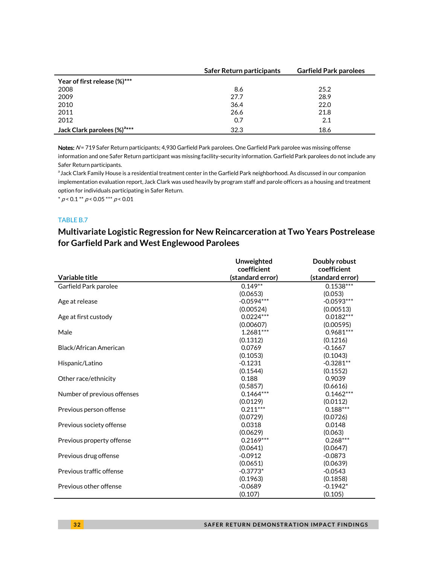|                                         | Safer Return participants | <b>Garfield Park parolees</b> |  |
|-----------------------------------------|---------------------------|-------------------------------|--|
| Year of first release (%)***            |                           |                               |  |
| 2008                                    | 8.6                       | 25.2                          |  |
| 2009                                    | 27.7                      | 28.9                          |  |
| 2010                                    | 36.4                      | 22.0                          |  |
| 2011                                    | 26.6                      | 21.8                          |  |
| 2012                                    | 0.7                       | 2.1                           |  |
| Jack Clark parolees (%) <sup>a***</sup> | 32.3                      | 18.6                          |  |

Notes: N= 719 Safer Return participants; 4,930 Garfield Park parolees. One Garfield Park parolee was missing offense information and one Safer Return participant was missing facility-security information. Garfield Park parolees do not include any Safer Return participants.

<sup>a</sup> Jack Clark Family House is a residential treatment center in the Garfield Park neighborhood. As discussed in our companion implementation evaluation report, Jack Clark was used heavily by program staff and parole officers as a housing and treatment option for individuals participating in Safer Return.

 $* p < 0.1 ** p < 0.05*** p < 0.01$ 

### TABLE B.7

### **Multivariate Logistic Regression for New Reincarceration at Two Years Postrelease for Garfield Park and West Englewood Parolees**

|                             | Unweighted       | Doubly robust    |
|-----------------------------|------------------|------------------|
|                             | coefficient      | coefficient      |
| Variable title              | (standard error) | (standard error) |
| Garfield Park parolee       | $0.149**$        | $0.1538***$      |
|                             | (0.0653)         | (0.053)          |
| Age at release              | $-0.0594***$     | $-0.0593***$     |
|                             | (0.00524)        | (0.00513)        |
| Age at first custody        | $0.0224***$      | $0.0182***$      |
|                             | (0.00607)        | (0.00595)        |
| Male                        | 1.2681***        | $0.9681***$      |
|                             | (0.1312)         | (0.1216)         |
| Black/African American      | 0.0769           | $-0.1667$        |
|                             | (0.1053)         | (0.1043)         |
| Hispanic/Latino             | $-0.1231$        | $-0.3281**$      |
|                             | (0.1544)         | (0.1552)         |
| Other race/ethnicity        | 0.188            | 0.9039           |
|                             | (0.5857)         | (0.6616)         |
| Number of previous offenses | $0.1464***$      | $0.1462***$      |
|                             | (0.0129)         | (0.0112)         |
| Previous person offense     | $0.211***$       | $0.188***$       |
|                             | (0.0729)         | (0.0726)         |
| Previous society offense    | 0.0318           | 0.0148           |
|                             | (0.0629)         | (0.063)          |
| Previous property offense   | $0.2169***$      | $0.268***$       |
|                             | (0.0641)         | (0.0647)         |
| Previous drug offense       | $-0.0912$        | $-0.0873$        |
|                             | (0.0651)         | (0.0639)         |
| Previous traffic offense    | $-0.3773*$       | $-0.0543$        |
|                             | (0.1963)         | (0.1858)         |
| Previous other offense      | $-0.0689$        | $-0.1942*$       |
|                             | (0.107)          | (0.105)          |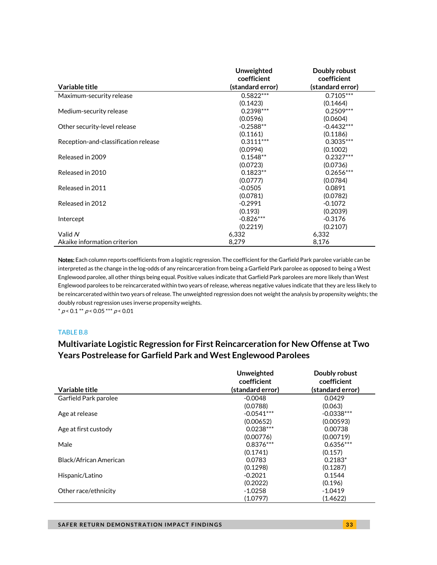| Variable title                       | <b>Unweighted</b><br>coefficient<br>(standard error) | Doubly robust<br>coefficient<br>(standard error) |
|--------------------------------------|------------------------------------------------------|--------------------------------------------------|
| Maximum-security release             | $0.5822***$                                          | $0.7105***$                                      |
|                                      | (0.1423)                                             | (0.1464)                                         |
| Medium-security release              | $0.2398***$                                          | $0.2509***$                                      |
|                                      | (0.0596)                                             | (0.0604)                                         |
| Other security-level release         | $-0.2588**$                                          | $-0.4432***$                                     |
|                                      | (0.1161)                                             | (0.1186)                                         |
| Reception-and-classification release | $0.3111***$                                          | $0.3035***$                                      |
|                                      | (0.0994)                                             | (0.1002)                                         |
| Released in 2009                     | $0.1548**$                                           | $0.2327***$                                      |
|                                      | (0.0723)                                             | (0.0736)                                         |
| Released in 2010                     | $0.1823**$                                           | $0.2656***$                                      |
|                                      | (0.0777)                                             | (0.0784)                                         |
| Released in 2011                     | $-0.0505$                                            | 0.0891                                           |
|                                      | (0.0781)                                             | (0.0782)                                         |
| Released in 2012                     | $-0.2991$                                            | $-0.1072$                                        |
|                                      | (0.193)                                              | (0.2039)                                         |
| Intercept                            | $-0.826***$                                          | $-0.3176$                                        |
|                                      | (0.2219)                                             | (0.2107)                                         |
| Valid $N$                            | 6,332                                                | 6,332                                            |
| Akaike information criterion         | 8,279                                                | 8,176                                            |

Notes: Each column reports coefficients from a logistic regression. The coefficient for the Garfield Park parolee variable can be interpreted as the change in the log-odds of any reincarceration from being a Garfield Park parolee as opposed to being a West Englewood parolee, all other things being equal. Positive values indicate that Garfield Park parolees are more likely than West Englewood parolees to be reincarcerated within two years of release, whereas negative values indicate that they are less likely to be reincarcerated within two years of release. The unweighted regression does not weight the analysis by propensity weights; the doubly robust regression uses inverse propensity weights.

 $*$  p < 0.1  $*$  p < 0.05  $*$   $*$  p < 0.01

### TABLE B.8

### **Multivariate Logistic Regression for First Reincarceration for New Offense at Two Years Postrelease for Garfield Park and West Englewood Parolees**

| Variable title         | Unweighted<br>coefficient | Doubly robust<br>coefficient<br>(standard error) |
|------------------------|---------------------------|--------------------------------------------------|
|                        | (standard error)          |                                                  |
| Garfield Park parolee  | $-0.0048$                 | 0.0429                                           |
|                        | (0.0788)                  | (0.063)                                          |
| Age at release         | $-0.0541***$              | $-0.0338***$                                     |
|                        | (0.00652)                 | (0.00593)                                        |
| Age at first custody   | $0.0238***$               | 0.00738                                          |
|                        | (0.00776)                 | (0.00719)                                        |
| Male                   | $0.8376***$               | $0.6356***$                                      |
|                        | (0.1741)                  | (0.157)                                          |
| Black/African American | 0.0783                    | $0.2183*$                                        |
|                        | (0.1298)                  | (0.1287)                                         |
| Hispanic/Latino        | $-0.2021$                 | 0.1544                                           |
|                        | (0.2022)                  | (0.196)                                          |
| Other race/ethnicity   | $-1.0258$                 | $-1.0419$                                        |
|                        | (1.0797)                  | (1.4622)                                         |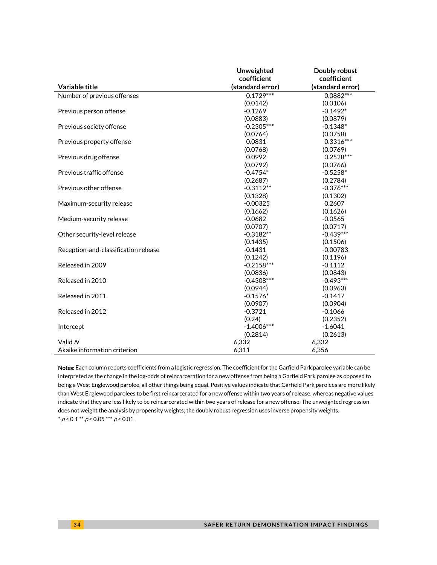|                                      | Unweighted       | Doubly robust    |
|--------------------------------------|------------------|------------------|
|                                      | coefficient      | coefficient      |
| Variable title                       | (standard error) | (standard error) |
| Number of previous offenses          | $0.1729***$      | $0.0882***$      |
|                                      | (0.0142)         | (0.0106)         |
| Previous person offense              | $-0.1269$        | $-0.1492*$       |
|                                      | (0.0883)         | (0.0879)         |
| Previous society offense             | $-0.2305***$     | $-0.1348*$       |
|                                      | (0.0764)         | (0.0758)         |
| Previous property offense            | 0.0831           | $0.3316***$      |
|                                      | (0.0768)         | (0.0769)         |
| Previous drug offense                | 0.0992           | $0.2528***$      |
|                                      | (0.0792)         | (0.0766)         |
| Previous traffic offense             | $-0.4754*$       | $-0.5258*$       |
|                                      | (0.2687)         | (0.2784)         |
| Previous other offense               | $-0.3112**$      | $-0.376***$      |
|                                      | (0.1328)         | (0.1302)         |
| Maximum-security release             | $-0.00325$       | 0.2607           |
|                                      | (0.1662)         | (0.1626)         |
| Medium-security release              | $-0.0682$        | $-0.0565$        |
|                                      | (0.0707)         | (0.0717)         |
| Other security-level release         | $-0.3182**$      | $-0.439***$      |
|                                      | (0.1435)         | (0.1506)         |
| Reception-and-classification release | $-0.1431$        | $-0.00783$       |
|                                      | (0.1242)         | (0.1196)         |
| Released in 2009                     | $-0.2158***$     | $-0.1112$        |
|                                      | (0.0836)         | (0.0843)         |
| Released in 2010                     | $-0.4308***$     | $-0.493***$      |
|                                      | (0.0944)         | (0.0963)         |
| Released in 2011                     | $-0.1576*$       | $-0.1417$        |
|                                      | (0.0907)         | (0.0904)         |
| Released in 2012                     | $-0.3721$        | $-0.1066$        |
|                                      | (0.24)           | (0.2352)         |
| Intercept                            | $-1.4006***$     | $-1.6041$        |
|                                      | (0.2814)         | (0.2613)         |
| Valid N                              | 6,332            | 6,332            |
| Akaike information criterion         | 6,311            | 6,356            |

Notes: Each column reports coefficients from a logistic regression. The coefficient for the Garfield Park parolee variable can be interpreted as the change in the log-odds of reincarceration for a new offense from being a Garfield Park parolee as opposed to being a West Englewood parolee, all other things being equal. Positive values indicate that Garfield Park parolees are more likely than West Englewood parolees to be first reincarcerated for a new offense within two years of release, whereas negative values indicate that they are less likely to be reincarcerated within two years of release for a new offense. The unweighted regression does not weight the analysis by propensity weights; the doubly robust regression uses inverse propensity weights.  $^{*}$   $\rho$  < 0.1  $^{**}$   $\rho$  < 0.05  $^{***}$   $\rho$  < 0.01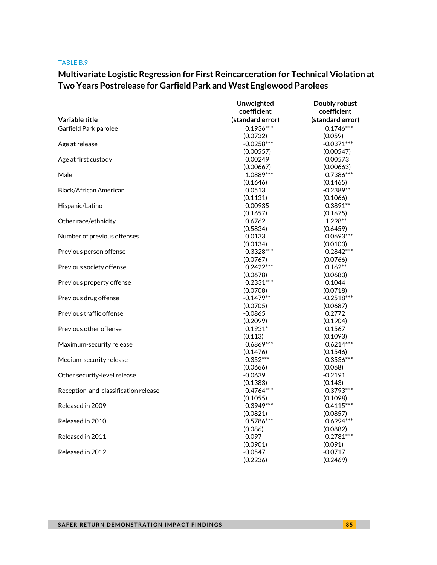#### TABLE B.9

# **Multivariate Logistic Regression for First Reincarceration for Technical Violation at Two Years Postrelease for Garfield Park and West Englewood Parolees**

|                                      | Unweighted             | Doubly robust           |
|--------------------------------------|------------------------|-------------------------|
|                                      | coefficient            | coefficient             |
| Variable title                       | (standard error)       | (standard error)        |
| Garfield Park parolee                | $0.1936***$            | $0.1746***$             |
|                                      | (0.0732)               | (0.059)                 |
| Age at release                       | $-0.0258***$           | $-0.0371***$            |
|                                      | (0.00557)              | (0.00547)               |
| Age at first custody                 | 0.00249                | 0.00573                 |
|                                      | (0.00667)              | (0.00663)               |
| Male                                 | 1.0889***              | $0.7386***$             |
|                                      | (0.1646)               | (0.1465)                |
| <b>Black/African American</b>        | 0.0513                 | $-0.2389**$             |
|                                      | (0.1131)               | (0.1066)                |
| Hispanic/Latino                      | 0.00935                | $-0.3891**$             |
|                                      | (0.1657)               | (0.1675)                |
| Other race/ethnicity                 | 0.6762                 | $1.298**$               |
|                                      | (0.5834)               | (0.6459)                |
| Number of previous offenses          | 0.0133                 | $0.0693***$             |
|                                      | (0.0134)               | (0.0103)                |
| Previous person offense              | $0.3328***$            | $0.2842***$             |
|                                      | (0.0767)               | (0.0766)                |
| Previous society offense             | $0.2422***$            | $0.162**$               |
|                                      | (0.0678)               | (0.0683)                |
| Previous property offense            | $0.2331***$            | 0.1044                  |
|                                      | (0.0708)               | (0.0718)                |
| Previous drug offense                | $-0.1479**$            | $-0.2518***$            |
|                                      | (0.0705)               | (0.0687)                |
| Previous traffic offense             | $-0.0865$              | 0.2772                  |
|                                      | (0.2099)               | (0.1904)                |
| Previous other offense               | $0.1931*$              | 0.1567                  |
|                                      | (0.113)                | (0.1093)                |
| Maximum-security release             | $0.6869***$            | $0.6214***$             |
|                                      | (0.1476)<br>$0.352***$ | (0.1546)<br>$0.3536***$ |
| Medium-security release              | (0.0666)               |                         |
| Other security-level release         | $-0.0639$              | (0.068)<br>$-0.2191$    |
|                                      | (0.1383)               | (0.143)                 |
| Reception-and-classification release | $0.4764***$            | $0.3793***$             |
|                                      | (0.1055)               | (0.1098)                |
| Released in 2009                     | $0.3949***$            | $0.4115***$             |
|                                      | (0.0821)               | (0.0857)                |
| Released in 2010                     | 0.5786***              | $0.6994***$             |
|                                      | (0.086)                | (0.0882)                |
| Released in 2011                     | 0.097                  | $0.2781***$             |
|                                      | (0.0901)               | (0.091)                 |
| Released in 2012                     | $-0.0547$              | $-0.0717$               |
|                                      | (0.2236)               | (0.2469)                |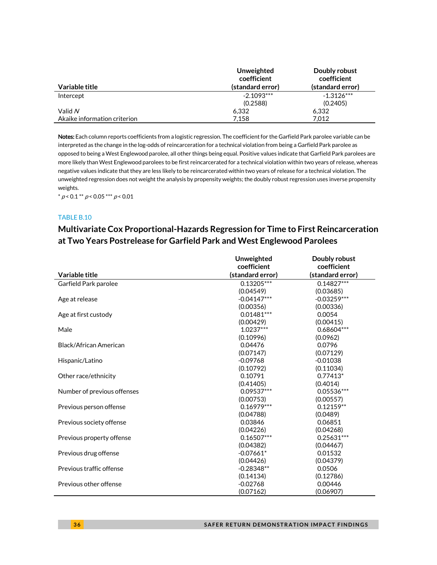|                              | Unweighted<br>coefficient | Doubly robust<br>coefficient |
|------------------------------|---------------------------|------------------------------|
| Variable title               | (standard error)          | (standard error)             |
| Intercept                    | $-2.1093***$              | $-1.3126***$                 |
|                              | (0.2588)                  | (0.2405)                     |
| Valid N                      | 6.332                     | 6.332                        |
| Akaike information criterion | 7.158                     | 7.012                        |

Notes: Each column reports coefficients from a logistic regression. The coefficient for the Garfield Park parolee variable can be interpreted as the change in the log-odds of reincarceration for a technical violation from being a Garfield Park parolee as opposed to being a West Englewood parolee, all other things being equal. Positive values indicate that Garfield Park parolees are more likely than West Englewood parolees to be first reincarcerated for a technical violation within two years of release, whereas negative values indicate that they are less likely to be reincarcerated within two years of release for a technical violation. The unweighted regression does not weight the analysis by propensity weights; the doubly robust regression uses inverse propensity weights.

 $* p < 0.1 ** p < 0.05 ** p < 0.01$ 

### TABLE B.10

### **Multivariate Cox Proportional-Hazards Regression for Time to First Reincarceration at Two Years Postrelease for Garfield Park and West Englewood Parolees**

|                             | Unweighted       | Doubly robust                   |
|-----------------------------|------------------|---------------------------------|
| Variable title              | coefficient      | coefficient<br>(standard error) |
|                             | (standard error) |                                 |
| Garfield Park parolee       | $0.13205***$     | $0.14827***$                    |
|                             | (0.04549)        | (0.03685)                       |
| Age at release              | $-0.04147***$    | $-0.03259***$                   |
|                             | (0.00356)        | (0.00336)                       |
| Age at first custody        | $0.01481***$     | 0.0054                          |
|                             | (0.00429)        | (0.00415)                       |
| Male                        | $1.0237***$      | 0.68604***                      |
|                             | (0.10996)        | (0.0962)                        |
| Black/African American      | 0.04476          | 0.0796                          |
|                             | (0.07147)        | (0.07129)                       |
| Hispanic/Latino             | $-0.09768$       | $-0.01038$                      |
|                             | (0.10792)        | (0.11034)                       |
| Other race/ethnicity        | 0.10791          | $0.77413*$                      |
|                             | (0.41405)        | (0.4014)                        |
| Number of previous offenses | $0.09537***$     | 0.05536***                      |
|                             | (0.00753)        | (0.00557)                       |
| Previous person offense     | $0.16979***$     | $0.12159**$                     |
|                             | (0.04788)        | (0.0489)                        |
| Previous society offense    | 0.03846          | 0.06851                         |
|                             | (0.04226)        | (0.04268)                       |
| Previous property offense   | $0.16507***$     | $0.25631***$                    |
|                             | (0.04382)        | (0.04467)                       |
| Previous drug offense       | $-0.07661*$      | 0.01532                         |
|                             | (0.04426)        | (0.04379)                       |
| Previous traffic offense    | $-0.28348**$     | 0.0506                          |
|                             | (0.14134)        | (0.12786)                       |
| Previous other offense      | $-0.02768$       | 0.00446                         |
|                             | (0.07162)        | (0.06907)                       |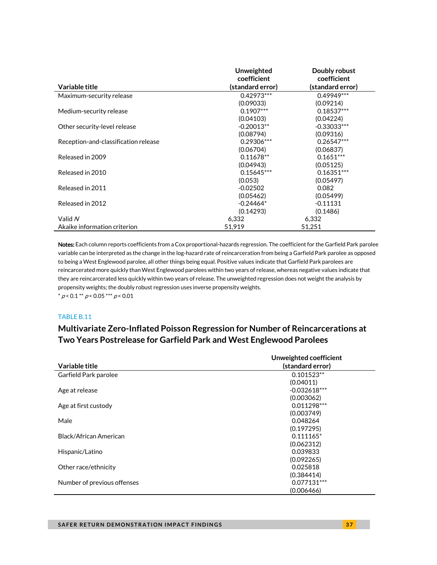|                                      | Unweighted<br>coefficient | Doubly robust<br>coefficient |
|--------------------------------------|---------------------------|------------------------------|
| Variable title                       | (standard error)          | (standard error)             |
| Maximum-security release             | $0.42973***$              | $0.49949***$                 |
|                                      | (0.09033)                 | (0.09214)                    |
| Medium-security release              | $0.1907***$               | $0.18537***$                 |
|                                      | (0.04103)                 | (0.04224)                    |
| Other security-level release         | $-0.20013**$              | $-0.33033***$                |
|                                      | (0.08794)                 | (0.09316)                    |
| Reception-and-classification release | $0.29306***$              | $0.26547***$                 |
|                                      | (0.06704)                 | (0.06837)                    |
| Released in 2009                     | $0.11678**$               | $0.1651***$                  |
|                                      | (0.04943)                 | (0.05125)                    |
| Released in 2010                     | $0.15645***$              | $0.16351***$                 |
|                                      | (0.053)                   | (0.05497)                    |
| Released in 2011                     | $-0.02502$                | 0.082                        |
|                                      | (0.05462)                 | (0.05499)                    |
| Released in 2012                     | $-0.24464*$               | $-0.11131$                   |
|                                      | (0.14293)                 | (0.1486)                     |
| Valid $N$                            | 6.332                     | 6,332                        |
| Akaike information criterion         | 51.919                    | 51,251                       |

Notes: Each column reports coefficients from a Cox proportional-hazards regression. The coefficient for the Garfield Park parolee variable can be interpreted as the change in the log-hazard rate of reincarceration from being a Garfield Park parolee as opposed to being a West Englewood parolee, all other things being equal. Positive values indicate that Garfield Park parolees are reincarcerated more quickly than West Englewood parolees within two years of release, whereas negative values indicate that they are reincarcerated less quickly within two years of release. The unweighted regression does not weight the analysis by propensity weights; the doubly robust regression uses inverse propensity weights.  $* p < 0.1 ** p < 0.05*** p < 0.01$ 

#### TABLE B.11

## **Multivariate Zero-Inflated Poisson Regression for Number of Reincarcerations at Two Years Postrelease for Garfield Park and West Englewood Parolees**

|                             | Unweighted coefficient |
|-----------------------------|------------------------|
| Variable title              | (standard error)       |
| Garfield Park parolee       | $0.101523**$           |
|                             | (0.04011)              |
| Age at release              | $-0.032618***$         |
|                             | (0.003062)             |
| Age at first custody        | $0.011298***$          |
|                             | (0.003749)             |
| Male                        | 0.048264               |
|                             | (0.197295)             |
| Black/African American      | $0.111165*$            |
|                             | (0.062312)             |
| Hispanic/Latino             | 0.039833               |
|                             | (0.092265)             |
| Other race/ethnicity        | 0.025818               |
|                             | (0.384414)             |
| Number of previous offenses | 0.077131***            |
|                             | (0.006466)             |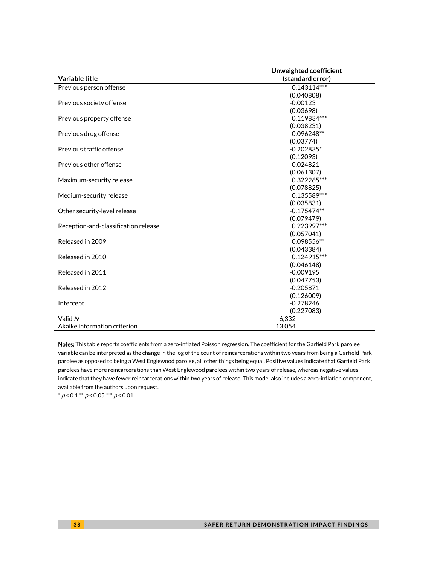|                                      | Unweighted coefficient |  |
|--------------------------------------|------------------------|--|
| Variable title                       | (standard error)       |  |
| Previous person offense              | $0.143114***$          |  |
|                                      | (0.040808)             |  |
| Previous society offense             | $-0.00123$             |  |
|                                      | (0.03698)              |  |
| Previous property offense            | 0.119834***            |  |
|                                      | (0.038231)             |  |
| Previous drug offense                | $-0.096248**$          |  |
|                                      | (0.03774)              |  |
| Previous traffic offense             | $-0.202835*$           |  |
|                                      | (0.12093)              |  |
| Previous other offense               | $-0.024821$            |  |
|                                      | (0.061307)             |  |
| Maximum-security release             | 0.322265***            |  |
|                                      | (0.078825)             |  |
| Medium-security release              | 0.135589***            |  |
|                                      | (0.035831)             |  |
| Other security-level release         | $-0.175474**$          |  |
|                                      | (0.079479)             |  |
| Reception-and-classification release | 0.223997***            |  |
|                                      | (0.057041)             |  |
| Released in 2009                     | 0.098556**             |  |
|                                      | (0.043384)             |  |
| Released in 2010                     | $0.124915***$          |  |
|                                      | (0.046148)             |  |
| Released in 2011                     | $-0.009195$            |  |
|                                      | (0.047753)             |  |
| Released in 2012                     | $-0.205871$            |  |
|                                      | (0.126009)             |  |
| Intercept                            | $-0.278246$            |  |
|                                      | (0.227083)             |  |
| Valid N                              | 6,332                  |  |
| Akaike information criterion         | 13,054                 |  |

Notes: This table reports coefficients from a zero-inflated Poisson regression. The coefficient for the Garfield Park parolee variable can be interpreted as the change in the log of the count of reincarcerations within two years from being a Garfield Park parolee as opposed to being a West Englewood parolee, all other things being equal. Positive values indicate that Garfield Park parolees have more reincarcerations than West Englewood parolees within two years of release, whereas negative values indicate that they have fewer reincarcerations within two years of release. This model also includes a zero-inflation component, available from the authors upon request.

\*  $p < 0.1$  \*\*  $p < 0.05$  \*\*\*  $p < 0.01$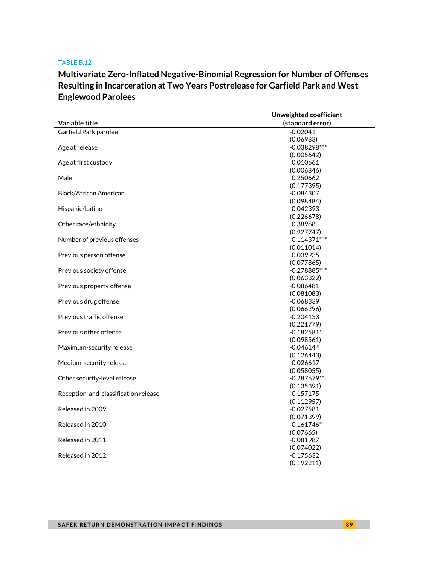# **Multivariate Zero-Inflated Negative-Binomial Regression for Number of Offenses Resulting in Incarceration at Two Years Postrelease for Garfield Park and West Englewood Parolees**

|                                      | Unweighted coefficient    |  |
|--------------------------------------|---------------------------|--|
| Variable title                       | (standard error)          |  |
| Garfield Park parolee                | $-0.02041$                |  |
|                                      | (0.06983)                 |  |
| Age at release                       | $-0.038298***$            |  |
|                                      | (0.005642)                |  |
| Age at first custody                 | 0.010661                  |  |
|                                      | (0.006846)                |  |
| Male                                 | 0.250662                  |  |
|                                      | (0.177395)                |  |
| Black/African American               | $-0.084307$               |  |
|                                      | (0.098484)                |  |
| Hispanic/Latino                      | 0.042393                  |  |
|                                      | (0.226678)                |  |
| Other race/ethnicity                 | 0.38968                   |  |
|                                      | (0.927747)                |  |
| Number of previous offenses          | $0.114371***$             |  |
|                                      | (0.011014)                |  |
| Previous person offense              | 0.039935                  |  |
|                                      | (0.077865)                |  |
| Previous society offense             | $-0.278885***$            |  |
|                                      | (0.063322)                |  |
| Previous property offense            | $-0.086481$               |  |
|                                      | (0.081083)                |  |
| Previous drug offense                | $-0.068339$               |  |
|                                      | (0.066296)                |  |
| Previous traffic offense             | $-0.204133$               |  |
|                                      | (0.221779)                |  |
| Previous other offense               | $-0.182581*$              |  |
| Maximum-security release             | (0.098561)<br>$-0.046144$ |  |
|                                      | (0.126443)                |  |
| Medium-security release              | $-0.026617$               |  |
|                                      | (0.058055)                |  |
| Other security-level release         | $-0.287679**$             |  |
|                                      | (0.135391)                |  |
| Reception-and-classification release | 0.157175                  |  |
|                                      | (0.112957)                |  |
| Released in 2009                     | $-0.027581$               |  |
|                                      | (0.071399)                |  |
| Released in 2010                     | $-0.161746**$             |  |
|                                      | (0.07665)                 |  |
| Released in 2011                     | $-0.081987$               |  |
|                                      | (0.074022)                |  |
| Released in 2012                     | $-0.175632$               |  |
|                                      | (0.192211)                |  |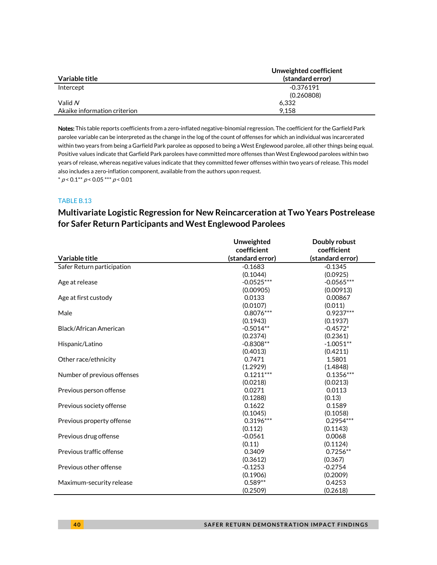|                              | Unweighted coefficient |
|------------------------------|------------------------|
| Variable title               | (standard error)       |
| Intercept                    | -0.376191              |
|                              | (0.260808)             |
| Valid $N$                    | 6.332                  |
| Akaike information criterion | 9.158                  |

Notes: This table reports coefficients from a zero-inflated negative-binomial regression. The coefficient for the Garfield Park parolee variable can be interpreted as the change in the log of the count of offenses for which an individual was incarcerated within two years from being a Garfield Park parolee as opposed to being a West Englewood parolee, all other things being equal. Positive values indicate that Garfield Park parolees have committed more offenses than West Englewood parolees within two years of release, whereas negative values indicate that they committed fewer offenses within two years of release. This model also includes a zero-inflation component, available from the authors upon request.  $^*$   $\rho$  < 0.1  $^*$   $\rho$  < 0.05  $^{***}$   $\rho$  < 0.01

### TABLE B.13

# **Multivariate Logistic Regression for New Reincarceration at Two Years Postrelease for Safer Return Participants and West Englewood Parolees**

|                             | Unweighted       | Doubly robust    |
|-----------------------------|------------------|------------------|
|                             | coefficient      | coefficient      |
| Variable title              | (standard error) | (standard error) |
| Safer Return participation  | $-0.1683$        | $-0.1345$        |
|                             | (0.1044)         | (0.0925)         |
| Age at release              | $-0.0525***$     | $-0.0565***$     |
|                             | (0.00905)        | (0.00913)        |
| Age at first custody        | 0.0133           | 0.00867          |
|                             | (0.0107)         | (0.011)          |
| Male                        | $0.8076***$      | $0.9237***$      |
|                             | (0.1943)         | (0.1937)         |
| Black/African American      | $-0.5014**$      | $-0.4572*$       |
|                             | (0.2374)         | (0.2361)         |
| Hispanic/Latino             | $-0.8308**$      | $-1.0051**$      |
|                             | (0.4013)         | (0.4211)         |
| Other race/ethnicity        | 0.7471           | 1.5801           |
|                             | (1.2929)         | (1.4848)         |
| Number of previous offenses | $0.1211***$      | $0.1356***$      |
|                             | (0.0218)         | (0.0213)         |
| Previous person offense     | 0.0271           | 0.0113           |
|                             | (0.1288)         | (0.13)           |
| Previous society offense    | 0.1622           | 0.1589           |
|                             | (0.1045)         | (0.1058)         |
| Previous property offense   | $0.3196***$      | $0.2954***$      |
|                             | (0.112)          | (0.1143)         |
| Previous drug offense       | $-0.0561$        | 0.0068           |
|                             | (0.11)           | (0.1124)         |
| Previous traffic offense    | 0.3409           | $0.7256**$       |
|                             | (0.3612)         | (0.367)          |
| Previous other offense      | $-0.1253$        | $-0.2754$        |
|                             | (0.1906)         | (0.2009)         |
| Maximum-security release    | $0.589**$        | 0.4253           |
|                             | (0.2509)         | (0.2618)         |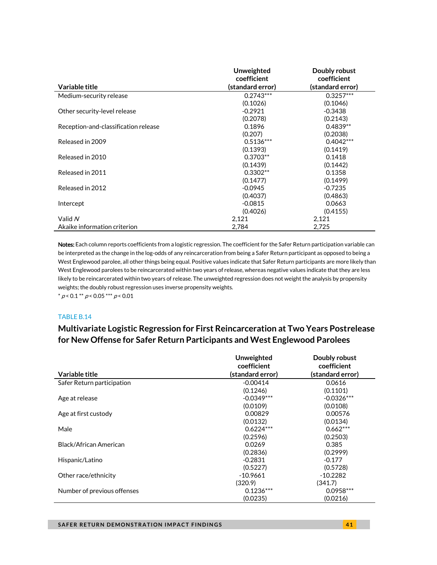|                                      | Unweighted       | Doubly robust    |
|--------------------------------------|------------------|------------------|
|                                      | coefficient      | coefficient      |
| Variable title                       | (standard error) | (standard error) |
| Medium-security release              | $0.2743***$      | $0.3257***$      |
|                                      | (0.1026)         | (0.1046)         |
| Other security-level release         | $-0.2921$        | $-0.3438$        |
|                                      | (0.2078)         | (0.2143)         |
| Reception-and-classification release | 0.1896           | $0.4839**$       |
|                                      | (0.207)          | (0.2038)         |
| Released in 2009                     | $0.5136***$      | $0.4042***$      |
|                                      | (0.1393)         | (0.1419)         |
| Released in 2010                     | $0.3703**$       | 0.1418           |
|                                      | (0.1439)         | (0.1442)         |
| Released in 2011                     | $0.3302**$       | 0.1358           |
|                                      | (0.1477)         | (0.1499)         |
| Released in 2012                     | $-0.0945$        | $-0.7235$        |
|                                      | (0.4037)         | (0.4863)         |
| Intercept                            | $-0.0815$        | 0.0663           |
|                                      | (0.4026)         | (0.4155)         |
| Valid N                              | 2,121            | 2,121            |
| Akaike information criterion         | 2,784            | 2,725            |

Notes: Each column reports coefficients from a logistic regression. The coefficient for the Safer Return participation variable can be interpreted as the change in the log-odds of any reincarceration from being a Safer Return participant as opposed to being a West Englewood parolee, all other things being equal. Positive values indicate that Safer Return participants are more likely than West Englewood parolees to be reincarcerated within two years of release, whereas negative values indicate that they are less likely to be reincarcerated within two years of release. The unweighted regression does not weight the analysis by propensity weights; the doubly robust regression uses inverse propensity weights.  $* p < 0.1 ** p < 0.05 ** p < 0.01$ 

#### TABLE B.14

## **Multivariate Logistic Regression for First Reincarceration at Two Years Postrelease for New Offense for Safer Return Participants and West Englewood Parolees**

|                             | Unweighted       | Doubly robust    |  |
|-----------------------------|------------------|------------------|--|
|                             | coefficient      | coefficient      |  |
| Variable title              | (standard error) | (standard error) |  |
| Safer Return participation  | $-0.00414$       | 0.0616           |  |
|                             | (0.1246)         | (0.1101)         |  |
| Age at release              | $-0.0349***$     | $-0.0326***$     |  |
|                             | (0.0109)         | (0.0108)         |  |
| Age at first custody        | 0.00829          | 0.00576          |  |
|                             | (0.0132)         | (0.0134)         |  |
| Male                        | $0.6224***$      | $0.662***$       |  |
|                             | (0.2596)         | (0.2503)         |  |
| Black/African American      | 0.0269           | 0.385            |  |
|                             | (0.2836)         | (0.2999)         |  |
| Hispanic/Latino             | $-0.2831$        | $-0.177$         |  |
|                             | (0.5227)         | (0.5728)         |  |
| Other race/ethnicity        | $-10.9661$       | $-10.2282$       |  |
|                             | (320.9)          | (341.7)          |  |
| Number of previous offenses | $0.1236***$      | $0.0958***$      |  |
|                             | (0.0235)         | (0.0216)         |  |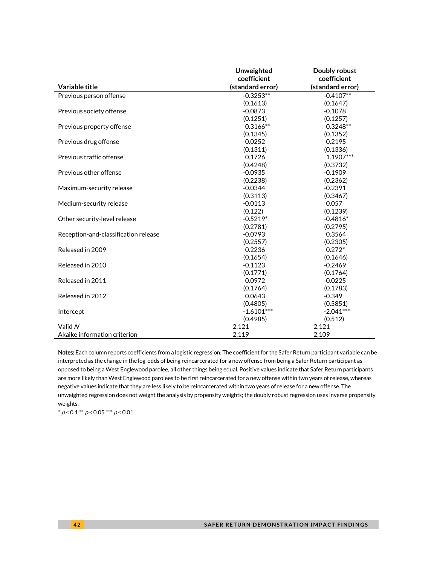|                                      | Unweighted       | Doubly robust    |
|--------------------------------------|------------------|------------------|
|                                      | coefficient      | coefficient      |
| Variable title                       | (standard error) | (standard error) |
| Previous person offense              | $-0.3253**$      | $-0.4107**$      |
|                                      | (0.1613)         | (0.1647)         |
| Previous society offense             | $-0.0873$        | $-0.1078$        |
|                                      | (0.1251)         | (0.1257)         |
| Previous property offense            | $0.3166**$       | $0.3248**$       |
|                                      | (0.1345)         | (0.1352)         |
| Previous drug offense                | 0.0252           | 0.2195           |
|                                      | (0.1311)         | (0.1336)         |
| Previous traffic offense             | 0.1726           | 1.1907***        |
|                                      | (0.4248)         | (0.3732)         |
| Previous other offense               | $-0.0935$        | $-0.1909$        |
|                                      | (0.2238)         | (0.2362)         |
| Maximum-security release             | $-0.0344$        | $-0.2391$        |
|                                      | (0.3113)         | (0.3467)         |
| Medium-security release              | $-0.0113$        | 0.057            |
|                                      | (0.122)          | (0.1239)         |
| Other security-level release         | $-0.5219*$       | $-0.4816*$       |
|                                      | (0.2781)         | (0.2795)         |
| Reception-and-classification release | $-0.0793$        | 0.3564           |
|                                      | (0.2557)         | (0.2305)         |
| Released in 2009                     | 0.2236           | $0.272*$         |
|                                      | (0.1654)         | (0.1646)         |
| Released in 2010                     | $-0.1123$        | $-0.2469$        |
|                                      | (0.1771)         | (0.1764)         |
| Released in 2011                     | 0.0972           | $-0.0225$        |
|                                      | (0.1764)         | (0.1783)         |
| Released in 2012                     | 0.0643           | $-0.349$         |
|                                      | (0.4805)         | (0.5851)         |
| Intercept                            | $-1.6101***$     | $-2.041***$      |
|                                      | (0.4985)         | (0.512)          |
| Valid N                              | 2,121            | 2,121            |
| Akaike information criterion         | 2,119            | 2,109            |

Notes: Each column reports coefficients from a logistic regression. The coefficient for the Safer Return participant variable can be interpreted as the change in the log-odds of being reincarcerated for a new offense from being a Safer Return participant as opposed to being a West Englewood parolee, all other things being equal. Positive values indicate that Safer Return participants are more likely than West Englewood parolees to be first reincarcerated for a new offense within two years of release, whereas negative values indicate that they are less likely to be reincarcerated within two years of release for a new offense. The unweighted regression does not weight the analysis by propensity weights; the doubly robust regression uses inverse propensity weights.

 $* p < 0.1** p < 0.05*** p < 0.01*$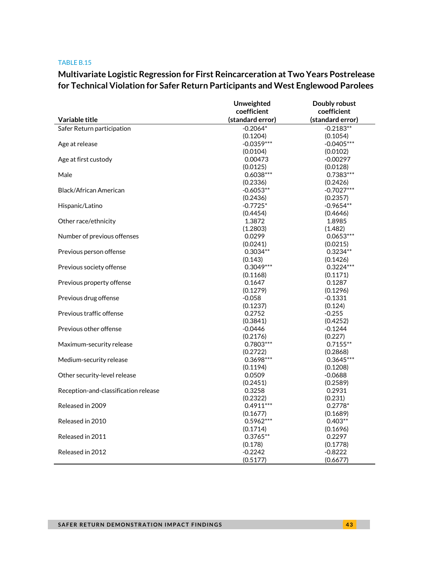# **Multivariate Logistic Regression for First Reincarceration at Two Years Postrelease for Technical Violation for Safer Return Participants and West Englewood Parolees**

|                                      | Unweighted       | Doubly robust    |
|--------------------------------------|------------------|------------------|
|                                      | coefficient      | coefficient      |
| Variable title                       | (standard error) | (standard error) |
| Safer Return participation           | $-0.2064*$       | $-0.2183**$      |
|                                      | (0.1204)         | (0.1054)         |
| Age at release                       | $-0.0359***$     | $-0.0405***$     |
|                                      | (0.0104)         | (0.0102)         |
| Age at first custody                 | 0.00473          | $-0.00297$       |
|                                      | (0.0125)         | (0.0128)         |
| Male                                 | $0.6038***$      | $0.7383***$      |
|                                      | (0.2336)         | (0.2426)         |
| Black/African American               | $-0.6053**$      | $-0.7027***$     |
|                                      | (0.2436)         | (0.2357)         |
| Hispanic/Latino                      | $-0.7725*$       | $-0.9654**$      |
|                                      | (0.4454)         | (0.4646)         |
| Other race/ethnicity                 | 1.3872           | 1.8985           |
|                                      | (1.2803)         | (1.482)          |
| Number of previous offenses          | 0.0299           | $0.0653***$      |
|                                      | (0.0241)         | (0.0215)         |
| Previous person offense              | $0.3034**$       | $0.3234**$       |
|                                      | (0.143)          | (0.1426)         |
| Previous society offense             | $0.3049***$      | $0.3224***$      |
|                                      | (0.1168)         | (0.1171)         |
| Previous property offense            | 0.1647           | 0.1287           |
|                                      | (0.1279)         | (0.1296)         |
| Previous drug offense                | $-0.058$         | $-0.1331$        |
|                                      | (0.1237)         | (0.124)          |
| Previous traffic offense             | 0.2752           | $-0.255$         |
|                                      | (0.3841)         | (0.4252)         |
| Previous other offense               | $-0.0446$        | $-0.1244$        |
|                                      | (0.2176)         | (0.227)          |
| Maximum-security release             | 0.7803***        | $0.7155**$       |
|                                      | (0.2722)         | (0.2868)         |
| Medium-security release              | 0.3698***        | $0.3645***$      |
|                                      | (0.1194)         | (0.1208)         |
| Other security-level release         | 0.0509           | $-0.0688$        |
|                                      | (0.2451)         | (0.2589)         |
| Reception-and-classification release | 0.3258           | 0.2931           |
|                                      | (0.2322)         | (0.231)          |
| Released in 2009                     | $0.4911***$      | $0.2778*$        |
|                                      | (0.1677)         | (0.1689)         |
| Released in 2010                     | $0.5962***$      | $0.403**$        |
|                                      | (0.1714)         | (0.1696)         |
| Released in 2011                     | $0.3765**$       | 0.2297           |
|                                      | (0.178)          | (0.1778)         |
| Released in 2012                     | $-0.2242$        | $-0.8222$        |
|                                      | (0.5177)         | (0.6677)         |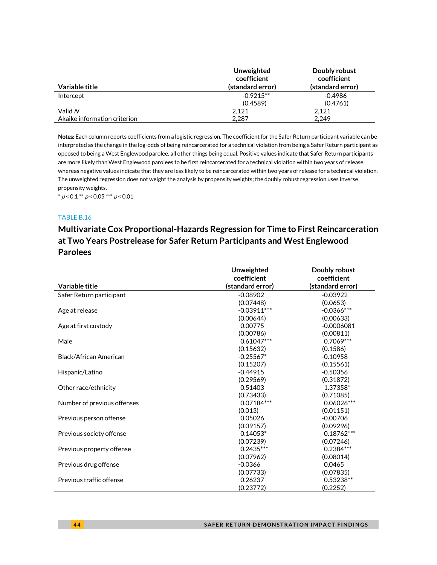|                              | Unweighted<br>coefficient | Doubly robust<br>coefficient |
|------------------------------|---------------------------|------------------------------|
| Variable title               | (standard error)          | (standard error)             |
| Intercept                    | $-0.9215**$               | $-0.4986$                    |
|                              | (0.4589)                  | (0.4761)                     |
| Valid N                      | 2.121                     | 2.121                        |
| Akaike information criterion | 2.287                     | 2.249                        |

Notes: Each column reports coefficients from a logistic regression. The coefficient for the Safer Return participant variable can be interpreted as the change in the log-odds of being reincarcerated for a technical violation from being a Safer Return participant as opposed to being a West Englewood parolee, all other things being equal. Positive values indicate that Safer Return participants are more likely than West Englewood parolees to be first reincarcerated for a technical violation within two years of release, whereas negative values indicate that they are less likely to be reincarcerated within two years of release for a technical violation. The unweighted regression does not weight the analysis by propensity weights; the doubly robust regression uses inverse propensity weights.

 $* p < 0.1 ** p < 0.05 ** p < 0.01$ 

### TABLE B.16

# **Multivariate Cox Proportional-Hazards Regression for Time to First Reincarceration at Two Years Postrelease for Safer Return Participants and West Englewood Parolees**

|                             | Unweighted       | Doubly robust    |
|-----------------------------|------------------|------------------|
|                             | coefficient      | coefficient      |
| Variable title              | (standard error) | (standard error) |
| Safer Return participant    | $-0.08902$       | $-0.03922$       |
|                             | (0.07448)        | (0.0653)         |
| Age at release              | $-0.03911***$    | $-0.0366***$     |
|                             | (0.00644)        | (0.00633)        |
| Age at first custody        | 0.00775          | $-0.0006081$     |
|                             | (0.00786)        | (0.00811)        |
| Male                        | $0.61047***$     | $0.7069***$      |
|                             | (0.15632)        | (0.1586)         |
| Black/African American      | $-0.25567*$      | $-0.10958$       |
|                             | (0.15207)        | (0.15561)        |
| Hispanic/Latino             | $-0.44915$       | $-0.50356$       |
|                             | (0.29569)        | (0.31872)        |
| Other race/ethnicity        | 0.51403          | 1.37358*         |
|                             | (0.73433)        | (0.71085)        |
| Number of previous offenses | $0.07184***$     | $0.06026***$     |
|                             | (0.013)          | (0.01151)        |
| Previous person offense     | 0.05026          | $-0.00706$       |
|                             | (0.09157)        | (0.09296)        |
| Previous society offense    | $0.14053*$       | $0.18762***$     |
|                             | (0.07239)        | (0.07246)        |
| Previous property offense   | $0.2435***$      | $0.2384***$      |
|                             | (0.07962)        | (0.08014)        |
| Previous drug offense       | $-0.0366$        | 0.0465           |
|                             | (0.07733)        | (0.07835)        |
| Previous traffic offense    | 0.26237          | 0.53238**        |
|                             | (0.23772)        | (0.2252)         |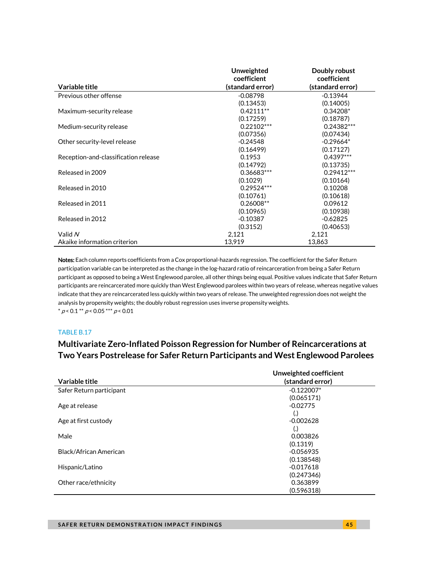|                                      | Unweighted<br>coefficient | Doubly robust<br>coefficient |
|--------------------------------------|---------------------------|------------------------------|
| Variable title                       | (standard error)          | (standard error)             |
| Previous other offense               | $-0.08798$                | $-0.13944$                   |
|                                      | (0.13453)                 | (0.14005)                    |
| Maximum-security release             | $0.42111**$               | $0.34208*$                   |
|                                      | (0.17259)                 | (0.18787)                    |
| Medium-security release              | $0.22102***$              | 0.24382***                   |
|                                      | (0.07356)                 | (0.07434)                    |
| Other security-level release         | $-0.24548$                | $-0.29664*$                  |
|                                      | (0.16499)                 | (0.17127)                    |
| Reception-and-classification release | 0.1953                    | $0.4397***$                  |
|                                      | (0.14792)                 | (0.13735)                    |
| Released in 2009                     | 0.36683***                | $0.29412***$                 |
|                                      | (0.1029)                  | (0.10164)                    |
| Released in 2010                     | 0.29524 ***               | 0.10208                      |
|                                      | (0.10761)                 | (0.10618)                    |
| Released in 2011                     | 0.26008**                 | 0.09612                      |
|                                      | (0.10965)                 | (0.10938)                    |
| Released in 2012                     | $-0.10387$                | $-0.62825$                   |
|                                      | (0.3152)                  | (0.40653)                    |
| Valid $N$                            | 2,121                     | 2,121                        |
| Akaike information criterion         | 13.919                    | 13.863                       |

Notes: Each column reports coefficients from a Cox proportional-hazards regression. The coefficient for the Safer Return participation variable can be interpreted as the change in the log-hazard ratio of reincarceration from being a Safer Return participant as opposed to being a West Englewood parolee, all other things being equal. Positive values indicate that Safer Return participants are reincarcerated more quickly than West Englewood parolees within two years of release, whereas negative values indicate that they are reincarcerated less quickly within two years of release. The unweighted regression does not weight the analysis by propensity weights; the doubly robust regression uses inverse propensity weights.  $* p < 0.1** p < 0.05*** p < 0.01*$ 

### TABLE B.17

## **Multivariate Zero-Inflated Poisson Regression for Number of Reincarcerations at Two Years Postrelease for Safer Return Participants and West Englewood Parolees**

| Variable title           | Unweighted coefficient<br>(standard error) |
|--------------------------|--------------------------------------------|
| Safer Return participant | $-0.122007*$                               |
|                          | (0.065171)                                 |
| Age at release           | $-0.02775$                                 |
|                          | $\left( .\right)$                          |
| Age at first custody     | $-0.002628$                                |
|                          | $\left( .\right)$                          |
| Male                     | 0.003826                                   |
|                          | (0.1319)                                   |
| Black/African American   | $-0.056935$                                |
|                          | (0.138548)                                 |
| Hispanic/Latino          | $-0.017618$                                |
|                          | (0.247346)                                 |
| Other race/ethnicity     | 0.363899                                   |
|                          | (0.596318)                                 |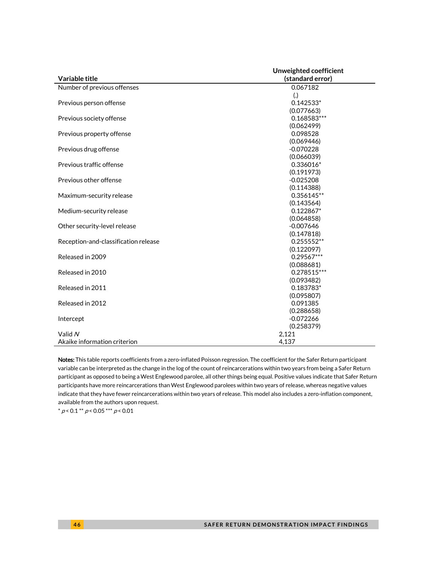|                                      | Unweighted coefficient |  |
|--------------------------------------|------------------------|--|
| Variable title                       | (standard error)       |  |
| Number of previous offenses          | 0.067182               |  |
|                                      | $\left( . \right)$     |  |
| Previous person offense              | $0.142533*$            |  |
|                                      | (0.077663)             |  |
| Previous society offense             | 0.168583***            |  |
|                                      | (0.062499)             |  |
| Previous property offense            | 0.098528               |  |
|                                      | (0.069446)             |  |
| Previous drug offense                | $-0.070228$            |  |
|                                      | (0.066039)             |  |
| Previous traffic offense             | $0.336016*$            |  |
|                                      | (0.191973)             |  |
| Previous other offense               | $-0.025208$            |  |
|                                      | (0.114388)             |  |
| Maximum-security release             | 0.356145**             |  |
|                                      | (0.143564)             |  |
| Medium-security release              | $0.122867*$            |  |
|                                      | (0.064858)             |  |
| Other security-level release         | $-0.007646$            |  |
|                                      | (0.147818)             |  |
| Reception-and-classification release | $0.255552**$           |  |
|                                      | (0.122097)             |  |
| Released in 2009                     | $0.29567***$           |  |
|                                      | (0.088681)             |  |
| Released in 2010                     | 0.278515***            |  |
|                                      | (0.093482)             |  |
| Released in 2011                     | 0.183783*              |  |
|                                      | (0.095807)             |  |
| Released in 2012                     | 0.091385               |  |
|                                      | (0.288658)             |  |
| Intercept                            | $-0.072266$            |  |
|                                      | (0.258379)             |  |
| Valid N                              | 2,121                  |  |
| Akaike information criterion         | 4,137                  |  |

Notes: This table reports coefficients from a zero-inflated Poisson regression. The coefficient for the Safer Return participant variable can be interpreted as the change in the log of the count of reincarcerations within two years from being a Safer Return participant as opposed to being a West Englewood parolee, all other things being equal. Positive values indicate that Safer Return participants have more reincarcerations than West Englewood parolees within two years of release, whereas negative values indicate that they have fewer reincarcerations within two years of release. This model also includes a zero-inflation component, available from the authors upon request.

 $^*$   $\rho$  < 0.1  $^{**}$   $\rho$  < 0.05  $^{***}$   $\rho$  < 0.01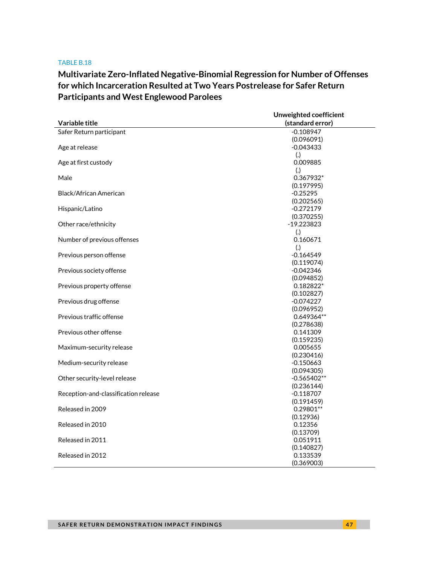# **Multivariate Zero-Inflated Negative-Binomial Regression for Number of Offenses for which Incarceration Resulted at Two Years Postrelease for Safer Return Participants and West Englewood Parolees**

|                                      | Unweighted coefficient    |  |
|--------------------------------------|---------------------------|--|
| Variable title                       | (standard error)          |  |
| Safer Return participant             | $-0.108947$               |  |
|                                      | (0.096091)                |  |
| Age at release                       | $-0.043433$               |  |
|                                      | (.)                       |  |
| Age at first custody                 | 0.009885                  |  |
|                                      | (.)                       |  |
| Male                                 | 0.367932*                 |  |
|                                      | (0.197995)                |  |
| Black/African American               | $-0.25295$                |  |
|                                      | (0.202565)                |  |
| Hispanic/Latino                      | $-0.272179$               |  |
|                                      | (0.370255)                |  |
| Other race/ethnicity                 | $-19.223823$              |  |
|                                      | $\left( .\right)$         |  |
| Number of previous offenses          | 0.160671                  |  |
| Previous person offense              | (.)<br>$-0.164549$        |  |
|                                      | (0.119074)                |  |
| Previous society offense             | $-0.042346$               |  |
|                                      | (0.094852)                |  |
| Previous property offense            | 0.182822*                 |  |
|                                      | (0.102827)                |  |
| Previous drug offense                | $-0.074227$               |  |
|                                      | (0.096952)                |  |
| Previous traffic offense             | 0.649364**                |  |
|                                      | (0.278638)                |  |
| Previous other offense               | 0.141309                  |  |
|                                      | (0.159235)                |  |
| Maximum-security release             | 0.005655                  |  |
|                                      | (0.230416)                |  |
| Medium-security release              | $-0.150663$               |  |
|                                      | (0.094305)                |  |
| Other security-level release         | $-0.565402**$             |  |
|                                      | (0.236144)                |  |
| Reception-and-classification release | $-0.118707$               |  |
| Released in 2009                     | (0.191459)<br>$0.29801**$ |  |
|                                      | (0.12936)                 |  |
| Released in 2010                     | 0.12356                   |  |
|                                      | (0.13709)                 |  |
| Released in 2011                     | 0.051911                  |  |
|                                      | (0.140827)                |  |
| Released in 2012                     | 0.133539                  |  |
|                                      | (0.369003)                |  |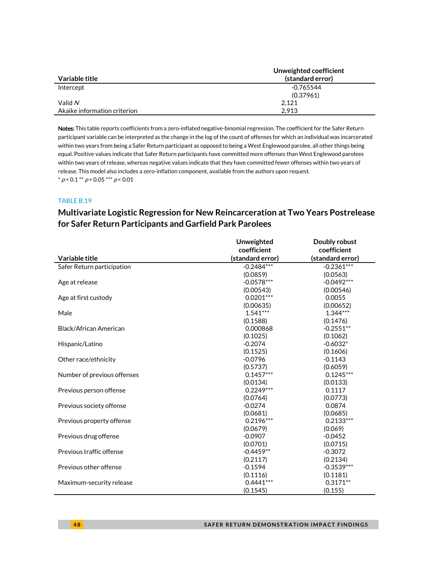|                              | Unweighted coefficient |
|------------------------------|------------------------|
| Variable title               | (standard error)       |
| Intercept                    | -0.765544              |
|                              | (0.37961)              |
| Valid $N$                    | 2.121                  |
| Akaike information criterion | 2.913                  |

Notes: This table reports coefficients from a zero-inflated negative-binomial regression. The coefficient for the Safer Return participant variable can be interpreted as the change in the log of the count of offenses for which an individual was incarcerated within two years from being a Safer Return participant as opposed to being a West Englewood parolee, all other things being equal. Positive values indicate that Safer Return participants have committed more offenses than West Englewood parolees within two years of release, whereas negative values indicate that they have committed fewer offenses within two years of release. This model also includes a zero-inflation component, available from the authors upon request.  $^*$   $\rho$  < 0.1  $^{**}$   $\rho$  < 0.05  $^{***}$   $\rho$  < 0.01

### TABLE B.19

# **Multivariate Logistic Regression for New Reincarceration at Two Years Postrelease for Safer Return Participants and Garfield Park Parolees**

|                             | <b>Unweighted</b> | Doubly robust    |
|-----------------------------|-------------------|------------------|
|                             | coefficient       | coefficient      |
| Variable title              | (standard error)  | (standard error) |
| Safer Return participation  | $-0.2484***$      | $-0.2361***$     |
|                             | (0.0859)          | (0.0563)         |
| Age at release              | $-0.0578***$      | $-0.0492***$     |
|                             | (0.00543)         | (0.00546)        |
| Age at first custody        | $0.0201***$       | 0.0055           |
|                             | (0.00635)         | (0.00652)        |
| Male                        | $1.541***$        | $1.344***$       |
|                             | (0.1588)          | (0.1476)         |
| Black/African American      | 0.000868          | $-0.2551**$      |
|                             | (0.1025)          | (0.1062)         |
| Hispanic/Latino             | $-0.2074$         | $-0.6032*$       |
|                             | (0.1525)          | (0.1606)         |
| Other race/ethnicity        | $-0.0796$         | $-0.1143$        |
|                             | (0.5737)          | (0.6059)         |
| Number of previous offenses | $0.1457***$       | $0.1245***$      |
|                             | (0.0134)          | (0.0133)         |
| Previous person offense     | $0.2249***$       | 0.1117           |
|                             | (0.0764)          | (0.0773)         |
| Previous society offense    | $-0.0274$         | 0.0874           |
|                             | (0.0681)          | (0.0685)         |
| Previous property offense   | $0.2196***$       | $0.2133***$      |
|                             | (0.0679)          | (0.069)          |
| Previous drug offense       | $-0.0907$         | $-0.0452$        |
|                             | (0.0701)          | (0.0715)         |
| Previous traffic offense    | $-0.4459**$       | $-0.3072$        |
|                             | (0.2117)          | (0.2134)         |
| Previous other offense      | $-0.1594$         | $-0.3539***$     |
|                             | (0.1116)          | (0.1181)         |
| Maximum-security release    | $0.4441***$       | $0.3171**$       |
|                             | (0.1545)          | (0.155)          |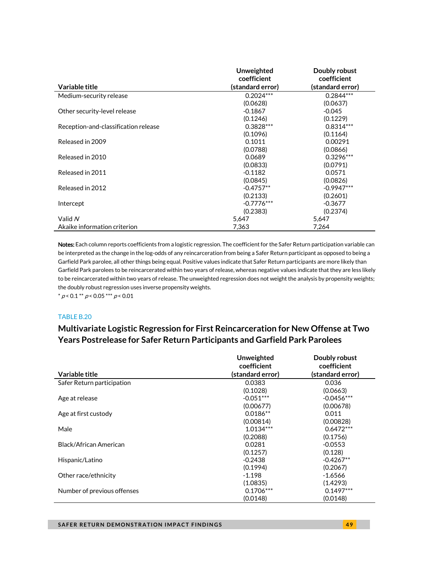|                                      | <b>Unweighted</b><br>coefficient | Doubly robust<br>coefficient |
|--------------------------------------|----------------------------------|------------------------------|
| Variable title                       | (standard error)                 | (standard error)             |
| Medium-security release              | $0.2024***$                      | $0.2844***$                  |
|                                      | (0.0628)                         | (0.0637)                     |
| Other security-level release         | $-0.1867$                        | $-0.045$                     |
|                                      | (0.1246)                         | (0.1229)                     |
| Reception-and-classification release | $0.3828***$                      | $0.8314***$                  |
|                                      | (0.1096)                         | (0.1164)                     |
| Released in 2009                     | 0.1011                           | 0.00291                      |
|                                      | (0.0788)                         | (0.0866)                     |
| Released in 2010                     | 0.0689                           | $0.3296***$                  |
|                                      | (0.0833)                         | (0.0791)                     |
| Released in 2011                     | $-0.1182$                        | 0.0571                       |
|                                      | (0.0845)                         | (0.0826)                     |
| Released in 2012                     | $-0.4757**$                      | $-0.9947***$                 |
|                                      | (0.2133)                         | (0.2601)                     |
| Intercept                            | $-0.7776***$                     | $-0.3677$                    |
|                                      | (0.2383)                         | (0.2374)                     |
| Valid N                              | 5,647                            | 5,647                        |
| Akaike information criterion         | 7,363                            | 7,264                        |

Notes: Each column reports coefficients from a logistic regression. The coefficient for the Safer Return participation variable can be interpreted as the change in the log-odds of any reincarceration from being a Safer Return participant as opposed to being a Garfield Park parolee, all other things being equal. Positive values indicate that Safer Return participants are more likely than Garfield Park parolees to be reincarcerated within two years of release, whereas negative values indicate that they are less likely to be reincarcerated within two years of release. The unweighted regression does not weight the analysis by propensity weights; the doubly robust regression uses inverse propensity weights.

 $* p < 0.1 ** p < 0.05 ** p < 0.01$ 

### TABLE B.20

# **Multivariate Logistic Regression for First Reincarceration for New Offense at Two Years Postrelease for Safer Return Participants and Garfield Park Parolees**

| Variable title              | Unweighted<br>coefficient<br>(standard error) | Doubly robust<br>coefficient<br>(standard error) |
|-----------------------------|-----------------------------------------------|--------------------------------------------------|
|                             |                                               |                                                  |
|                             | (0.1028)                                      | (0.0663)                                         |
| Age at release              | $-0.051***$                                   | $-0.0456***$                                     |
|                             | (0.00677)                                     | (0.00678)                                        |
| Age at first custody        | $0.0186**$                                    | 0.011                                            |
|                             | (0.00814)                                     | (0.00828)                                        |
| Male                        | $1.0134***$                                   | $0.6472***$                                      |
|                             | (0.2088)                                      | (0.1756)                                         |
| Black/African American      | 0.0281                                        | $-0.0553$                                        |
|                             | (0.1257)                                      | (0.128)                                          |
| Hispanic/Latino             | $-0.2438$                                     | $-0.4267**$                                      |
|                             | (0.1994)                                      | (0.2067)                                         |
| Other race/ethnicity        | $-1.198$                                      | $-1.6566$                                        |
|                             | (1.0835)                                      | (1.4293)                                         |
| Number of previous offenses | $0.1706***$                                   | $0.1497***$                                      |
|                             | (0.0148)                                      | (0.0148)                                         |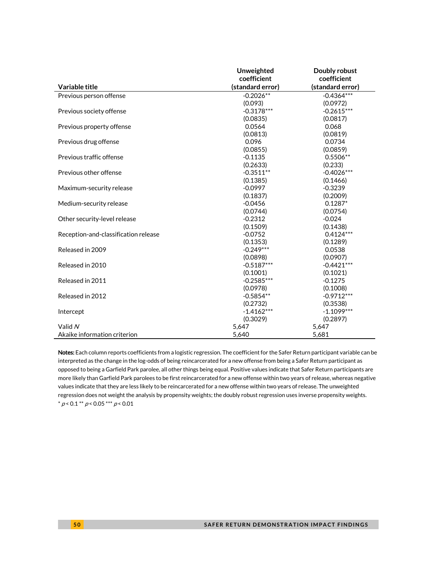|                                      | Unweighted       | Doubly robust    |
|--------------------------------------|------------------|------------------|
|                                      | coefficient      | coefficient      |
| Variable title                       | (standard error) | (standard error) |
| Previous person offense              | $-0.2026**$      | $-0.4364$ ***    |
|                                      | (0.093)          | (0.0972)         |
| Previous society offense             | $-0.3178***$     | $-0.2615***$     |
|                                      | (0.0835)         | (0.0817)         |
| Previous property offense            | 0.0564           | 0.068            |
|                                      | (0.0813)         | (0.0819)         |
| Previous drug offense                | 0.096            | 0.0734           |
|                                      | (0.0855)         | (0.0859)         |
| Previous traffic offense             | $-0.1135$        | $0.5506**$       |
|                                      | (0.2633)         | (0.233)          |
| Previous other offense               | $-0.3511**$      | $-0.4026***$     |
|                                      | (0.1385)         | (0.1466)         |
| Maximum-security release             | $-0.0997$        | $-0.3239$        |
|                                      | (0.1837)         | (0.2009)         |
| Medium-security release              | $-0.0456$        | $0.1287*$        |
|                                      | (0.0744)         | (0.0754)         |
| Other security-level release         | $-0.2312$        | $-0.024$         |
|                                      | (0.1509)         | (0.1438)         |
| Reception-and-classification release | $-0.0752$        | $0.4124***$      |
|                                      | (0.1353)         | (0.1289)         |
| Released in 2009                     | $-0.249***$      | 0.0538           |
|                                      | (0.0898)         | (0.0907)         |
| Released in 2010                     | $-0.5187***$     | $-0.4421***$     |
|                                      | (0.1001)         | (0.1021)         |
| Released in 2011                     | $-0.2585***$     | $-0.1275$        |
|                                      | (0.0978)         | (0.1008)         |
| Released in 2012                     | $-0.5854**$      | $-0.9712***$     |
|                                      | (0.2732)         | (0.3538)         |
| Intercept                            | $-1.4162***$     | $-1.1099***$     |
|                                      | (0.3029)         | (0.2897)         |
| Valid N                              | 5,647            | 5,647            |
| Akaike information criterion         | 5,640            | 5,681            |

Notes: Each column reports coefficients from a logistic regression. The coefficient for the Safer Return participant variable can be interpreted as the change in the log-odds of being reincarcerated for a new offense from being a Safer Return participant as opposed to being a Garfield Park parolee, all other things being equal. Positive values indicate that Safer Return participants are more likely than Garfield Park parolees to be first reincarcerated for a new offense within two years of release, whereas negative values indicate that they are less likely to be reincarcerated for a new offense within two years of release. The unweighted regression does not weight the analysis by propensity weights; the doubly robust regression uses inverse propensity weights.  $*$  p < 0.1  $*$  p < 0.05  $*$   $*$  p < 0.01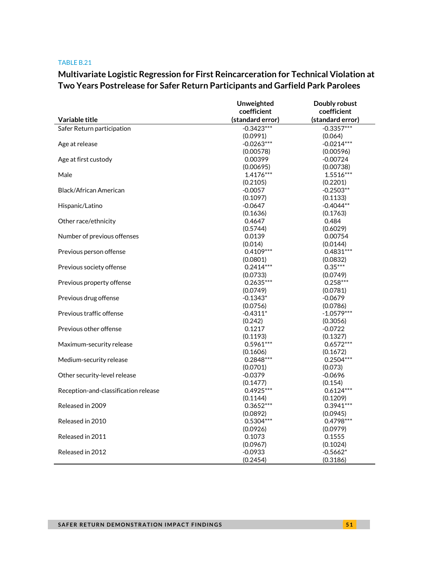# **Multivariate Logistic Regression for First Reincarceration for Technical Violation at Two Years Postrelease for Safer Return Participants and Garfield Park Parolees**

|                                      | Unweighted       | Doubly robust    |
|--------------------------------------|------------------|------------------|
|                                      | coefficient      | coefficient      |
| Variable title                       | (standard error) | (standard error) |
| Safer Return participation           | $-0.3423***$     | $-0.3357***$     |
|                                      | (0.0991)         | (0.064)          |
| Age at release                       | $-0.0263***$     | $-0.0214***$     |
|                                      | (0.00578)        | (0.00596)        |
| Age at first custody                 | 0.00399          | $-0.00724$       |
|                                      | (0.00695)        | (0.00738)        |
| Male                                 | $1.4176***$      | $1.5516***$      |
|                                      | (0.2105)         | (0.2201)         |
| <b>Black/African American</b>        | $-0.0057$        | $-0.2503**$      |
|                                      | (0.1097)         | (0.1133)         |
| Hispanic/Latino                      | $-0.0647$        | $-0.4044**$      |
|                                      | (0.1636)         | (0.1763)         |
| Other race/ethnicity                 | 0.4647           | 0.484            |
|                                      | (0.5744)         | (0.6029)         |
| Number of previous offenses          | 0.0139           | 0.00754          |
|                                      | (0.014)          | (0.0144)         |
| Previous person offense              | $0.4109***$      | $0.4831***$      |
|                                      | (0.0801)         | (0.0832)         |
| Previous society offense             | $0.2414***$      | $0.35***$        |
|                                      | (0.0733)         | (0.0749)         |
| Previous property offense            | $0.2635***$      | $0.258***$       |
|                                      | (0.0749)         | (0.0781)         |
| Previous drug offense                | $-0.1343*$       | -0.0679          |
|                                      | (0.0756)         | (0.0786)         |
| Previous traffic offense             | $-0.4311*$       | $-1.0579***$     |
|                                      | (0.242)          | (0.3056)         |
| Previous other offense               | 0.1217           | $-0.0722$        |
|                                      | (0.1193)         | (0.1327)         |
| Maximum-security release             | $0.5961***$      | $0.6572***$      |
|                                      | (0.1606)         | (0.1672)         |
| Medium-security release              | $0.2848***$      | $0.2504***$      |
|                                      | (0.0701)         | (0.073)          |
| Other security-level release         | $-0.0379$        | -0.0696          |
|                                      | (0.1477)         | (0.154)          |
| Reception-and-classification release | $0.4925***$      | $0.6124***$      |
|                                      | (0.1144)         | (0.1209)         |
| Released in 2009                     | $0.3652***$      | $0.3941***$      |
|                                      | (0.0892)         | (0.0945)         |
| Released in 2010                     | $0.5304***$      | $0.4798***$      |
|                                      | (0.0926)         | (0.0979)         |
| Released in 2011                     | 0.1073           | 0.1555           |
|                                      | (0.0967)         | (0.1024)         |
| Released in 2012                     | $-0.0933$        | $-0.5662*$       |
|                                      | (0.2454)         | (0.3186)         |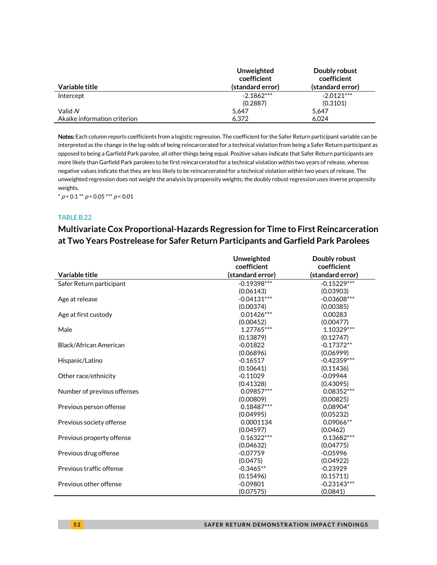|                              | Unweighted<br>coefficient | Doubly robust<br>coefficient |
|------------------------------|---------------------------|------------------------------|
| Variable title               | (standard error)          | (standard error)             |
| Intercept                    | $-2.1862***$              | $-2.0121***$                 |
|                              | (0.2887)                  | (0.3101)                     |
| Valid N                      | 5.647                     | 5.647                        |
| Akaike information criterion | 6.372                     | 6.024                        |

Notes: Each column reports coefficients from a logistic regression. The coefficient for the Safer Return participant variable can be interpreted as the change in the log-odds of being reincarcerated for a technical violation from being a Safer Return participant as opposed to being a Garfield Park parolee, all other things being equal. Positive values indicate that Safer Return participants are more likely than Garfield Park parolees to be first reincarcerated for a technical violation within two years of release, whereas negative values indicate that they are less likely to be reincarcerated for a technical violation within two years of release. The unweighted regression does not weight the analysis by propensity weights; the doubly robust regression uses inverse propensity weights.

 $* p < 0.1 ** p < 0.05 ** p < 0.01$ 

### TABLE B.22

# **Multivariate Cox Proportional-Hazards Regression for Time to First Reincarceration at Two Years Postrelease for Safer Return Participants and Garfield Park Parolees**

| Variable title              | Unweighted<br>coefficient<br>(standard error) | Doubly robust<br>coefficient<br>(standard error) |
|-----------------------------|-----------------------------------------------|--------------------------------------------------|
|                             | $-0.19398***$                                 |                                                  |
| Safer Return participant    |                                               | $-0.15229***$                                    |
|                             | (0.06143)<br>$-0.04131***$                    | (0.03903)                                        |
| Age at release              |                                               | $-0.03608***$                                    |
|                             | (0.00374)                                     | (0.00385)<br>0.00283                             |
| Age at first custody        | $0.01426***$                                  |                                                  |
|                             | (0.00452)                                     | (0.00477)                                        |
| Male                        | 1.27765***                                    | 1.10329 ***                                      |
|                             | (0.13879)                                     | (0.12747)                                        |
| Black/African American      | $-0.01822$                                    | $-0.17372**$                                     |
|                             | (0.06896)                                     | (0.06999)                                        |
| Hispanic/Latino             | $-0.16517$                                    | $-0.42359***$                                    |
|                             | (0.10641)                                     | (0.11436)                                        |
| Other race/ethnicity        | $-0.11029$                                    | $-0.09944$                                       |
|                             | (0.41328)                                     | (0.43095)                                        |
| Number of previous offenses | 0.09857***                                    | 0.08352***                                       |
|                             | (0.00809)                                     | (0.00825)                                        |
| Previous person offense     | $0.18487***$                                  | 0.08904*                                         |
|                             | (0.04995)                                     | (0.05232)                                        |
| Previous society offense    | 0.0001134                                     | $0.09066**$                                      |
|                             | (0.04597)                                     | (0.0462)                                         |
| Previous property offense   | $0.16322***$                                  | $0.13682***$                                     |
|                             | (0.04632)                                     | (0.04775)                                        |
| Previous drug offense       | $-0.07759$                                    | $-0.05996$                                       |
|                             | (0.0475)                                      | (0.04922)                                        |
| Previous traffic offense    | $-0.3465**$                                   | $-0.23929$                                       |
|                             | (0.15496)                                     | (0.15711)                                        |
| Previous other offense      | $-0.09801$                                    | $-0.23143***$                                    |
|                             | (0.07575)                                     | (0.0841)                                         |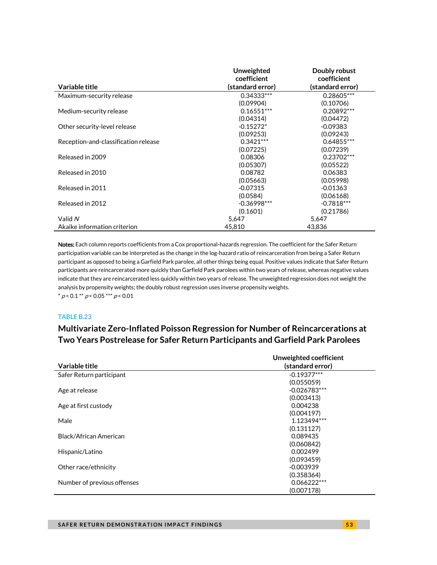|                                      | Unweighted<br>coefficient | Doubly robust<br>coefficient |
|--------------------------------------|---------------------------|------------------------------|
| Variable title                       | (standard error)          | (standard error)             |
| Maximum-security release             | $0.34333***$              | $0.28605***$                 |
|                                      | (0.09904)                 | (0.10706)                    |
| Medium-security release              | $0.16551***$              | $0.20892***$                 |
|                                      | (0.04314)                 | (0.04472)                    |
| Other security-level release         | $-0.15272*$               | $-0.09383$                   |
|                                      | (0.09253)                 | (0.09243)                    |
| Reception-and-classification release | $0.3421***$               | $0.64855***$                 |
|                                      | (0.07225)                 | (0.07239)                    |
| Released in 2009                     | 0.08306                   | 0.23702***                   |
|                                      | (0.05307)                 | (0.05522)                    |
| Released in 2010                     | 0.08782                   | 0.06383                      |
|                                      | (0.05663)                 | (0.05998)                    |
| Released in 2011                     | $-0.07315$                | $-0.01363$                   |
|                                      | (0.0584)                  | (0.06168)                    |
| Released in 2012                     | $-0.36998***$             | $-0.7818***$                 |
|                                      | (0.1601)                  | (0.21786)                    |
| Valid N                              | 5.647                     | 5,647                        |
| Akaike information criterion         | 45.810                    | 43.836                       |

Notes: Each column reports coefficients from a Cox proportional-hazards regression. The coefficient for the Safer Return participation variable can be interpreted as the change in the log-hazard ratio of reincarceration from being a Safer Return participant as opposed to being a Garfield Park parolee, all other things being equal. Positive values indicate that Safer Return participants are reincarcerated more quickly than Garfield Park parolees within two years of release, whereas negative values indicate that they are reincarcerated less quickly within two years of release. The unweighted regression does not weight the analysis by propensity weights; the doubly robust regression uses inverse propensity weights.  $* p < 0.1 ** p < 0.05*** p < 0.01$ 

### TABLE B.23

## **Multivariate Zero-Inflated Poisson Regression for Number of Reincarcerations at Two Years Postrelease for Safer Return Participants and Garfield Park Parolees**

|                               | Unweighted coefficient |
|-------------------------------|------------------------|
| Variable title                | (standard error)       |
| Safer Return participant      | $-0.19377***$          |
|                               | (0.055059)             |
| Age at release                | $-0.026783***$         |
|                               | (0.003413)             |
| Age at first custody          | 0.004238               |
|                               | (0.004197)             |
| Male                          | 1.123494***            |
|                               | (0.131127)             |
| <b>Black/African American</b> | 0.089435               |
|                               | (0.060842)             |
| Hispanic/Latino               | 0.002499               |
|                               | (0.093459)             |
| Other race/ethnicity          | $-0.003939$            |
|                               | (0.358364)             |
| Number of previous offenses   | $0.066222***$          |
|                               | (0.007178)             |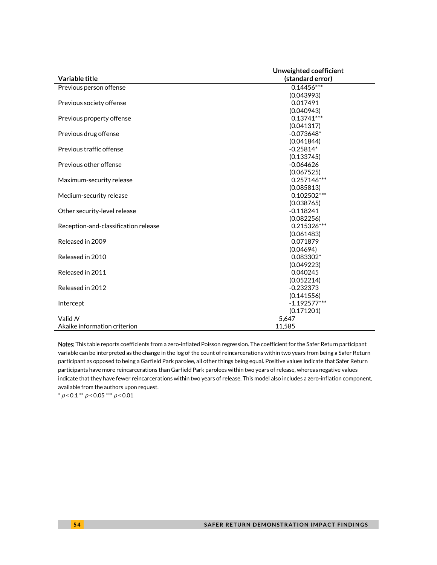|                                      | Unweighted coefficient |  |
|--------------------------------------|------------------------|--|
| Variable title                       | (standard error)       |  |
| Previous person offense              | $0.14456***$           |  |
|                                      | (0.043993)             |  |
| Previous society offense             | 0.017491               |  |
|                                      | (0.040943)             |  |
| Previous property offense            | $0.13741***$           |  |
|                                      | (0.041317)             |  |
| Previous drug offense                | $-0.073648*$           |  |
|                                      | (0.041844)             |  |
| Previous traffic offense             | $-0.25814*$            |  |
|                                      | (0.133745)             |  |
| Previous other offense               | $-0.064626$            |  |
|                                      | (0.067525)             |  |
| Maximum-security release             | $0.257146***$          |  |
|                                      | (0.085813)             |  |
| Medium-security release              | $0.102502***$          |  |
|                                      | (0.038765)             |  |
| Other security-level release         | $-0.118241$            |  |
|                                      | (0.082256)             |  |
| Reception-and-classification release | 0.215326***            |  |
|                                      | (0.061483)             |  |
| Released in 2009                     | 0.071879               |  |
|                                      | (0.04694)              |  |
| Released in 2010                     | 0.083302*              |  |
|                                      | (0.049223)             |  |
| Released in 2011                     | 0.040245               |  |
|                                      | (0.052214)             |  |
| Released in 2012                     | $-0.232373$            |  |
|                                      | (0.141556)             |  |
| Intercept                            | $-1.192577***$         |  |
|                                      | (0.171201)             |  |
| Valid N                              | 5.647                  |  |
| Akaike information criterion         | 11.585                 |  |

Notes: This table reports coefficients from a zero-inflated Poisson regression. The coefficient for the Safer Return participant variable can be interpreted as the change in the log of the count of reincarcerations within two years from being a Safer Return participant as opposed to being a Garfield Park parolee, all other things being equal. Positive values indicate that Safer Return participants have more reincarcerations than Garfield Park parolees within two years of release, whereas negative values indicate that they have fewer reincarcerations within two years of release. This model also includes a zero-inflation component, available from the authors upon request.

\*  $p < 0.1$  \*\*  $p < 0.05$  \*\*\*  $p < 0.01$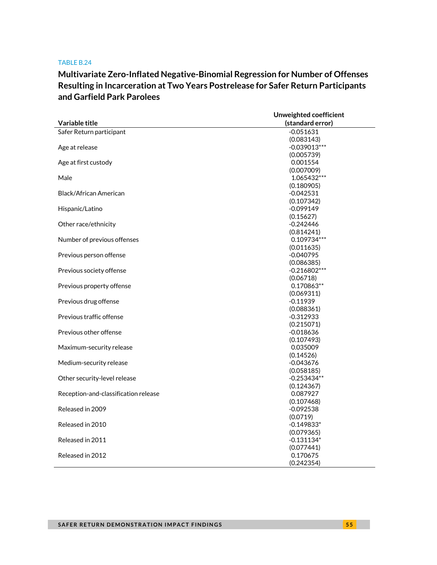# **Multivariate Zero-Inflated Negative-Binomial Regression for Number of Offenses Resulting in Incarceration at Two Years Postrelease for Safer Return Participants and Garfield Park Parolees**

|                                      | Unweighted coefficient    |  |
|--------------------------------------|---------------------------|--|
| Variable title                       | (standard error)          |  |
| Safer Return participant             | $-0.051631$               |  |
|                                      | (0.083143)                |  |
| Age at release                       | $-0.039013***$            |  |
|                                      | (0.005739)                |  |
| Age at first custody                 | 0.001554                  |  |
|                                      | (0.007009)                |  |
| Male                                 | 1.065432***               |  |
|                                      | (0.180905)                |  |
| Black/African American               | $-0.042531$               |  |
|                                      | (0.107342)                |  |
| Hispanic/Latino                      | $-0.099149$               |  |
|                                      | (0.15627)                 |  |
| Other race/ethnicity                 | $-0.242446$               |  |
| Number of previous offenses          | (0.814241)<br>0.109734*** |  |
|                                      | (0.011635)                |  |
| Previous person offense              | -0.040795                 |  |
|                                      | (0.086385)                |  |
| Previous society offense             | $-0.216802***$            |  |
|                                      | (0.06718)                 |  |
| Previous property offense            | 0.170863**                |  |
|                                      | (0.069311)                |  |
| Previous drug offense                | $-0.11939$                |  |
|                                      | (0.088361)                |  |
| Previous traffic offense             | $-0.312933$               |  |
|                                      | (0.215071)                |  |
| Previous other offense               | $-0.018636$               |  |
|                                      | (0.107493)                |  |
| Maximum-security release             | 0.035009                  |  |
|                                      | (0.14526)                 |  |
| Medium-security release              | $-0.043676$               |  |
|                                      | (0.058185)                |  |
| Other security-level release         | $-0.253434**$             |  |
|                                      | (0.124367)                |  |
| Reception-and-classification release | 0.087927                  |  |
|                                      | (0.107468)                |  |
| Released in 2009                     | $-0.092538$               |  |
|                                      | (0.0719)                  |  |
| Released in 2010                     | $-0.149833*$              |  |
|                                      | (0.079365)                |  |
| Released in 2011                     | $-0.131134*$              |  |
|                                      | (0.077441)<br>0.170675    |  |
| Released in 2012                     |                           |  |
|                                      | (0.242354)                |  |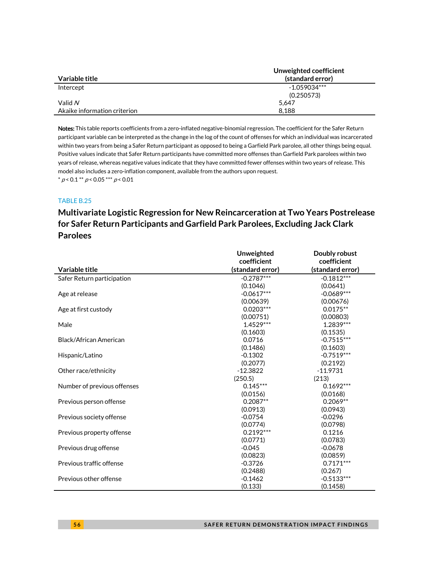|                              | Unweighted coefficient |
|------------------------------|------------------------|
| Variable title               | (standard error)       |
| Intercept                    | $-1.059034***$         |
|                              | (0.250573)             |
| Valid $N$                    | 5.647                  |
| Akaike information criterion | 8.188                  |

Notes: This table reports coefficients from a zero-inflated negative-binomial regression. The coefficient for the Safer Return participant variable can be interpreted as the change in the log of the count of offenses for which an individual was incarcerated within two years from being a Safer Return participant as opposed to being a Garfield Park parolee, all other things being equal. Positive values indicate that Safer Return participants have committed more offenses than Garfield Park parolees within two years of release, whereas negative values indicate that they have committed fewer offenses within two years of release. This model also includes a zero-inflation component, available from the authors upon request.  $* p < 0.1 ** p < 0.05*** p < 0.01$ 

## TABLE B.25

# **Multivariate Logistic Regression for New Reincarceration at Two Years Postrelease for Safer Return Participants and Garfield Park Parolees, Excluding Jack Clark Parolees**

|                             | Unweighted       | Doubly robust    |
|-----------------------------|------------------|------------------|
|                             | coefficient      | coefficient      |
| Variable title              | (standard error) | (standard error) |
| Safer Return participation  | $-0.2787***$     | $-0.1812***$     |
|                             | (0.1046)         | (0.0641)         |
| Age at release              | $-0.0617***$     | $-0.0689***$     |
|                             | (0.00639)        | (0.00676)        |
| Age at first custody        | $0.0203***$      | $0.0175**$       |
|                             | (0.00751)        | (0.00803)        |
| Male                        | 1.4529***        | 1.2839***        |
|                             | (0.1603)         | (0.1535)         |
| Black/African American      | 0.0716           | $-0.7515***$     |
|                             | (0.1486)         | (0.1603)         |
| Hispanic/Latino             | $-0.1302$        | $-0.7519***$     |
|                             | (0.2077)         | (0.2192)         |
| Other race/ethnicity        | $-12.3822$       | $-11.9731$       |
|                             | (250.5)          | (213)            |
| Number of previous offenses | $0.145***$       | $0.1692***$      |
|                             | (0.0156)         | (0.0168)         |
| Previous person offense     | $0.2087**$       | $0.2069**$       |
|                             | (0.0913)         | (0.0943)         |
| Previous society offense    | $-0.0754$        | $-0.0296$        |
|                             | (0.0774)         | (0.0798)         |
| Previous property offense   | $0.2192***$      | 0.1216           |
|                             | (0.0771)         | (0.0783)         |
| Previous drug offense       | $-0.045$         | $-0.0678$        |
|                             | (0.0823)         | (0.0859)         |
| Previous traffic offense    | $-0.3726$        | $0.7171***$      |
|                             | (0.2488)         | (0.267)          |
| Previous other offense      | $-0.1462$        | $-0.5133***$     |
|                             | (0.133)          | (0.1458)         |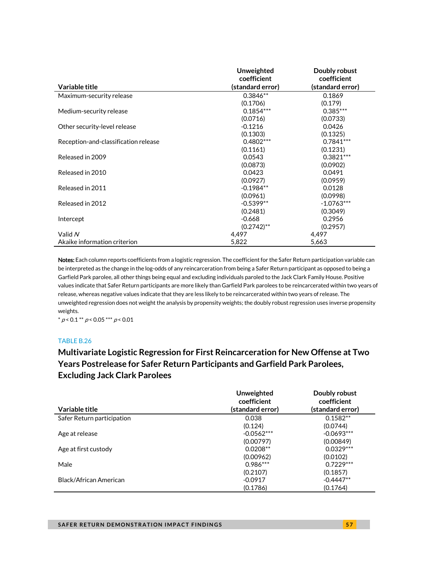|                                      | <b>Unweighted</b><br>coefficient | Doubly robust<br>coefficient |
|--------------------------------------|----------------------------------|------------------------------|
| Variable title                       | (standard error)                 | (standard error)             |
| Maximum-security release             | $0.3846**$                       | 0.1869                       |
|                                      | (0.1706)                         | (0.179)                      |
| Medium-security release              | $0.1854***$                      | $0.385***$                   |
|                                      | (0.0716)                         | (0.0733)                     |
| Other security-level release         | $-0.1216$                        | 0.0426                       |
|                                      | (0.1303)                         | (0.1325)                     |
| Reception-and-classification release | $0.4802***$                      | $0.7841***$                  |
|                                      | (0.1161)                         | (0.1231)                     |
| Released in 2009                     | 0.0543                           | $0.3821***$                  |
|                                      | (0.0873)                         | (0.0902)                     |
| Released in 2010                     | 0.0423                           | 0.0491                       |
|                                      | (0.0927)                         | (0.0959)                     |
| Released in 2011                     | $-0.1984**$                      | 0.0128                       |
|                                      | (0.0961)                         | (0.0998)                     |
| Released in 2012                     | $-0.5399**$                      | $-1.0763***$                 |
|                                      | (0.2481)                         | (0.3049)                     |
| Intercept                            | $-0.668$                         | 0.2956                       |
|                                      | $(0.2742)$ **                    | (0.2957)                     |
| Valid N                              | 4,497                            | 4,497                        |
| Akaike information criterion         | 5,822                            | 5,663                        |

Notes: Each column reports coefficients from a logistic regression. The coefficient for the Safer Return participation variable can be interpreted as the change in the log-odds of any reincarceration from being a Safer Return participant as opposed to being a Garfield Park parolee, all other things being equal and excluding individuals paroled to the Jack Clark Family House. Positive values indicate that Safer Return participants are more likely than Garfield Park parolees to be reincarcerated within two years of release, whereas negative values indicate that they are less likely to be reincarcerated within two years of release. The unweighted regression does not weight the analysis by propensity weights; the doubly robust regression uses inverse propensity weights.

 $* p < 0.1 ** p < 0.05 ** p < 0.01$ 

### TABLE B.26

# **Multivariate Logistic Regression for First Reincarceration for New Offense at Two Years Postrelease for Safer Return Participants and Garfield Park Parolees, Excluding Jack Clark Parolees**

|                            | Unweighted<br>coefficient | Doubly robust<br>coefficient |
|----------------------------|---------------------------|------------------------------|
| Variable title             | (standard error)          | (standard error)             |
| Safer Return participation | 0.038                     | $0.1582**$                   |
|                            | (0.124)                   | (0.0744)                     |
| Age at release             | $-0.0562***$              | $-0.0693***$                 |
|                            | (0.00797)                 | (0.00849)                    |
| Age at first custody       | $0.0208**$                | $0.0329***$                  |
|                            | (0.00962)                 | (0.0102)                     |
| Male                       | $0.986***$                | $0.7229***$                  |
|                            | (0.2107)                  | (0.1857)                     |
| Black/African American     | $-0.0917$                 | $-0.4447**$                  |
|                            | (0.1786)                  | (0.1764)                     |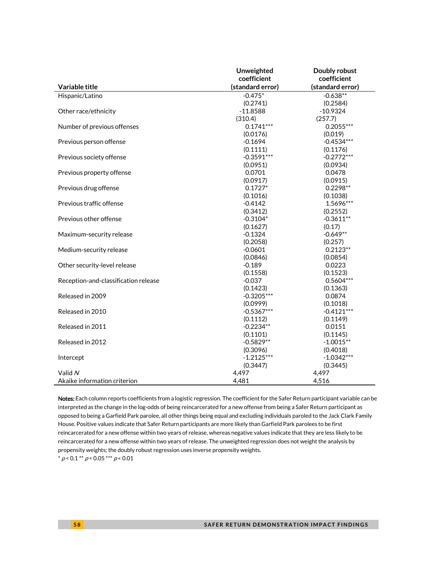|                                      | Unweighted       | Doubly robust    |
|--------------------------------------|------------------|------------------|
|                                      | coefficient      | coefficient      |
| Variable title                       | (standard error) | (standard error) |
| Hispanic/Latino                      | $-0.475*$        | $-0.638**$       |
|                                      | (0.2741)         | (0.2584)         |
| Other race/ethnicity                 | $-11.8588$       | $-10.9324$       |
|                                      | (310.4)          | (257.7)          |
| Number of previous offenses          | $0.1741***$      | $0.2055***$      |
|                                      | (0.0176)         | (0.019)          |
| Previous person offense              | $-0.1694$        | $-0.4534***$     |
|                                      | (0.1111)         | (0.1176)         |
| Previous society offense             | $-0.3591***$     | $-0.2772***$     |
|                                      | (0.0951)         | (0.0934)         |
| Previous property offense            | 0.0701           | 0.0478           |
|                                      | (0.0917)         | (0.0915)         |
| Previous drug offense                | $0.1727*$        | $0.2298**$       |
|                                      | (0.1016)         | (0.1038)         |
| Previous traffic offense             | $-0.4142$        | 1.5696***        |
|                                      | (0.3412)         | (0.2552)         |
| Previous other offense               | $-0.3104*$       | $-0.3611**$      |
|                                      | (0.1627)         | (0.17)           |
| Maximum-security release             | $-0.1324$        | $-0.649**$       |
|                                      | (0.2058)         | (0.257)          |
| Medium-security release              | $-0.0601$        | $0.2123**$       |
|                                      | (0.0846)         | (0.0854)         |
| Other security-level release         | $-0.189$         | 0.0223           |
|                                      | (0.1558)         | (0.1523)         |
| Reception-and-classification release | $-0.037$         | 0.5604 ***       |
|                                      | (0.1423)         | (0.1363)         |
| Released in 2009                     | $-0.3205***$     | 0.0874           |
|                                      | (0.0999)         | (0.1018)         |
| Released in 2010                     | $-0.5367***$     | $-0.4121***$     |
|                                      | (0.1112)         | (0.1149)         |
| Released in 2011                     | $-0.2234**$      | 0.0151           |
|                                      | (0.1101)         | (0.1145)         |
| Released in 2012                     | $-0.5829**$      | $-1.0015**$      |
|                                      | (0.3096)         | (0.4018)         |
| Intercept                            | $-1.2125***$     | $-1.0342***$     |
|                                      | (0.3447)         | (0.3445)         |
| Valid N                              | 4,497            | 4,497            |
| Akaike information criterion         | 4,481            | 4,516            |

Notes: Each column reports coefficients from a logistic regression. The coefficient for the Safer Return participant variable can be interpreted as the change in the log-odds of being reincarcerated for a new offense from being a Safer Return participant as opposed to being a Garfield Park parolee, all other things being equal and excluding individuals paroled to the Jack Clark Family House. Positive values indicate that Safer Return participants are more likely than Garfield Park parolees to be first reincarcerated for a new offense within two years of release, whereas negative values indicate that they are less likely to be reincarcerated for a new offense within two years of release. The unweighted regression does not weight the analysis by propensity weights; the doubly robust regression uses inverse propensity weights.

 $^*$   $\rho$  < 0.1  $^{**}$   $\rho$  < 0.05  $^{***}$   $\rho$  < 0.01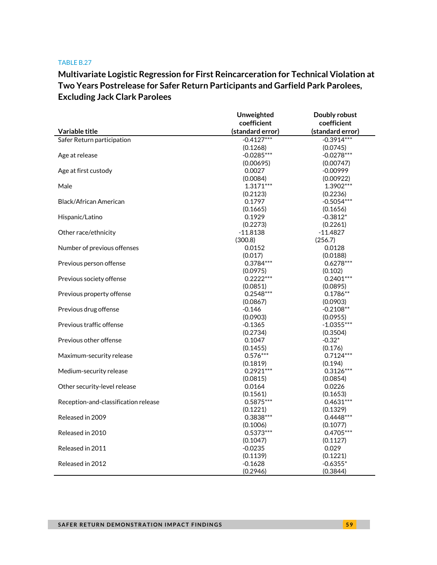# **Multivariate Logistic Regression for First Reincarceration for Technical Violation at Two Years Postrelease for Safer Return Participants and Garfield Park Parolees, Excluding Jack Clark Parolees**

| Variable title                       | Unweighted<br>coefficient | Doubly robust    |
|--------------------------------------|---------------------------|------------------|
|                                      |                           | coefficient      |
|                                      | (standard error)          | (standard error) |
| Safer Return participation           | $-0.4127***$              | $-0.3914***$     |
|                                      | (0.1268)                  | (0.0745)         |
| Age at release                       | $-0.0285***$              | $-0.0278***$     |
|                                      | (0.00695)                 | (0.00747)        |
| Age at first custody                 | 0.0027                    | $-0.00999$       |
|                                      | (0.0084)                  | (0.00922)        |
| Male                                 | $1.3171***$               | 1.3902***        |
|                                      | (0.2123)                  | (0.2236)         |
| Black/African American               | 0.1797                    | $-0.5054***$     |
|                                      | (0.1665)                  | (0.1656)         |
| Hispanic/Latino                      | 0.1929                    | $-0.3812*$       |
|                                      | (0.2273)                  | (0.2261)         |
| Other race/ethnicity                 | $-11.8138$                | $-11.4827$       |
|                                      | (300.8)                   | (256.7)          |
| Number of previous offenses          | 0.0152                    | 0.0128           |
|                                      | (0.017)                   | (0.0188)         |
| Previous person offense              | $0.3784***$               | $0.6278***$      |
|                                      | (0.0975)                  | (0.102)          |
| Previous society offense             | $0.2222***$               | $0.2401***$      |
|                                      | (0.0851)                  | (0.0895)         |
| Previous property offense            | $0.2548***$               | $0.1786**$       |
|                                      | (0.0867)                  | (0.0903)         |
| Previous drug offense                | $-0.146$                  | $-0.2108**$      |
|                                      | (0.0903)                  | (0.0955)         |
| Previous traffic offense             | $-0.1365$                 | $-1.0355***$     |
|                                      | (0.2734)                  | (0.3504)         |
| Previous other offense               | 0.1047                    | $-0.32*$         |
|                                      | (0.1455)                  | (0.176)          |
| Maximum-security release             | $0.576***$                | $0.7124***$      |
|                                      | (0.1819)                  | (0.194)          |
| Medium-security release              | $0.2921***$               | $0.3126***$      |
|                                      | (0.0815)                  | (0.0854)         |
| Other security-level release         | 0.0164                    | 0.0226           |
|                                      | (0.1561)                  | (0.1653)         |
| Reception-and-classification release | $0.5875***$               | $0.4631***$      |
|                                      | (0.1221)                  | (0.1329)         |
| Released in 2009                     | $0.3838***$               | $0.4448***$      |
|                                      | (0.1006)                  | (0.1077)         |
| Released in 2010                     | $0.5373***$               | $0.4705***$      |
|                                      | (0.1047)                  | (0.1127)         |
| Released in 2011                     | $-0.0235$                 | 0.029            |
|                                      | (0.1139)                  | (0.1221)         |
| Released in 2012                     | $-0.1628$                 | $-0.6355*$       |
|                                      | (0.2946)                  | (0.3844)         |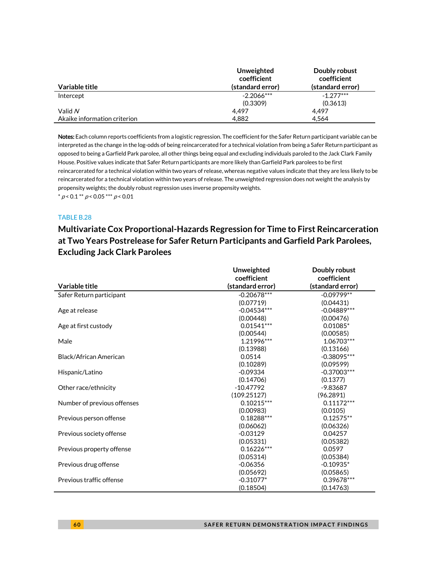|                              | Unweighted<br>coefficient | Doubly robust<br>coefficient |
|------------------------------|---------------------------|------------------------------|
| Variable title               | (standard error)          | (standard error)             |
| Intercept                    | $-2.2066***$              | $-1.277***$                  |
|                              | (0.3309)                  | (0.3613)                     |
| Valid N                      | 4.497                     | 4.497                        |
| Akaike information criterion | 4.882                     | 4.564                        |

Notes: Each column reports coefficients from a logistic regression. The coefficient for the Safer Return participant variable can be interpreted as the change in the log-odds of being reincarcerated for a technical violation from being a Safer Return participant as opposed to being a Garfield Park parolee, all other things being equal and excluding individuals paroled to the Jack Clark Family House. Positive values indicate that Safer Return participants are more likely than Garfield Park parolees to be first reincarcerated for a technical violation within two years of release, whereas negative values indicate that they are less likely to be reincarcerated for a technical violation within two years of release. The unweighted regression does not weight the analysis by propensity weights; the doubly robust regression uses inverse propensity weights.  $*$  p < 0.1  $*$  p < 0.05  $*$   $*$  p < 0.01

### TABLE B.28

# **Multivariate Cox Proportional-Hazards Regression for Time to First Reincarceration at Two Years Postrelease for Safer Return Participants and Garfield Park Parolees, Excluding Jack Clark Parolees**

| Variable title              | Unweighted<br>coefficient<br>(standard error) | Doubly robust<br>coefficient<br>(standard error) |
|-----------------------------|-----------------------------------------------|--------------------------------------------------|
| Safer Return participant    | $-0.20678***$                                 | $-0.09799**$                                     |
|                             | (0.07719)                                     | (0.04431)                                        |
| Age at release              | $-0.04534***$                                 | $-0.04889***$                                    |
|                             | (0.00448)                                     | (0.00476)                                        |
| Age at first custody        | $0.01541***$                                  | $0.01085*$                                       |
|                             | (0.00544)                                     | (0.00585)                                        |
| Male                        | 1.21996***                                    | 1.06703***                                       |
|                             | (0.13988)                                     | (0.13166)                                        |
| Black/African American      | 0.0514                                        | $-0.38095***$                                    |
|                             | (0.10289)                                     | (0.09599)                                        |
| Hispanic/Latino             | $-0.09334$                                    | $-0.37003***$                                    |
|                             | (0.14706)                                     | (0.1377)                                         |
| Other race/ethnicity        | $-10.47792$                                   | $-9.83687$                                       |
|                             | (109.25127)                                   | (96.2891)                                        |
| Number of previous offenses | $0.10215***$                                  | $0.11172***$                                     |
|                             | (0.00983)                                     | (0.0105)                                         |
| Previous person offense     | $0.18288***$                                  | $0.12575**$                                      |
|                             | (0.06062)                                     | (0.06326)                                        |
| Previous society offense    | $-0.03129$                                    | 0.04257                                          |
|                             | (0.05331)                                     | (0.05382)                                        |
| Previous property offense   | $0.16226***$                                  | 0.0597                                           |
|                             | (0.05314)                                     | (0.05384)                                        |
| Previous drug offense       | $-0.06356$                                    | $-0.10935*$                                      |
|                             | (0.05692)                                     | (0.05865)                                        |
| Previous traffic offense    | $-0.31077*$                                   | 0.39678***                                       |
|                             | (0.18504)                                     | (0.14763)                                        |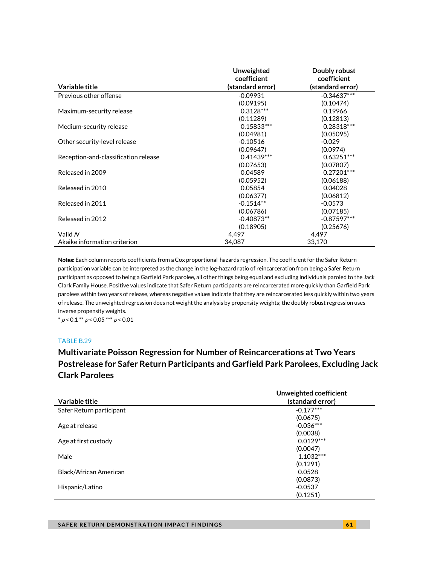|                                      | Unweighted<br>coefficient | Doubly robust<br>coefficient |
|--------------------------------------|---------------------------|------------------------------|
| Variable title                       | (standard error)          | (standard error)             |
| Previous other offense               | $-0.09931$                | $-0.34637***$                |
|                                      | (0.09195)                 | (0.10474)                    |
| Maximum-security release             | $0.3128***$               | 0.19966                      |
|                                      | (0.11289)                 | (0.12813)                    |
| Medium-security release              | $0.15833***$              | $0.28318***$                 |
|                                      | (0.04981)                 | (0.05095)                    |
| Other security-level release         | $-0.10516$                | $-0.029$                     |
|                                      | (0.09647)                 | (0.0974)                     |
| Reception-and-classification release | $0.41439***$              | $0.63251***$                 |
|                                      | (0.07653)                 | (0.07807)                    |
| Released in 2009                     | 0.04589                   | $0.27201***$                 |
|                                      | (0.05952)                 | (0.06188)                    |
| Released in 2010                     | 0.05854                   | 0.04028                      |
|                                      | (0.06377)                 | (0.06812)                    |
| Released in 2011                     | $-0.1514**$               | $-0.0573$                    |
|                                      | (0.06786)                 | (0.07185)                    |
| Released in 2012                     | $-0.40873**$              | $-0.87597***$                |
|                                      | (0.18905)                 | (0.25676)                    |
| Valid N                              | 4,497                     | 4,497                        |
| Akaike information criterion         | 34.087                    | 33,170                       |

Notes: Each column reports coefficients from a Cox proportional-hazards regression. The coefficient for the Safer Return participation variable can be interpreted as the change in the log-hazard ratio of reincarceration from being a Safer Return participant as opposed to being a Garfield Park parolee, all other things being equal and excluding individuals paroled to the Jack Clark Family House. Positive values indicate that Safer Return participants are reincarcerated more quickly than Garfield Park parolees within two years of release, whereas negative values indicate that they are reincarcerated less quickly within two years of release. The unweighted regression does not weight the analysis by propensity weights; the doubly robust regression uses inverse propensity weights.

 $* p < 0.1 ** p < 0.05 ** p < 0.01$ 

### TABLE B.29

## **Multivariate Poisson Regression for Number of Reincarcerations at Two Years Postrelease for Safer Return Participants and Garfield Park Parolees, Excluding Jack Clark Parolees**

| Variable title           | Unweighted coefficient<br>(standard error) |
|--------------------------|--------------------------------------------|
| Safer Return participant | $-0.177***$                                |
|                          | (0.0675)                                   |
| Age at release           | $-0.036***$                                |
|                          | (0.0038)                                   |
| Age at first custody     | $0.0129***$                                |
|                          | (0.0047)                                   |
| Male                     | $1.1032***$                                |
|                          | (0.1291)                                   |
| Black/African American   | 0.0528                                     |
|                          | (0.0873)                                   |
| Hispanic/Latino          | $-0.0537$                                  |
|                          | (0.1251)                                   |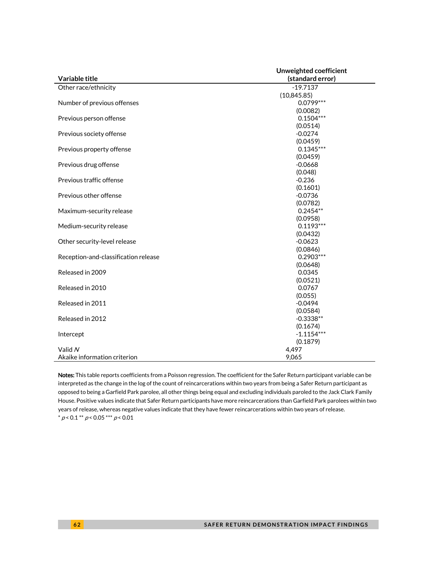|                                      | Unweighted coefficient |
|--------------------------------------|------------------------|
| Variable title                       | (standard error)       |
| Other race/ethnicity                 | $-19.7137$             |
|                                      | (10, 845.85)           |
| Number of previous offenses          | $0.0799***$            |
|                                      | (0.0082)               |
| Previous person offense              | $0.1504***$            |
|                                      | (0.0514)               |
| Previous society offense             | $-0.0274$              |
|                                      | (0.0459)               |
| Previous property offense            | $0.1345***$            |
|                                      | (0.0459)               |
| Previous drug offense                | $-0.0668$              |
|                                      | (0.048)                |
| Previous traffic offense             | $-0.236$               |
|                                      | (0.1601)               |
| Previous other offense               | $-0.0736$              |
|                                      | (0.0782)               |
| Maximum-security release             | $0.2454**$             |
|                                      | (0.0958)               |
| Medium-security release              | $0.1193***$            |
|                                      | (0.0432)               |
| Other security-level release         | $-0.0623$              |
|                                      | (0.0846)               |
| Reception-and-classification release | $0.2903***$            |
|                                      | (0.0648)               |
| Released in 2009                     | 0.0345                 |
|                                      | (0.0521)               |
| Released in 2010                     | 0.0767                 |
|                                      | (0.055)                |
| Released in 2011                     | $-0.0494$              |
|                                      | (0.0584)               |
| Released in 2012                     | $-0.3338**$            |
|                                      | (0.1674)               |
| Intercept                            | $-1.1154***$           |
|                                      | (0.1879)               |
| Valid N                              | 4,497                  |
| Akaike information criterion         | 9,065                  |

Notes: This table reports coefficients from a Poisson regression. The coefficient for the Safer Return participant variable can be interpreted as the change in the log of the count of reincarcerations within two years from being a Safer Return participant as opposed to being a Garfield Park parolee, all other things being equal and excluding individuals paroled to the Jack Clark Family House. Positive values indicate that Safer Return participants have more reincarcerations than Garfield Park parolees within two years of release, whereas negative values indicate that they have fewer reincarcerations within two years of release.  $^*$   $\rho$  < 0.1  $^{**}$   $\rho$  < 0.05  $^{***}$   $\rho$  < 0.01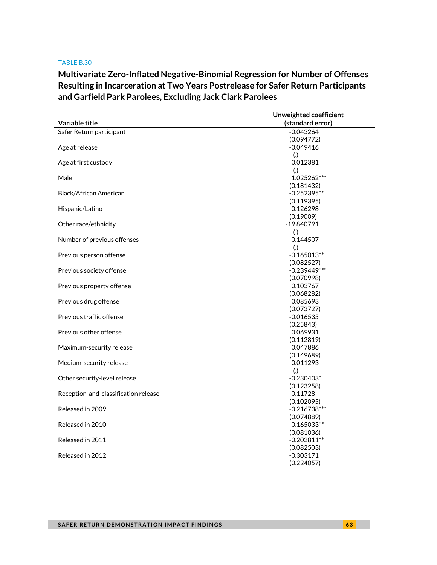**Multivariate Zero-Inflated Negative-Binomial Regression for Number of Offenses Resulting in Incarceration at Two Years Postrelease for Safer Return Participants and Garfield Park Parolees, Excluding Jack Clark Parolees**

|                                      | Unweighted coefficient |  |
|--------------------------------------|------------------------|--|
| <b>Variable title</b>                | (standard error)       |  |
| Safer Return participant             | $-0.043264$            |  |
|                                      | (0.094772)             |  |
| Age at release                       | $-0.049416$            |  |
|                                      | (.)                    |  |
| Age at first custody                 | 0.012381               |  |
|                                      | $\left( .\right)$      |  |
| Male                                 | 1.025262***            |  |
|                                      | (0.181432)             |  |
| Black/African American               | $-0.252395**$          |  |
|                                      | (0.119395)             |  |
| Hispanic/Latino                      | 0.126298               |  |
|                                      | (0.19009)              |  |
| Other race/ethnicity                 | -19.840791             |  |
|                                      | (.)                    |  |
| Number of previous offenses          | 0.144507               |  |
|                                      | (.)                    |  |
| Previous person offense              | $-0.165013**$          |  |
|                                      | (0.082527)             |  |
| Previous society offense             | $-0.239449***$         |  |
|                                      | (0.070998)             |  |
| Previous property offense            | 0.103767               |  |
|                                      | (0.068282)             |  |
| Previous drug offense                | 0.085693<br>(0.073727) |  |
| Previous traffic offense             | $-0.016535$            |  |
|                                      | (0.25843)              |  |
| Previous other offense               | 0.069931               |  |
|                                      | (0.112819)             |  |
| Maximum-security release             | 0.047886               |  |
|                                      | (0.149689)             |  |
| Medium-security release              | $-0.011293$            |  |
|                                      | (.)                    |  |
| Other security-level release         | $-0.230403*$           |  |
|                                      | (0.123258)             |  |
| Reception-and-classification release | 0.11728                |  |
|                                      | (0.102095)             |  |
| Released in 2009                     | $-0.216738***$         |  |
|                                      | (0.074889)             |  |
| Released in 2010                     | $-0.165033**$          |  |
|                                      | (0.081036)             |  |
| Released in 2011                     | $-0.202811**$          |  |
|                                      | (0.082503)             |  |
| Released in 2012                     | $-0.303171$            |  |
|                                      | (0.224057)             |  |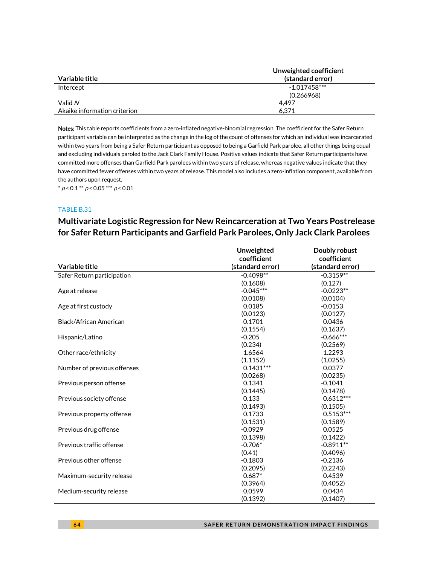|                              | Unweighted coefficient |
|------------------------------|------------------------|
| Variable title               | (standard error)       |
| Intercept                    | $-1.017458***$         |
|                              | (0.266968)             |
| Valid $N$                    | 4.497                  |
| Akaike information criterion | 6.371                  |

Notes: This table reports coefficients from a zero-inflated negative-binomial regression. The coefficient for the Safer Return participant variable can be interpreted as the change in the log of the count of offenses for which an individual was incarcerated within two years from being a Safer Return participant as opposed to being a Garfield Park parolee, all other things being equal and excluding individuals paroled to the Jack Clark Family House. Positive values indicate that Safer Return participants have committed more offenses than Garfield Park parolees within two years of release, whereas negative values indicate that they have committed fewer offenses within two years of release. This model also includes a zero-inflation component, available from the authors upon request.

 $^*$   $\rho$  < 0.1  $^{**}$   $\rho$  < 0.05  $^{***}$   $\rho$  < 0.01

#### TABLE B.31

# **Multivariate Logistic Regression for New Reincarceration at Two Years Postrelease for Safer Return Participants and Garfield Park Parolees, Only Jack Clark Parolees**

|                             | <b>Unweighted</b> | Doubly robust    |
|-----------------------------|-------------------|------------------|
|                             | coefficient       | coefficient      |
| Variable title              | (standard error)  | (standard error) |
| Safer Return participation  | $-0.4098**$       | $-0.3159**$      |
|                             | (0.1608)          | (0.127)          |
| Age at release              | $-0.045***$       | $-0.0223**$      |
|                             | (0.0108)          | (0.0104)         |
| Age at first custody        | 0.0185            | $-0.0153$        |
|                             | (0.0123)          | (0.0127)         |
| Black/African American      | 0.1701            | 0.0436           |
|                             | (0.1554)          | (0.1637)         |
| Hispanic/Latino             | $-0.205$          | $-0.666***$      |
|                             | (0.234)           | (0.2569)         |
| Other race/ethnicity        | 1.6564            | 1.2293           |
|                             | (1.1152)          | (1.0255)         |
| Number of previous offenses | $0.1431***$       | 0.0377           |
|                             | (0.0268)          | (0.0235)         |
| Previous person offense     | 0.1341            | $-0.1041$        |
|                             | (0.1445)          | (0.1478)         |
| Previous society offense    | 0.133             | $0.6312***$      |
|                             | (0.1493)          | (0.1505)         |
| Previous property offense   | 0.1733            | $0.5153***$      |
|                             | (0.1531)          | (0.1589)         |
| Previous drug offense       | $-0.0929$         | 0.0525           |
|                             | (0.1398)          | (0.1422)         |
| Previous traffic offense    | $-0.706*$         | $-0.8911**$      |
|                             | (0.41)            | (0.4096)         |
| Previous other offense      | $-0.1803$         | $-0.2136$        |
|                             | (0.2095)          | (0.2243)         |
| Maximum-security release    | $0.687*$          | 0.4539           |
|                             | (0.3964)          | (0.4052)         |
| Medium-security release     | 0.0599            | 0.0434           |
|                             | (0.1392)          | (0.1407)         |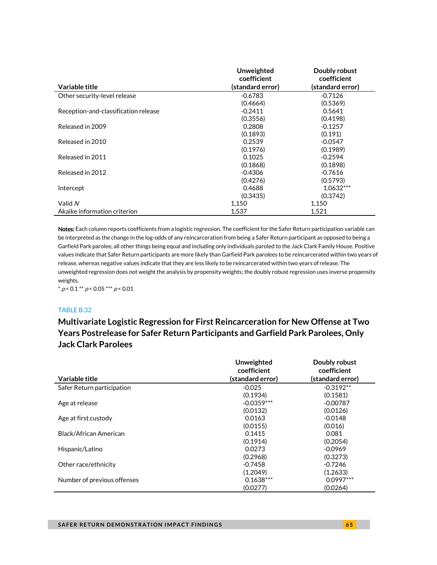| Variable title                       | Unweighted<br>coefficient | Doubly robust<br>coefficient |
|--------------------------------------|---------------------------|------------------------------|
|                                      | (standard error)          | (standard error)             |
| Other security-level release         | $-0.6783$                 | $-0.7126$                    |
|                                      | (0.4664)                  | (0.5369)                     |
| Reception-and-classification release | $-0.2411$                 | 0.5641                       |
|                                      | (0.3556)                  | (0.4198)                     |
| Released in 2009                     | 0.2808                    | $-0.1257$                    |
|                                      | (0.1893)                  | (0.191)                      |
| Released in 2010                     | 0.2539                    | $-0.0547$                    |
|                                      | (0.1976)                  | (0.1989)                     |
| Released in 2011                     | 0.1025                    | $-0.2594$                    |
|                                      | (0.1868)                  | (0.1898)                     |
| Released in 2012                     | $-0.4306$                 | $-0.7616$                    |
|                                      | (0.4276)                  | (0.5793)                     |
| Intercept                            | 0.4688                    | $1.0632***$                  |
|                                      | (0.3435)                  | (0.3742)                     |
| Valid N                              | 1,150                     | 1,150                        |
| Akaike information criterion         | 1.537                     | 1.521                        |

Notes: Each column reports coefficients from a logistic regression. The coefficient for the Safer Return participation variable can be interpreted as the change in the log-odds of any reincarceration from being a Safer Return participant as opposed to being a Garfield Park parolee, all other things being equal and including only individuals paroled to the Jack Clark Family House. Positive values indicate that Safer Return participants are more likely than Garfield Park parolees to be reincarcerated within two years of release, whereas negative values indicate that they are less likely to be reincarcerated within two years of release. The unweighted regression does not weight the analysis by propensity weights; the doubly robust regression uses inverse propensity weights.

 $* p < 0.1 ** p < 0.05*** p < 0.01$ 

### TABLE B.32

**Multivariate Logistic Regression for First Reincarceration for New Offense at Two Years Postrelease for Safer Return Participants and Garfield Park Parolees, Only Jack Clark Parolees**

|                             | Unweighted<br>coefficient | Doubly robust<br>coefficient |
|-----------------------------|---------------------------|------------------------------|
| Variable title              | (standard error)          | (standard error)             |
| Safer Return participation  | $-0.025$                  | $-0.3192**$                  |
|                             | (0.1934)                  | (0.1581)                     |
| Age at release              | $-0.0359***$              | $-0.00787$                   |
|                             | (0.0132)                  | (0.0126)                     |
| Age at first custody        | 0.0163                    | $-0.0148$                    |
|                             | (0.0155)                  | (0.016)                      |
| Black/African American      | 0.1415                    | 0.081                        |
|                             | (0.1914)                  | (0.2054)                     |
| Hispanic/Latino             | 0.0273                    | $-0.0969$                    |
|                             | (0.2968)                  | (0.3273)                     |
| Other race/ethnicity        | $-0.7458$                 | $-0.7246$                    |
|                             | (1.2049)                  | (1.2633)                     |
| Number of previous offenses | $0.1638***$               | $0.0997***$                  |
|                             | (0.0277)                  | (0.0264)                     |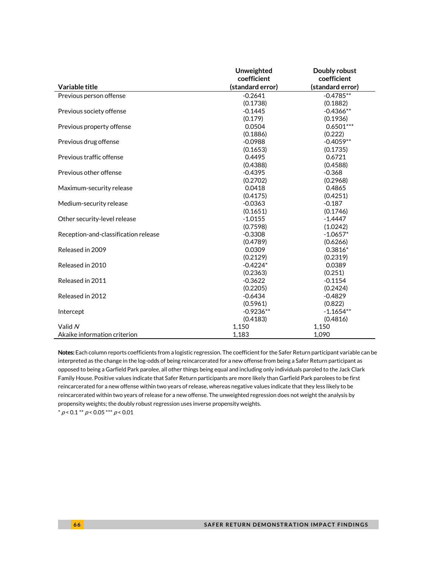|                                      | Unweighted       | Doubly robust    |
|--------------------------------------|------------------|------------------|
|                                      | coefficient      | coefficient      |
| Variable title                       | (standard error) | (standard error) |
| Previous person offense              | $-0.2641$        | $-0.4785**$      |
|                                      | (0.1738)         | (0.1882)         |
| Previous society offense             | $-0.1445$        | $-0.4366**$      |
|                                      | (0.179)          | (0.1936)         |
| Previous property offense            | 0.0504           | $0.6501***$      |
|                                      | (0.1886)         | (0.222)          |
| Previous drug offense                | $-0.0988$        | $-0.4059**$      |
|                                      | (0.1653)         | (0.1735)         |
| Previous traffic offense             | 0.4495           | 0.6721           |
|                                      | (0.4388)         | (0.4588)         |
| Previous other offense               | $-0.4395$        | $-0.368$         |
|                                      | (0.2702)         | (0.2968)         |
| Maximum-security release             | 0.0418           | 0.4865           |
|                                      | (0.4175)         | (0.4251)         |
| Medium-security release              | $-0.0363$        | $-0.187$         |
|                                      | (0.1651)         | (0.1746)         |
| Other security-level release         | $-1.0155$        | $-1.4447$        |
|                                      | (0.7598)         | (1.0242)         |
| Reception-and-classification release | $-0.3308$        | $-1.0657*$       |
|                                      | (0.4789)         | (0.6266)         |
| Released in 2009                     | 0.0309           | $0.3816*$        |
|                                      | (0.2129)         | (0.2319)         |
| Released in 2010                     | $-0.4224*$       | 0.0389           |
|                                      | (0.2363)         | (0.251)          |
| Released in 2011                     | $-0.3622$        | $-0.1154$        |
|                                      | (0.2205)         | (0.2424)         |
| Released in 2012                     | $-0.6434$        | $-0.4829$        |
|                                      | (0.5961)         | (0.822)          |
| Intercept                            | $-0.9236**$      | $-1.1654**$      |
|                                      | (0.4183)         | (0.4816)         |
| Valid N                              | 1,150            | 1.150            |
| Akaike information criterion         | 1,183            | 1,090            |

Notes: Each column reports coefficients from a logistic regression. The coefficient for the Safer Return participant variable can be interpreted as the change in the log-odds of being reincarcerated for a new offense from being a Safer Return participant as opposed to being a Garfield Park parolee, all other things being equal and including only individuals paroled to the Jack Clark Family House. Positive values indicate that Safer Return participants are more likely than Garfield Park parolees to be first reincarcerated for a new offense within two years of release, whereas negative values indicate that they less likely to be reincarcerated within two years of release for a new offense. The unweighted regression does not weight the analysis by propensity weights; the doubly robust regression uses inverse propensity weights.

 $* p < 0.1 ** p < 0.05*** p < 0.01$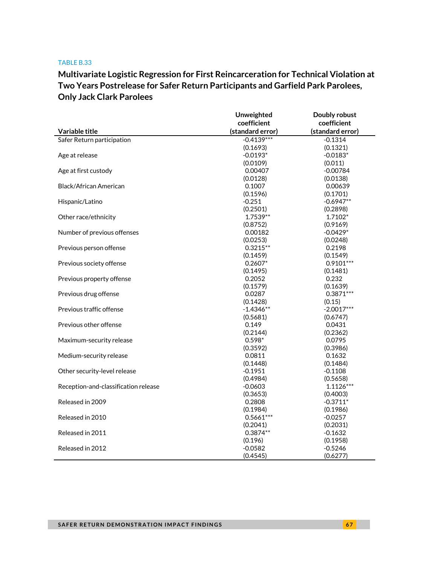# **Multivariate Logistic Regression for First Reincarceration for Technical Violation at Two Years Postrelease for Safer Return Participants and Garfield Park Parolees, Only Jack Clark Parolees**

|                                      | Unweighted       | Doubly robust    |
|--------------------------------------|------------------|------------------|
|                                      | coefficient      | coefficient      |
| Variable title                       | (standard error) | (standard error) |
| Safer Return participation           | $-0.4139***$     | $-0.1314$        |
|                                      | (0.1693)         | (0.1321)         |
| Age at release                       | $-0.0193*$       | $-0.0183*$       |
|                                      | (0.0109)         | (0.011)          |
| Age at first custody                 | 0.00407          | $-0.00784$       |
|                                      | (0.0128)         | (0.0138)         |
| Black/African American               | 0.1007           | 0.00639          |
|                                      | (0.1596)         | (0.1701)         |
| Hispanic/Latino                      | $-0.251$         | $-0.6947**$      |
|                                      | (0.2501)         | (0.2898)         |
| Other race/ethnicity                 | 1.7539**         | 1.7102*          |
|                                      | (0.8752)         | (0.9169)         |
| Number of previous offenses          | 0.00182          | $-0.0429*$       |
|                                      | (0.0253)         | (0.0248)         |
| Previous person offense              | $0.3215**$       | 0.2198           |
|                                      | (0.1459)         | (0.1549)         |
| Previous society offense             | $0.2607*$        | $0.9101***$      |
|                                      | (0.1495)         | (0.1481)         |
| Previous property offense            | 0.2052           | 0.232            |
|                                      | (0.1579)         | (0.1639)         |
| Previous drug offense                | 0.0287           | $0.3871***$      |
|                                      | (0.1428)         | (0.15)           |
| Previous traffic offense             | $-1.4346**$      | $-2.0017***$     |
|                                      | (0.5681)         | (0.6747)         |
| Previous other offense               | 0.149            | 0.0431           |
|                                      | (0.2144)         | (0.2362)         |
| Maximum-security release             | $0.598*$         | 0.0795           |
|                                      | (0.3592)         | (0.3986)         |
| Medium-security release              | 0.0811           | 0.1632           |
|                                      | (0.1448)         | (0.1484)         |
| Other security-level release         | $-0.1951$        | $-0.1108$        |
|                                      | (0.4984)         | (0.5658)         |
| Reception-and-classification release | $-0.0603$        | $1.1126***$      |
|                                      | (0.3653)         | (0.4003)         |
| Released in 2009                     | 0.2808           | $-0.3711*$       |
|                                      | (0.1984)         | (0.1986)         |
| Released in 2010                     | $0.5661***$      | $-0.0257$        |
|                                      | (0.2041)         | (0.2031)         |
| Released in 2011                     | $0.3874**$       | $-0.1632$        |
|                                      | (0.196)          | (0.1958)         |
| Released in 2012                     | $-0.0582$        | $-0.5246$        |
|                                      | (0.4545)         | (0.6277)         |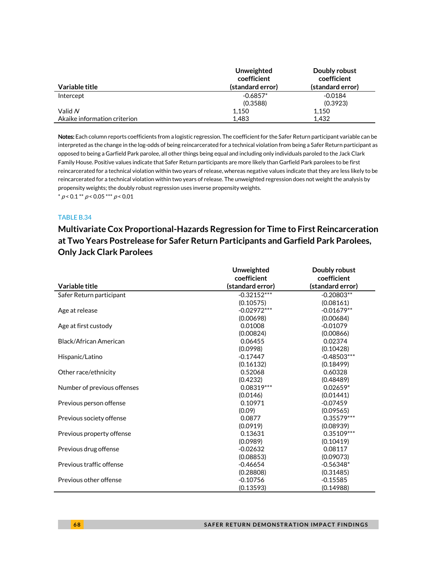|                              | Unweighted<br>coefficient | Doubly robust<br>coefficient |
|------------------------------|---------------------------|------------------------------|
| Variable title               | (standard error)          | (standard error)             |
| Intercept                    | $-0.6857*$                | $-0.0184$                    |
|                              | (0.3588)                  | (0.3923)                     |
| Valid N                      | 1.150                     | 1.150                        |
| Akaike information criterion | 1.483                     | 1.432                        |

Notes: Each column reports coefficients from a logistic regression. The coefficient for the Safer Return participant variable can be interpreted as the change in the log-odds of being reincarcerated for a technical violation from being a Safer Return participant as opposed to being a Garfield Park parolee, all other things being equal and including only individuals paroled to the Jack Clark Family House. Positive values indicate that Safer Return participants are more likely than Garfield Park parolees to be first reincarcerated for a technical violation within two years of release, whereas negative values indicate that they are less likely to be reincarcerated for a technical violation within two years of release. The unweighted regression does not weight the analysis by propensity weights; the doubly robust regression uses inverse propensity weights.  $*$  p < 0.1  $*$  p < 0.05  $*$   $*$  p < 0.01

#### TABLE B.34

# **Multivariate Cox Proportional-Hazards Regression for Time to First Reincarceration at Two Years Postrelease for Safer Return Participants and Garfield Park Parolees, Only Jack Clark Parolees**

|                             | <b>Unweighted</b> | Doubly robust    |
|-----------------------------|-------------------|------------------|
|                             | coefficient       | coefficient      |
| Variable title              | (standard error)  | (standard error) |
| Safer Return participant    | $-0.32152***$     | $-0.20803**$     |
|                             | (0.10575)         | (0.08161)        |
| Age at release              | $-0.02972***$     | $-0.01679**$     |
|                             | (0.00698)         | (0.00684)        |
| Age at first custody        | 0.01008           | $-0.01079$       |
|                             | (0.00824)         | (0.00866)        |
| Black/African American      | 0.06455           | 0.02374          |
|                             | (0.0998)          | (0.10428)        |
| Hispanic/Latino             | $-0.17447$        | $-0.48503***$    |
|                             | (0.16132)         | (0.18499)        |
| Other race/ethnicity        | 0.52068           | 0.60328          |
|                             | (0.4232)          | (0.48489)        |
| Number of previous offenses | 0.08319 ***       | $0.02659*$       |
|                             | (0.0146)          | (0.01441)        |
| Previous person offense     | 0.10971           | $-0.07459$       |
|                             | (0.09)            | (0.09565)        |
| Previous society offense    | 0.0877            | $0.35579***$     |
|                             | (0.0919)          | (0.08939)        |
| Previous property offense   | 0.13631           | 0.35109***       |
|                             | (0.0989)          | (0.10419)        |
| Previous drug offense       | $-0.02632$        | 0.08117          |
|                             | (0.08853)         | (0.09073)        |
| Previous traffic offense    | $-0.46654$        | $-0.56348*$      |
|                             | (0.28808)         | (0.31485)        |
| Previous other offense      | $-0.10756$        | $-0.15585$       |
|                             | (0.13593)         | (0.14988)        |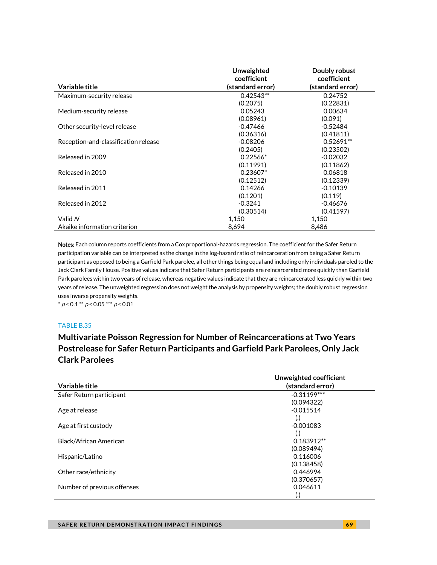|                                      | Unweighted       | Doubly robust    |
|--------------------------------------|------------------|------------------|
|                                      | coefficient      | coefficient      |
| Variable title                       | (standard error) | (standard error) |
| Maximum-security release             | $0.42543**$      | 0.24752          |
|                                      | (0.2075)         | (0.22831)        |
| Medium-security release              | 0.05243          | 0.00634          |
|                                      | (0.08961)        | (0.091)          |
| Other security-level release         | $-0.47466$       | $-0.52484$       |
|                                      | (0.36316)        | (0.41811)        |
| Reception-and-classification release | $-0.08206$       | $0.52691**$      |
|                                      | (0.2405)         | (0.23502)        |
| Released in 2009                     | $0.22566*$       | $-0.02032$       |
|                                      | (0.11991)        | (0.11862)        |
| Released in 2010                     | $0.23607*$       | 0.06818          |
|                                      | (0.12512)        | (0.12339)        |
| Released in 2011                     | 0.14266          | $-0.10139$       |
|                                      | (0.1201)         | (0.119)          |
| Released in 2012                     | $-0.3241$        | $-0.46676$       |
|                                      | (0.30514)        | (0.41597)        |
| Valid N                              | 1,150            | 1,150            |
| Akaike information criterion         | 8,694            | 8,486            |

Notes: Each column reports coefficients from a Cox proportional-hazards regression. The coefficient for the Safer Return participation variable can be interpreted as the change in the log-hazard ratio of reincarceration from being a Safer Return participant as opposed to being a Garfield Park parolee, all other things being equal and including only individuals paroled to the Jack Clark Family House. Positive values indicate that Safer Return participants are reincarcerated more quickly than Garfield Park parolees within two years of release, whereas negative values indicate that they are reincarcerated less quickly within two years of release. The unweighted regression does not weight the analysis by propensity weights; the doubly robust regression uses inverse propensity weights.

 $* p < 0.1 ** p < 0.05*** p < 0.01$ 

### TABLE B.35

**Multivariate Poisson Regression for Number of Reincarcerations at Two Years Postrelease for Safer Return Participants and Garfield Park Parolees, Only Jack Clark Parolees**

|                             | Unweighted coefficient |
|-----------------------------|------------------------|
| Variable title              | (standard error)       |
| Safer Return participant    | $-0.31199***$          |
|                             | (0.094322)             |
| Age at release              | $-0.015514$            |
|                             | $\left(.\right)$       |
| Age at first custody        | $-0.001083$            |
|                             | $\left( . \right)$     |
| Black/African American      | $0.183912**$           |
|                             | (0.089494)             |
| Hispanic/Latino             | 0.116006               |
|                             | (0.138458)             |
| Other race/ethnicity        | 0.446994               |
|                             | (0.370657)             |
| Number of previous offenses | 0.046611               |
|                             |                        |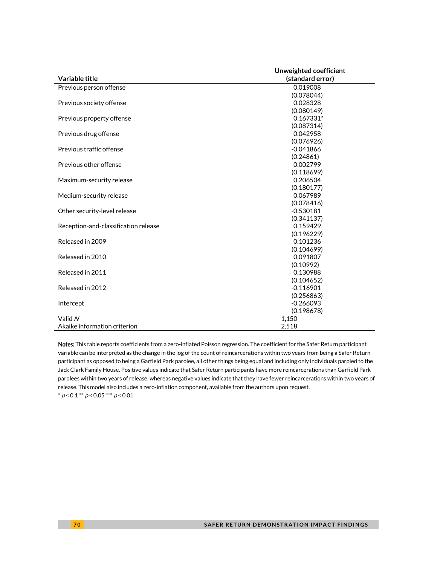|                                      | Unweighted coefficient |  |
|--------------------------------------|------------------------|--|
| Variable title                       | (standard error)       |  |
| Previous person offense              | 0.019008               |  |
|                                      | (0.078044)             |  |
| Previous society offense             | 0.028328               |  |
|                                      | (0.080149)             |  |
| Previous property offense            | 0.167331*              |  |
|                                      | (0.087314)             |  |
| Previous drug offense                | 0.042958               |  |
|                                      | (0.076926)             |  |
| Previous traffic offense             | $-0.041866$            |  |
|                                      | (0.24861)              |  |
| Previous other offense               | 0.002799               |  |
|                                      | (0.118699)             |  |
| Maximum-security release             | 0.206504               |  |
|                                      | (0.180177)             |  |
| Medium-security release              | 0.067989               |  |
|                                      | (0.078416)             |  |
| Other security-level release         | $-0.530181$            |  |
|                                      | (0.341137)             |  |
| Reception-and-classification release | 0.159429               |  |
|                                      | (0.196229)             |  |
| Released in 2009                     | 0.101236               |  |
|                                      | (0.104699)             |  |
| Released in 2010                     | 0.091807               |  |
|                                      | (0.10992)              |  |
| Released in 2011                     | 0.130988               |  |
|                                      | (0.104652)             |  |
| Released in 2012                     | $-0.116901$            |  |
|                                      | (0.256863)             |  |
| Intercept                            | $-0.266093$            |  |
|                                      | (0.198678)             |  |
| Valid N                              | 1,150                  |  |
| Akaike information criterion         | 2,518                  |  |

Notes: This table reports coefficients from a zero-inflated Poisson regression. The coefficient for the Safer Return participant variable can be interpreted as the change in the log of the count of reincarcerations within two years from being a Safer Return participant as opposed to being a Garfield Park parolee, all other things being equal and including only individuals paroled to the Jack Clark Family House. Positive values indicate that Safer Return participants have more reincarcerations than Garfield Park parolees within two years of release, whereas negative values indicate that they have fewer reincarcerations within two years of release. This model also includes a zero-inflation component, available from the authors upon request.  $*$  p < 0.1  $*$  p < 0.05  $*$   $*$  p < 0.01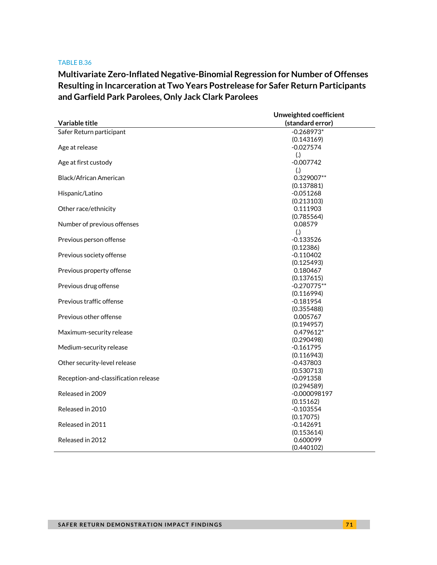**Multivariate Zero-Inflated Negative-Binomial Regression for Number of Offenses Resulting in Incarceration at Two Years Postrelease for Safer Return Participants and Garfield Park Parolees, Only Jack Clark Parolees**

|                                      | Unweighted coefficient |  |
|--------------------------------------|------------------------|--|
| Variable title                       | (standard error)       |  |
| Safer Return participant             | $-0.268973*$           |  |
|                                      | (0.143169)             |  |
| Age at release                       | $-0.027574$            |  |
|                                      | (.)                    |  |
| Age at first custody                 | $-0.007742$            |  |
|                                      | (.)                    |  |
| Black/African American               | 0.329007**             |  |
|                                      | (0.137881)             |  |
| Hispanic/Latino                      | $-0.051268$            |  |
|                                      | (0.213103)             |  |
| Other race/ethnicity                 | 0.111903               |  |
|                                      | (0.785564)             |  |
| Number of previous offenses          | 0.08579                |  |
|                                      | (.)                    |  |
| Previous person offense              | $-0.133526$            |  |
|                                      | (0.12386)              |  |
| Previous society offense             | $-0.110402$            |  |
|                                      | (0.125493)             |  |
| Previous property offense            | 0.180467               |  |
|                                      | (0.137615)             |  |
| Previous drug offense                | $-0.270775**$          |  |
|                                      | (0.116994)             |  |
| Previous traffic offense             | $-0.181954$            |  |
|                                      | (0.355488)             |  |
| Previous other offense               | 0.005767               |  |
|                                      | (0.194957)             |  |
| Maximum-security release             | 0.479612*              |  |
|                                      | (0.290498)             |  |
| Medium-security release              | $-0.161795$            |  |
|                                      | (0.116943)             |  |
| Other security-level release         | $-0.437803$            |  |
|                                      | (0.530713)             |  |
| Reception-and-classification release | $-0.091358$            |  |
|                                      | (0.294589)             |  |
| Released in 2009                     | $-0.000098197$         |  |
|                                      | (0.15162)              |  |
| Released in 2010                     | $-0.103554$            |  |
|                                      | (0.17075)              |  |
| Released in 2011                     | $-0.142691$            |  |
|                                      | (0.153614)             |  |
| Released in 2012                     | 0.600099               |  |
|                                      | (0.440102)             |  |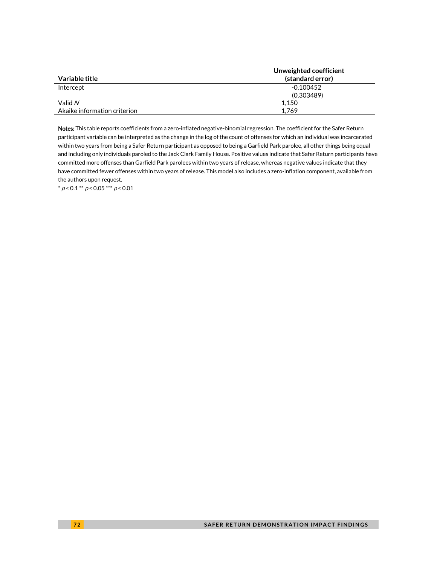|                              | Unweighted coefficient |
|------------------------------|------------------------|
| Variable title               | (standard error)       |
| Intercept                    | $-0.100452$            |
|                              | (0.303489)             |
| Valid $N$                    | 1,150                  |
| Akaike information criterion | 1.769                  |

Notes: This table reports coefficients from a zero-inflated negative-binomial regression. The coefficient for the Safer Return participant variable can be interpreted as the change in the log of the count of offenses for which an individual was incarcerated within two years from being a Safer Return participant as opposed to being a Garfield Park parolee, all other things being equal and including only individuals paroled to the Jack Clark Family House. Positive values indicate that Safer Return participants have committed more offenses than Garfield Park parolees within two years of release, whereas negative values indicate that they have committed fewer offenses within two years of release. This model also includes a zero-inflation component, available from the authors upon request.

 $^*$   $\rho$  < 0.1  $^{**}$   $\rho$  < 0.05  $^{***}$   $\rho$  < 0.01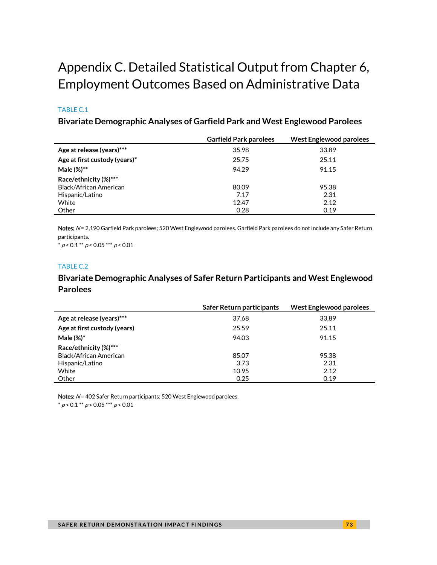# Appendix C. Detailed Statistical Output from Chapter 6, Employment Outcomes Based on Administrative Data

#### TABLE C.1

### **Bivariate Demographic Analyses of Garfield Park and West Englewood Parolees**

|                               | <b>Garfield Park parolees</b> | <b>West Englewood parolees</b> |
|-------------------------------|-------------------------------|--------------------------------|
| Age at release (years)***     | 35.98                         | 33.89                          |
| Age at first custody (years)* | 25.75                         | 25.11                          |
| Male (%)**                    | 94.29                         | 91.15                          |
| Race/ethnicity (%)***         |                               |                                |
| Black/African American        | 80.09                         | 95.38                          |
| Hispanic/Latino               | 7.17                          | 2.31                           |
| White                         | 12.47                         | 2.12                           |
| Other                         | 0.28                          | 0.19                           |

Notes: N= 2,190 Garfield Park parolees; 520 West Englewood parolees. Garfield Park parolees do not include any Safer Return participants.

 $* p < 0.1** p < 0.05*** p < 0.01*$ 

### TABLE C.2

### **Bivariate Demographic Analyses of Safer Return Participants and West Englewood Parolees**

|                              | Safer Return participants | <b>West Englewood parolees</b> |
|------------------------------|---------------------------|--------------------------------|
| Age at release (years)***    | 37.68                     | 33.89                          |
| Age at first custody (years) | 25.59                     | 25.11                          |
| Male $(\%)^*$                | 94.03                     | 91.15                          |
| Race/ethnicity (%)***        |                           |                                |
| Black/African American       | 85.07                     | 95.38                          |
| Hispanic/Latino              | 3.73                      | 2.31                           |
| White                        | 10.95                     | 2.12                           |
| Other                        | 0.25                      | 0.19                           |

Notes:  $N$  = 402 Safer Return participants; 520 West Englewood parolees.

 $* p < 0.1** p < 0.05*** p < 0.01*$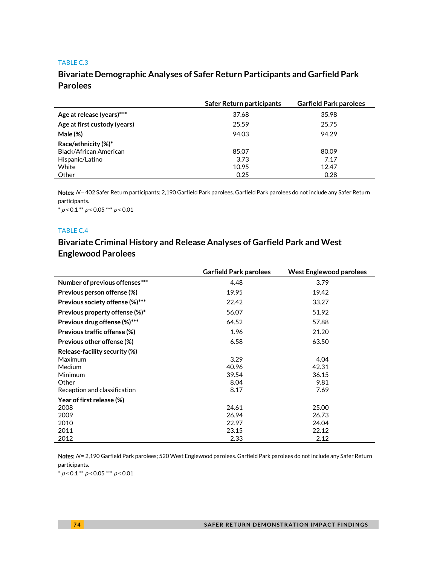### **Bivariate Demographic Analyses of Safer Return Participants and Garfield Park Parolees**

|                              | Safer Return participants | <b>Garfield Park parolees</b> |
|------------------------------|---------------------------|-------------------------------|
| Age at release (years)***    | 37.68                     | 35.98                         |
| Age at first custody (years) | 25.59                     | 25.75                         |
| Male (%)                     | 94.03                     | 94.29                         |
| Race/ethnicity (%)*          |                           |                               |
| Black/African American       | 85.07                     | 80.09                         |
| Hispanic/Latino              | 3.73                      | 7.17                          |
| White                        | 10.95                     | 12.47                         |
| Other                        | 0.25                      | 0.28                          |

Notes: N= 402 Safer Return participants; 2,190 Garfield Park parolees. Garfield Park parolees do not include any Safer Return participants.

 $^*$   $\rho$  < 0.1  $^{**}$   $\rho$  < 0.05  $^{***}$   $\rho$  < 0.01

#### TABLE C.4

### **Bivariate Criminal History and Release Analyses of Garfield Park and West Englewood Parolees**

|                                 | <b>Garfield Park parolees</b> | <b>West Englewood parolees</b> |
|---------------------------------|-------------------------------|--------------------------------|
| Number of previous offenses***  | 4.48                          | 3.79                           |
| Previous person offense (%)     | 19.95                         | 19.42                          |
| Previous society offense (%)*** | 22.42                         | 33.27                          |
| Previous property offense (%)*  | 56.07                         | 51.92                          |
| Previous drug offense (%)***    | 64.52                         | 57.88                          |
| Previous traffic offense (%)    | 1.96                          | 21.20                          |
| Previous other offense (%)      | 6.58                          | 63.50                          |
| Release-facility security (%)   |                               |                                |
| Maximum                         | 3.29                          | 4.04                           |
| Medium                          | 40.96                         | 42.31                          |
| Minimum                         | 39.54                         | 36.15                          |
| Other                           | 8.04                          | 9.81                           |
| Reception and classification    | 8.17                          | 7.69                           |
| Year of first release (%)       |                               |                                |
| 2008                            | 24.61                         | 25.00                          |
| 2009                            | 26.94                         | 26.73                          |
| 2010                            | 22.97                         | 24.04                          |
| 2011                            | 23.15                         | 22.12                          |
| 2012                            | 2.33                          | 2.12                           |

Notes: N= 2,190 Garfield Park parolees; 520 West Englewood parolees. Garfield Park parolees do not include any Safer Return participants.

 $^{\ast}$   $p$  < 0.1  $^{\ast\ast}$   $p$  < 0.05  $^{\ast\ast\ast}$   $p$  < 0.01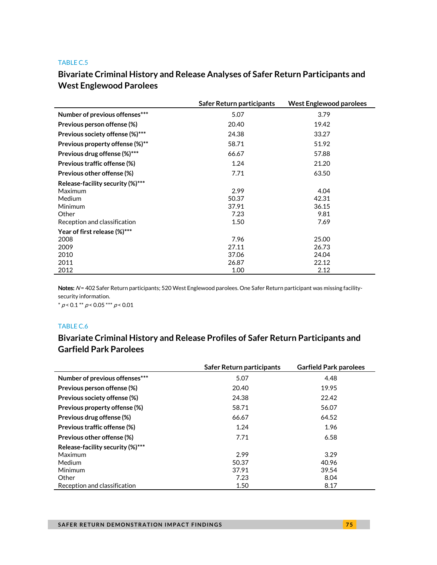## **Bivariate Criminal History and Release Analyses of Safer Return Participants and West Englewood Parolees**

|                                  | Safer Return participants | <b>West Englewood parolees</b> |
|----------------------------------|---------------------------|--------------------------------|
| Number of previous offenses***   | 5.07                      | 3.79                           |
| Previous person offense (%)      | 20.40                     | 19.42                          |
| Previous society offense (%)***  | 24.38                     | 33.27                          |
| Previous property offense (%)**  | 58.71                     | 51.92                          |
| Previous drug offense (%)***     | 66.67                     | 57.88                          |
| Previous traffic offense (%)     | 1.24                      | 21.20                          |
| Previous other offense (%)       | 7.71                      | 63.50                          |
| Release-facility security (%)*** |                           |                                |
| Maximum                          | 2.99                      | 4.04                           |
| <b>Medium</b>                    | 50.37                     | 42.31                          |
| Minimum                          | 37.91                     | 36.15                          |
| Other                            | 7.23                      | 9.81                           |
| Reception and classification     | 1.50                      | 7.69                           |
| Year of first release (%)***     |                           |                                |
| 2008                             | 7.96                      | 25.00                          |
| 2009                             | 27.11                     | 26.73                          |
| 2010                             | 37.06                     | 24.04                          |
| 2011                             | 26.87                     | 22.12                          |
| 2012                             | 1.00                      | 2.12                           |

Notes: N= 402 Safer Return participants; 520 West Englewood parolees. One Safer Return participant was missing facilitysecurity information.

 $* p < 0.1 ** p < 0.05 ** p < 0.01$ 

#### TABLE C.6

### **Bivariate Criminal History and Release Profiles of Safer Return Participants and Garfield Park Parolees**

|                                  | Safer Return participants | <b>Garfield Park parolees</b> |
|----------------------------------|---------------------------|-------------------------------|
| Number of previous offenses***   | 5.07                      | 4.48                          |
| Previous person offense (%)      | 20.40                     | 19.95                         |
| Previous society offense (%)     | 24.38                     | 22.42                         |
| Previous property offense (%)    | 58.71                     | 56.07                         |
| Previous drug offense (%)        | 66.67                     | 64.52                         |
| Previous traffic offense (%)     | 1.24                      | 1.96                          |
| Previous other offense (%)       | 7.71                      | 6.58                          |
| Release-facility security (%)*** |                           |                               |
| Maximum                          | 2.99                      | 3.29                          |
| <b>Medium</b>                    | 50.37                     | 40.96                         |
| Minimum                          | 37.91                     | 39.54                         |
| Other                            | 7.23                      | 8.04                          |
| Reception and classification     | 1.50                      | 8.17                          |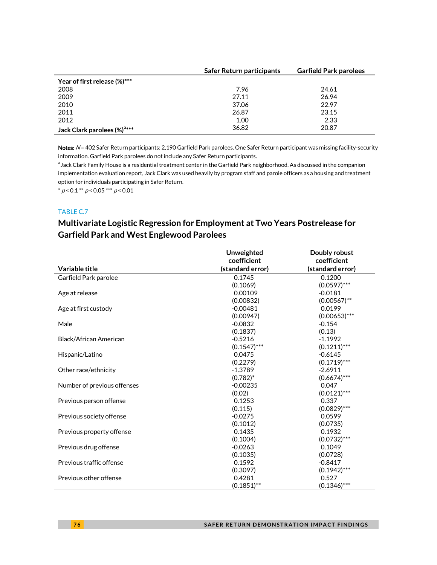|                                         | Safer Return participants | <b>Garfield Park parolees</b> |
|-----------------------------------------|---------------------------|-------------------------------|
| Year of first release (%)***            |                           |                               |
| 2008                                    | 7.96                      | 24.61                         |
| 2009                                    | 27.11                     | 26.94                         |
| 2010                                    | 37.06                     | 22.97                         |
| 2011                                    | 26.87                     | 23.15                         |
| 2012                                    | 1.00                      | 2.33                          |
| Jack Clark parolees (%) <sup>a***</sup> | 36.82                     | 20.87                         |

Notes: N= 402 Safer Return participants; 2,190 Garfield Park parolees. One Safer Return participant was missing facility-security information. Garfield Park parolees do not include any Safer Return participants.

<sup>a</sup> Jack Clark Family House is a residential treatment center in the Garfield Park neighborhood. As discussed in the companion implementation evaluation report, Jack Clark was used heavily by program staff and parole officers as a housing and treatment option for individuals participating in Safer Return.

 $^*$   $\rho$  < 0.1  $^{**}$   $\rho$  < 0.05  $^{***}$   $\rho$  < 0.01

### TABLE C.7

### **Multivariate Logistic Regression for Employment at Two Years Postrelease for Garfield Park and West Englewood Parolees**

|                             | <b>Unweighted</b> | Doubly robust    |
|-----------------------------|-------------------|------------------|
|                             | coefficient       | coefficient      |
| Variable title              | (standard error)  | (standard error) |
| Garfield Park parolee       | 0.1745            | 0.1200           |
|                             | (0.1069)          | $(0.0597)$ ***   |
| Age at release              | 0.00109           | $-0.0181$        |
|                             | (0.00832)         | $(0.00567)$ **   |
| Age at first custody        | $-0.00481$        | 0.0199           |
|                             | (0.00947)         | $(0.00653)$ ***  |
| Male                        | $-0.0832$         | $-0.154$         |
|                             | (0.1837)          | (0.13)           |
| Black/African American      | $-0.5216$         | $-1.1992$        |
|                             | $(0.1547)$ ***    | $(0.1211)$ ***   |
| Hispanic/Latino             | 0.0475            | $-0.6145$        |
|                             | (0.2279)          | $(0.1719)$ ***   |
| Other race/ethnicity        | $-1.3789$         | $-2.6911$        |
|                             | $(0.782)^*$       | $(0.6674)$ ***   |
| Number of previous offenses | $-0.00235$        | 0.047            |
|                             | (0.02)            | $(0.0121)$ ***   |
| Previous person offense     | 0.1253            | 0.337            |
|                             | (0.115)           | $(0.0829)$ ***   |
| Previous society offense    | $-0.0275$         | 0.0599           |
|                             | (0.1012)          | (0.0735)         |
| Previous property offense   | 0.1435            | 0.1932           |
|                             | (0.1004)          | $(0.0732)$ ***   |
| Previous drug offense       | $-0.0263$         | 0.1049           |
|                             | (0.1035)          | (0.0728)         |
| Previous traffic offense    | 0.1592            | $-0.8417$        |
|                             | (0.3097)          | $(0.1942)$ ***   |
| Previous other offense      | 0.4281            | 0.527            |
|                             | $(0.1851)$ **     | $(0.1346)$ ***   |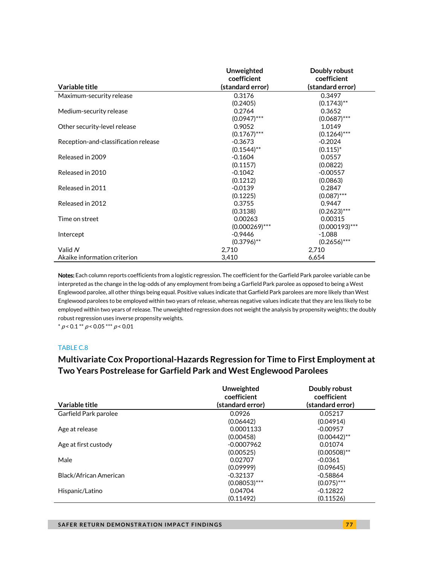|                                      | Unweighted       | Doubly robust    |
|--------------------------------------|------------------|------------------|
|                                      | coefficient      | coefficient      |
| Variable title                       | (standard error) | (standard error) |
| Maximum-security release             | 0.3176           | 0.3497           |
|                                      | (0.2405)         | $(0.1743)$ **    |
| Medium-security release              | 0.2764           | 0.3652           |
|                                      | $(0.0947)$ ***   | $(0.0687)$ ***   |
| Other security-level release         | 0.9052           | 1.0149           |
|                                      | $(0.1767)$ ***   | $(0.1264)$ ***   |
| Reception-and-classification release | $-0.3673$        | $-0.2024$        |
|                                      | $(0.1544)$ **    | $(0.115)^*$      |
| Released in 2009                     | $-0.1604$        | 0.0557           |
|                                      | (0.1157)         | (0.0822)         |
| Released in 2010                     | $-0.1042$        | $-0.00557$       |
|                                      | (0.1212)         | (0.0863)         |
| Released in 2011                     | $-0.0139$        | 0.2847           |
|                                      | (0.1225)         | $(0.087)$ ***    |
| Released in 2012                     | 0.3755           | 0.9447           |
|                                      | (0.3138)         | $(0.2623)$ ***   |
| Time on street                       | 0.00263          | 0.00315          |
|                                      | $(0.000269)$ *** | $(0.000193)$ *** |
| Intercept                            | $-0.9446$        | $-1.088$         |
|                                      | $(0.3796)$ **    | $(0.2656)$ ***   |
| Valid N                              | 2,710            | 2,710            |
| Akaike information criterion         | 3,410            | 6,654            |

Notes: Each column reports coefficients from a logistic regression. The coefficient for the Garfield Park parolee variable can be interpreted as the change in the log-odds of any employment from being a Garfield Park parolee as opposed to being a West Englewood parolee, all other things being equal. Positive values indicate that Garfield Park parolees are more likely than West Englewood parolees to be employed within two years of release, whereas negative values indicate that they are less likely to be employed within two years of release. The unweighted regression does not weight the analysis by propensity weights; the doubly robust regression uses inverse propensity weights.

 $* p < 0.1 ** p < 0.05*** p < 0.01$ 

#### TABLE C.8

### **Multivariate Cox Proportional-Hazards Regression for Time to First Employment at Two Years Postrelease for Garfield Park and West Englewood Parolees**

|                        | Unweighted<br>coefficient | Doubly robust<br>coefficient |
|------------------------|---------------------------|------------------------------|
| Variable title         | (standard error)          | (standard error)             |
| Garfield Park parolee  | 0.0926                    | 0.05217                      |
|                        | (0.06442)                 | (0.04914)                    |
| Age at release         | 0.0001133                 | $-0.00957$                   |
|                        | (0.00458)                 | $(0.00442)$ **               |
| Age at first custody   | $-0.0007962$              | 0.01074                      |
|                        | (0.00525)                 | $(0.00508)$ **               |
| Male                   | 0.02707                   | $-0.0361$                    |
|                        | (0.09999)                 | (0.09645)                    |
| Black/African American | $-0.32137$                | $-0.58864$                   |
|                        | $(0.08053)$ ***           | $(0.075)$ ***                |
| Hispanic/Latino        | 0.04704                   | $-0.12822$                   |
|                        | (0.11492)                 | (0.11526)                    |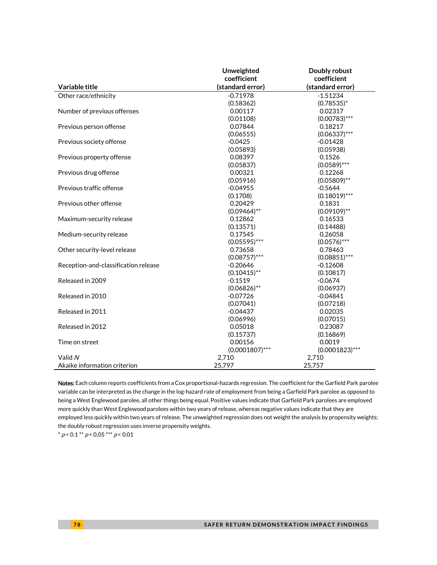|                                      | Unweighted        | Doubly robust     |
|--------------------------------------|-------------------|-------------------|
|                                      | coefficient       | coefficient       |
| Variable title                       | (standard error)  | (standard error)  |
| Other race/ethnicity                 | $-0.71978$        | $-1.51234$        |
|                                      | (0.58362)         | $(0.78535)^*$     |
| Number of previous offenses          | 0.00117           | 0.02317           |
|                                      | (0.01108)         | $(0.00783)$ ***   |
| Previous person offense              | 0.07844           | 0.18217           |
|                                      | (0.06555)         | $(0.06337)$ ***   |
| Previous society offense             | $-0.0425$         | $-0.01428$        |
|                                      | (0.05893)         | (0.05938)         |
| Previous property offense            | 0.08397           | 0.1526            |
|                                      | (0.05837)         | $(0.0589)$ ***    |
| Previous drug offense                | 0.00321           | 0.12268           |
|                                      | (0.05916)         | $(0.05809)$ **    |
| Previous traffic offense             | $-0.04955$        | $-0.5644$         |
|                                      | (0.1708)          | $(0.18019)$ ***   |
| Previous other offense               | 0.20429           | 0.1831            |
|                                      | $(0.09464)$ **    | $(0.09109)$ **    |
| Maximum-security release             | 0.12862           | 0.16533           |
|                                      | (0.13571)         | (0.14488)         |
| Medium-security release              | 0.17545           | 0.26058           |
|                                      | $(0.05595)$ ***   | $(0.0576)$ ***    |
| Other security-level release         | 0.73658           | 0.78463           |
|                                      | $(0.08757)$ ***   | $(0.08851)$ ***   |
| Reception-and-classification release | $-0.20646$        | $-0.12608$        |
|                                      | $(0.10415)$ **    | (0.10817)         |
| Released in 2009                     | $-0.1519$         | $-0.0674$         |
|                                      | $(0.06826)$ **    | (0.06937)         |
| Released in 2010                     | $-0.07726$        | $-0.04841$        |
|                                      | (0.07041)         | (0.07218)         |
| Released in 2011                     | $-0.04437$        | 0.02035           |
|                                      | (0.06996)         | (0.07015)         |
| Released in 2012                     | 0.05018           | 0.23087           |
|                                      | (0.15737)         | (0.16869)         |
| Time on street                       | 0.00156           | 0.0019            |
|                                      | $(0.0001807)$ *** | $(0.0001823)$ *** |
| Valid N                              | 2,710             | 2,710             |
| Akaike information criterion         | 25,797            | 25,757            |

Notes: Each column reports coefficients from a Cox proportional-hazards regression. The coefficient for the Garfield Park parolee variable can be interpreted as the change in the log-hazard rate of employment from being a Garfield Park parolee as opposed to being a West Englewood parolee, all other things being equal. Positive values indicate that Garfield Park parolees are employed more quickly than West Englewood parolees within two years of release, whereas negative values indicate that they are employed less quickly within two years of release. The unweighted regression does not weight the analysis by propensity weights; the doubly robust regression uses inverse propensity weights.

 $* p < 0.1 ** p < 0.05*** p < 0.01$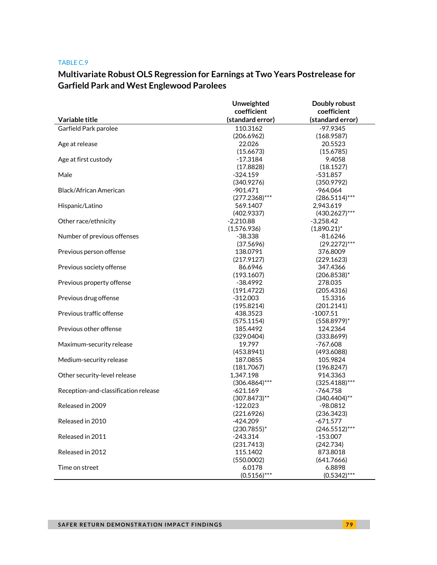# **Multivariate Robust OLS Regression for Earnings at Two Years Postrelease for Garfield Park and West Englewood Parolees**

|                                      | Unweighted       | Doubly robust    |
|--------------------------------------|------------------|------------------|
|                                      | coefficient      | coefficient      |
| Variable title                       | (standard error) | (standard error) |
| Garfield Park parolee                | 110.3162         | $-97.9345$       |
|                                      | (206.6962)       | (168.9587)       |
| Age at release                       | 22.026           | 20.5523          |
|                                      | (15.6673)        | (15.6785)        |
| Age at first custody                 | $-17.3184$       | 9.4058           |
|                                      | (17.8828)        | (18.1527)        |
| Male                                 | $-324.159$       | $-531.857$       |
|                                      | (340.9276)       | (350.9792)       |
| Black/African American               | $-901.471$       | $-964.064$       |
|                                      | $(277.2368)***$  | $(286.5114)***$  |
| Hispanic/Latino                      | 569.1407         | 2,943.619        |
|                                      | (402.9337)       | $(430.2627)***$  |
| Other race/ethnicity                 | $-2,210.88$      | $-3,258.42$      |
|                                      | (1,576.936)      | $(1,890.21)^*$   |
| Number of previous offenses          | $-38.338$        | $-81.6246$       |
|                                      | (37.5696)        | $(29.2272)***$   |
| Previous person offense              | 138.0791         | 376.8009         |
|                                      | (217.9127)       | (229.1623)       |
| Previous society offense             | 86.6946          | 347.4366         |
|                                      | (193.1607)       | $(206.8538)^*$   |
| Previous property offense            | $-38.4992$       | 278.035          |
|                                      | (191.4722)       | (205.4316)       |
| Previous drug offense                | $-312.003$       | 15.3316          |
|                                      | (195.8214)       | (201.2141)       |
| Previous traffic offense             | 438.3523         | $-1007.51$       |
|                                      | (575.1154)       | $(558.8979)^*$   |
| Previous other offense               | 185.4492         | 124.2364         |
|                                      | (329.0404)       | (333.8699)       |
| Maximum-security release             | 19.797           | $-767.608$       |
|                                      | (453.8941)       | (493.6088)       |
| Medium-security release              | 187.0855         | 105.9824         |
|                                      | (181.7067)       | (196.8247)       |
| Other security-level release         | 1,347.198        | 914.3363         |
|                                      | $(306.4864)$ *** | $(325.4188)$ *** |
| Reception-and-classification release | $-621.169$       | $-764.758$       |
|                                      | $(307.8473)$ **  | $(340.4404)$ **  |
| Released in 2009                     | $-122.023$       | $-98.0812$       |
|                                      | (221.6926)       | (236.3423)       |
| Released in 2010                     | $-424.209$       | $-671.577$       |
|                                      | $(230.7855)^*$   | $(246.5512)***$  |
| Released in 2011                     | $-243.314$       | $-153.007$       |
|                                      | (231.7413)       | (242.734)        |
| Released in 2012                     | 115.1402         | 873.8018         |
|                                      | (550.0002)       | (641.7666)       |
| Time on street                       | 6.0178           | 6.8898           |
|                                      | $(0.5156)$ ***   | $(0.5342)$ ***   |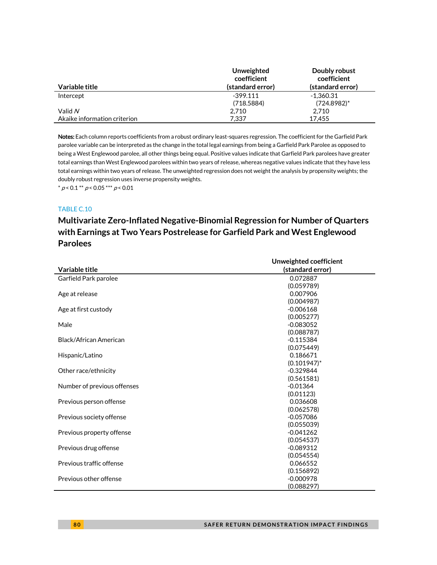|                              | Unweighted<br>coefficient | Doubly robust<br>coefficient |
|------------------------------|---------------------------|------------------------------|
| Variable title               | (standard error)          | (standard error)             |
| Intercept                    | $-399.111$                | -1.360.31                    |
|                              | (718.5884)                | $(724.8982)^*$               |
| Valid N                      | 2.710                     | 2.710                        |
| Akaike information criterion | 7.337                     | 17.455                       |

Notes: Each column reports coefficients from a robust ordinary least-squares regression. The coefficient for the Garfield Park parolee variable can be interpreted as the change in the total legal earnings from being a Garfield Park Parolee as opposed to being a West Englewood parolee, all other things being equal. Positive values indicate that Garfield Park parolees have greater total earnings than West Englewood parolees within two years of release, whereas negative values indicate that they have less total earnings within two years of release. The unweighted regression does not weight the analysis by propensity weights; the doubly robust regression uses inverse propensity weights.

 $* p < 0.1 ** p < 0.05*** p < 0.01$ 

#### TABLE C.10

### **Multivariate Zero-Inflated Negative-Binomial Regression for Number of Quarters with Earnings at Two Years Postrelease for Garfield Park and West Englewood Parolees**

|                             | Unweighted coefficient |
|-----------------------------|------------------------|
| Variable title              | (standard error)       |
| Garfield Park parolee       | 0.072887               |
|                             | (0.059789)             |
| Age at release              | 0.007906               |
|                             | (0.004987)             |
| Age at first custody        | $-0.006168$            |
|                             | (0.005277)             |
| Male                        | $-0.083052$            |
|                             | (0.088787)             |
| Black/African American      | $-0.115384$            |
|                             | (0.075449)             |
| Hispanic/Latino             | 0.186671               |
|                             | $(0.101947)^*$         |
| Other race/ethnicity        | $-0.329844$            |
|                             | (0.561581)             |
| Number of previous offenses | $-0.01364$             |
|                             | (0.01123)              |
| Previous person offense     | 0.036608               |
|                             | (0.062578)             |
| Previous society offense    | $-0.057086$            |
|                             | (0.055039)             |
| Previous property offense   | $-0.041262$            |
|                             | (0.054537)             |
| Previous drug offense       | $-0.089312$            |
|                             | (0.054554)             |
| Previous traffic offense    | 0.066552               |
|                             | (0.156892)             |
| Previous other offense      | $-0.000978$            |
|                             | (0.088297)             |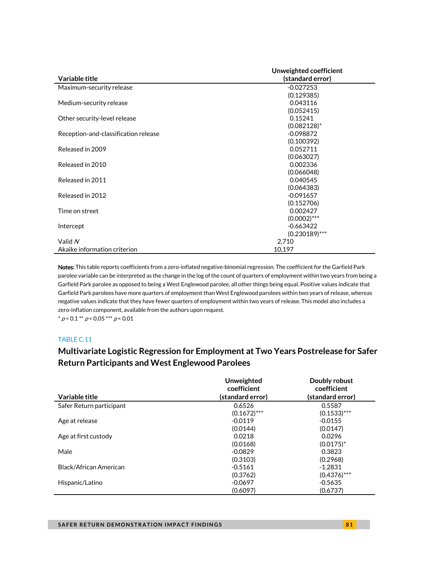|                                      | Unweighted coefficient |
|--------------------------------------|------------------------|
| Variable title                       | (standard error)       |
| Maximum-security release             | $-0.027253$            |
|                                      | (0.129385)             |
| Medium-security release              | 0.043116               |
|                                      | (0.052415)             |
| Other security-level release         | 0.15241                |
|                                      | $(0.082128)^*$         |
| Reception-and-classification release | $-0.098872$            |
|                                      | (0.100392)             |
| Released in 2009                     | 0.052711               |
|                                      | (0.063027)             |
| Released in 2010                     | 0.002336               |
|                                      | (0.066048)             |
| Released in 2011                     | 0.040545               |
|                                      | (0.064383)             |
| Released in 2012                     | $-0.091657$            |
|                                      | (0.152706)             |
| Time on street                       | 0.002427               |
|                                      | $(0.0002)$ ***         |
| Intercept                            | $-0.663422$            |
|                                      | $(0.230189)$ ***       |
| Valid N                              | 2,710                  |
| Akaike information criterion         | 10,197                 |

Notes: This table reports coefficients from a zero-inflated negative-binomial regression. The coefficient for the Garfield Park parolee variable can be interpreted as the change in the log of the count of quarters of employment within two years from being a Garfield Park parolee as opposed to being a West Englewood parolee, all other things being equal. Positive values indicate that Garfield Park parolees have more quarters of employment than West Englewood parolees within two years of release, whereas negative values indicate that they have fewer quarters of employment within two years of release. This model also includes a zero-inflation component, available from the authors upon request.

 $* p < 0.1 ** p < 0.05*** p < 0.01$ 

### TABLE C.11

### **Multivariate Logistic Regression for Employment at Two Years Postrelease for Safer Return Participants and West Englewood Parolees**

|                          | <b>Unweighted</b><br>coefficient | Doubly robust<br>coefficient |
|--------------------------|----------------------------------|------------------------------|
| Variable title           | (standard error)                 | (standard error)             |
| Safer Return participant | 0.6526                           | 0.5587                       |
|                          | $(0.1672)$ ***                   | $(0.1533)$ ***               |
| Age at release           | $-0.0119$                        | $-0.0155$                    |
|                          | (0.0144)                         | (0.0147)                     |
| Age at first custody     | 0.0218                           | 0.0296                       |
|                          | (0.0168)                         | $(0.0175)^*$                 |
| Male                     | $-0.0829$                        | 0.3823                       |
|                          | (0.3103)                         | (0.2968)                     |
| Black/African American   | $-0.5161$                        | $-1.2831$                    |
|                          | (0.3762)                         | $(0.4376)$ ***               |
| Hispanic/Latino          | $-0.0697$                        | $-0.5635$                    |
|                          | (0.6097)                         | (0.6737)                     |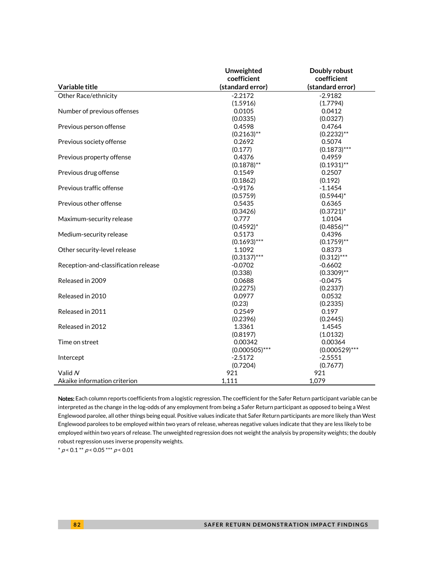|                                      | Unweighted       | Doubly robust    |
|--------------------------------------|------------------|------------------|
|                                      | coefficient      | coefficient      |
| Variable title                       | (standard error) | (standard error) |
| Other Race/ethnicity                 | $-2.2172$        | $-2.9182$        |
|                                      | (1.5916)         | (1.7794)         |
| Number of previous offenses          | 0.0105           | 0.0412           |
|                                      | (0.0335)         | (0.0327)         |
| Previous person offense              | 0.4598           | 0.4764           |
|                                      | $(0.2163)$ **    | $(0.2232)$ **    |
| Previous society offense             | 0.2692           | 0.5074           |
|                                      | (0.177)          | $(0.1873)$ ***   |
| Previous property offense            | 0.4376           | 0.4959           |
|                                      | $(0.1878)$ **    | $(0.1931)$ **    |
| Previous drug offense                | 0.1549           | 0.2507           |
|                                      | (0.1862)         | (0.192)          |
| Previous traffic offense             | $-0.9176$        | $-1.1454$        |
|                                      | (0.5759)         | $(0.5944)^*$     |
| Previous other offense               | 0.5435           | 0.6365           |
|                                      | (0.3426)         | $(0.3721)^*$     |
| Maximum-security release             | 0.777            | 1.0104           |
|                                      | $(0.4592)^*$     | $(0.4856)$ **    |
| Medium-security release              | 0.5173           | 0.4396           |
|                                      | $(0.1693)$ ***   | $(0.1759)$ **    |
| Other security-level release         | 1.1092           | 0.8373           |
|                                      | $(0.3137)$ ***   | $(0.312)$ ***    |
| Reception-and-classification release | $-0.0702$        | $-0.6602$        |
|                                      | (0.338)          | $(0.3309)$ **    |
| Released in 2009                     | 0.0688           | $-0.0475$        |
|                                      | (0.2275)         | (0.2337)         |
| Released in 2010                     | 0.0977           | 0.0532           |
|                                      | (0.23)           | (0.2335)         |
| Released in 2011                     | 0.2549           | 0.197            |
|                                      | (0.2396)         | (0.2445)         |
| Released in 2012                     | 1.3361           | 1.4545           |
|                                      | (0.8197)         | (1.0132)         |
| Time on street                       | 0.00342          | 0.00364          |
|                                      | $(0.000505)$ *** | $(0.000529)$ *** |
| Intercept                            | $-2.5172$        | $-2.5551$        |
|                                      | (0.7204)         | (0.7677)         |
| Valid N                              | 921              | 921              |
| Akaike information criterion         | 1,111            | 1,079            |

Notes: Each column reports coefficients from a logistic regression. The coefficient for the Safer Return participant variable can be interpreted as the change in the log-odds of any employment from being a Safer Return participant as opposed to being a West Englewood parolee, all other things being equal. Positive values indicate that Safer Return participants are more likely than West Englewood parolees to be employed within two years of release, whereas negative values indicate that they are less likely to be employed within two years of release. The unweighted regression does not weight the analysis by propensity weights; the doubly robust regression uses inverse propensity weights.

 $* p < 0.1** p < 0.05** p < 0.01$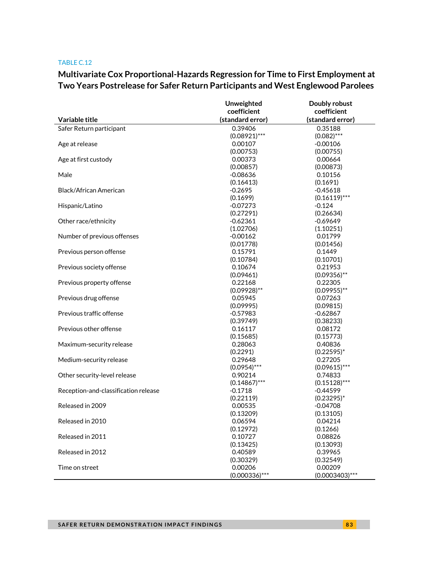### **Multivariate Cox Proportional-Hazards Regression for Time to First Employment at Two Years Postrelease for Safer Return Participants and West Englewood Parolees**

|                                      | Unweighted           | Doubly robust        |
|--------------------------------------|----------------------|----------------------|
|                                      | coefficient          | coefficient          |
| Variable title                       | (standard error)     | (standard error)     |
| Safer Return participant             | 0.39406              | 0.35188              |
|                                      | $(0.08921)$ ***      | $(0.082)$ ***        |
| Age at release                       | 0.00107              | $-0.00106$           |
|                                      | (0.00753)            | (0.00755)            |
| Age at first custody                 | 0.00373              | 0.00664              |
|                                      | (0.00857)            | (0.00873)            |
| Male                                 | $-0.08636$           | 0.10156              |
|                                      | (0.16413)            | (0.1691)             |
| Black/African American               | $-0.2695$            | $-0.45618$           |
|                                      | (0.1699)             | $(0.16119)$ ***      |
| Hispanic/Latino                      | $-0.07273$           | $-0.124$             |
|                                      | (0.27291)            | (0.26634)            |
| Other race/ethnicity                 | $-0.62361$           | $-0.69649$           |
|                                      | (1.02706)            | (1.10251)            |
| Number of previous offenses          | $-0.00162$           | 0.01799              |
|                                      | (0.01778)            | (0.01456)            |
| Previous person offense              | 0.15791              | 0.1449               |
|                                      | (0.10784)            | (0.10701)            |
| Previous society offense             | 0.10674              | 0.21953              |
|                                      | (0.09461)            | $(0.09356)$ **       |
| Previous property offense            | 0.22168              | 0.22305              |
|                                      | $(0.09928)$ **       | $(0.09955)$ **       |
| Previous drug offense                | 0.05945              | 0.07263              |
|                                      | (0.09995)            | (0.09815)            |
| Previous traffic offense             | $-0.57983$           | $-0.62867$           |
|                                      | (0.39749)            | (0.38233)            |
| Previous other offense               | 0.16117              | 0.08172              |
|                                      | (0.15685)            | (0.15773)            |
| Maximum-security release             | 0.28063              | 0.40836              |
|                                      | (0.2291)             | $(0.22595)^*$        |
| Medium-security release              | 0.29648              | 0.27205              |
|                                      | $(0.0954)$ ***       | $(0.09615)$ ***      |
| Other security-level release         | 0.90214              | 0.74833              |
|                                      | $(0.14867)$ ***      | $(0.15128)$ ***      |
| Reception-and-classification release | $-0.1718$            | $-0.44599$           |
|                                      | (0.22119)            | $(0.23295)^*$        |
| Released in 2009                     | 0.00535              | $-0.04708$           |
|                                      | (0.13209)            | (0.13105)            |
| Released in 2010                     |                      |                      |
|                                      | 0.06594              | 0.04214              |
|                                      | (0.12972)<br>0.10727 | (0.1266)             |
| Released in 2011                     | (0.13425)            | 0.08826<br>(0.13093) |
|                                      |                      |                      |
| Released in 2012                     | 0.40589              | 0.39965              |
|                                      | (0.30329)            | (0.32549)            |
| Time on street                       | 0.00206              | 0.00209              |
|                                      | $(0.000336)$ ***     | $(0.0003403)$ ***    |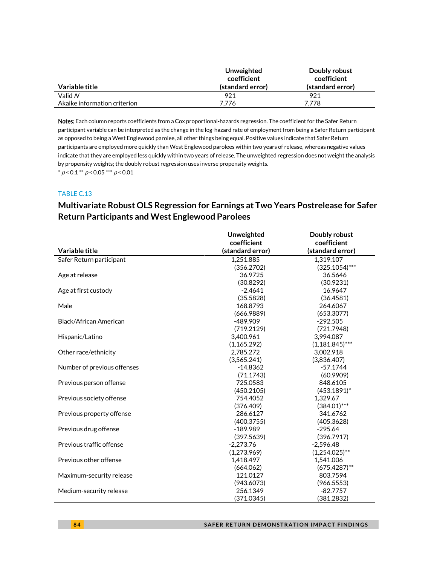|                              | Unweighted<br>coefficient | Doubly robust<br>coefficient |
|------------------------------|---------------------------|------------------------------|
| Variable title               | (standard error)          | (standard error)             |
| Valid N                      | 921                       | 921                          |
| Akaike information criterion | 7.776                     | 7.778                        |

Notes: Each column reports coefficients from a Cox proportional-hazards regression. The coefficient for the Safer Return participant variable can be interpreted as the change in the log-hazard rate of employment from being a Safer Return participant as opposed to being a West Englewood parolee, all other things being equal. Positive values indicate that Safer Return participants are employed more quickly than West Englewood parolees within two years of release, whereas negative values indicate that they are employed less quickly within two years of release. The unweighted regression does not weight the analysis by propensity weights; the doubly robust regression uses inverse propensity weights.  $* p < 0.1 ** p < 0.05*** p < 0.01$ 

### TABLE C.13

# **Multivariate Robust OLS Regression for Earnings at Two Years Postrelease for Safer Return Participants and West Englewood Parolees**

|                             | Unweighted<br>coefficient | Doubly robust<br>coefficient |
|-----------------------------|---------------------------|------------------------------|
| Variable title              | (standard error)          | (standard error)             |
| Safer Return participant    | 1,251.885                 | 1.319.107                    |
|                             | (356.2702)                | $(325.1054)***$              |
| Age at release              | 36.9725                   | 36.5646                      |
|                             | (30.8292)                 | (30.9231)                    |
| Age at first custody        | $-2.4641$                 | 16.9647                      |
|                             | (35.5828)                 | (36.4581)                    |
| Male                        | 168.8793                  | 264.6067                     |
|                             | (666.9889)                | (653.3077)                   |
| Black/African American      | -489.909                  | $-292.505$                   |
|                             | (719.2129)                | (721.7948)                   |
| Hispanic/Latino             | 3.400.961                 | 3.994.087                    |
|                             | (1, 165.292)              | $(1,181.845)$ ***            |
| Other race/ethnicity        | 2,785.272                 | 3,002.918                    |
|                             | (3,565.241)               | (3,836.407)                  |
| Number of previous offenses | $-14.8362$                | $-57.1744$                   |
|                             | (71.1743)                 | (60.9909)                    |
| Previous person offense     | 725.0583                  | 848.6105                     |
|                             | (450.2105)                | $(453.1891)^*$               |
| Previous society offense    | 754.4052                  | 1,329.67                     |
|                             | (376.409)                 | $(384.01)***$                |
| Previous property offense   | 286.6127                  | 341.6762                     |
|                             | (400.3755)                | (405.3628)                   |
| Previous drug offense       | $-189.989$                | $-295.64$                    |
|                             | (397.5639)                | (396.7917)                   |
| Previous traffic offense    | $-2,273.76$               | $-2,596.48$                  |
|                             | (1,273.969)               | $(1,254.025)$ **             |
| Previous other offense      | 1,418.497                 | 1.541.006                    |
|                             | (664.062)                 | $(675.4287)$ **              |
| Maximum-security release    | 121.0127                  | 803.7594                     |
|                             | (943.6073)                | (966.5553)                   |
| Medium-security release     | 256.1349                  | $-82.7757$                   |
|                             | (371.0345)                | (381.2832)                   |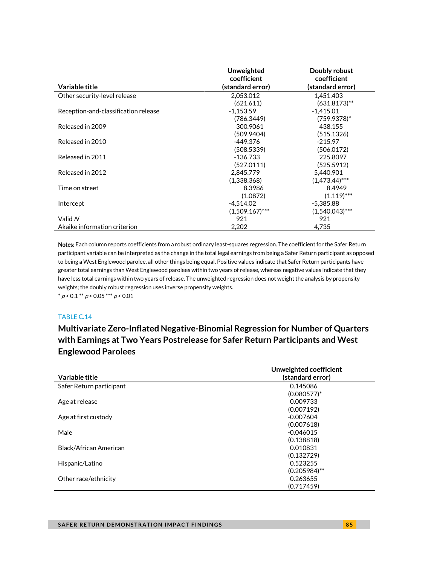|                                      | Unweighted<br>coefficient | Doubly robust<br>coefficient |
|--------------------------------------|---------------------------|------------------------------|
| Variable title                       | (standard error)          | (standard error)             |
| Other security-level release         | 2.053.012                 | 1.451.403                    |
|                                      | (621.611)                 | $(631.8173)$ **              |
| Reception-and-classification release | $-1,153.59$               | $-1.415.01$                  |
|                                      | (786.3449)                | $(759.9378)^*$               |
| Released in 2009                     | 300.9061                  | 438.155                      |
|                                      | (509.9404)                | (515.1326)                   |
| Released in 2010                     | -449.376                  | $-215.97$                    |
|                                      | (508.5339)                | (506.0172)                   |
| Released in 2011                     | $-136.733$                | 225.8097                     |
|                                      | (527.0111)                | (525.5912)                   |
| Released in 2012                     | 2.845.779                 | 5.440.901                    |
|                                      | (1,338.368)               | $(1.473.44)$ ***             |
| Time on street                       | 8.3986                    | 8.4949                       |
|                                      | (1.0872)                  | $(1.119)$ ***                |
| Intercept                            | $-4,514.02$               | $-5.385.88$                  |
|                                      | $(1.509.167)$ ***         | $(1.540.043)$ ***            |
| Valid $N$                            | 921                       | 921                          |
| Akaike information criterion         | 2,202                     | 4,735                        |

Notes: Each column reports coefficients from a robust ordinary least-squares regression. The coefficient for the Safer Return participant variable can be interpreted as the change in the total legal earnings from being a Safer Return participant as opposed to being a West Englewood parolee, all other things being equal. Positive values indicate that Safer Return participants have greater total earnings than West Englewood parolees within two years of release, whereas negative values indicate that they have less total earnings within two years of release. The unweighted regression does not weight the analysis by propensity weights; the doubly robust regression uses inverse propensity weights.  $* p < 0.1 ** p < 0.05*** p < 0.01$ 

#### TABLE C.14

**Multivariate Zero-Inflated Negative-Binomial Regression for Number of Quarters with Earnings at Two Years Postrelease for Safer Return Participants and West Englewood Parolees**

|                          | Unweighted coefficient |
|--------------------------|------------------------|
| Variable title           | (standard error)       |
| Safer Return participant | 0.145086               |
|                          | $(0.080577)^*$         |
| Age at release           | 0.009733               |
|                          | (0.007192)             |
| Age at first custody     | $-0.007604$            |
|                          | (0.007618)             |
| Male                     | $-0.046015$            |
|                          | (0.138818)             |
| Black/African American   | 0.010831               |
|                          | (0.132729)             |
| Hispanic/Latino          | 0.523255               |
|                          | $(0.205984)$ **        |
| Other race/ethnicity     | 0.263655               |
|                          | (0.717459)             |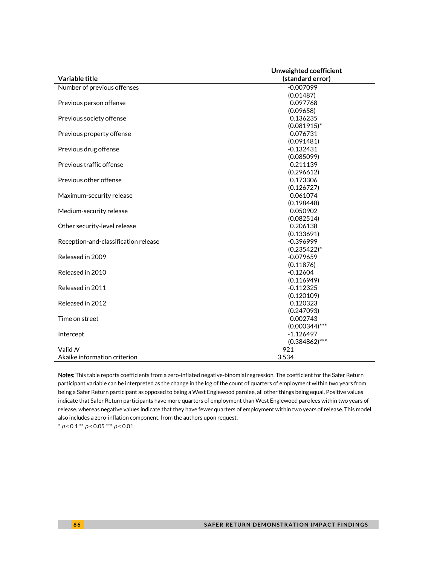|                                      | Unweighted coefficient |
|--------------------------------------|------------------------|
| Variable title                       | (standard error)       |
| Number of previous offenses          | $-0.007099$            |
|                                      | (0.01487)              |
| Previous person offense              | 0.097768               |
|                                      | (0.09658)              |
| Previous society offense             | 0.136235               |
|                                      | $(0.081915)^*$         |
| Previous property offense            | 0.076731               |
|                                      | (0.091481)             |
| Previous drug offense                | $-0.132431$            |
|                                      | (0.085099)             |
| Previous traffic offense             | 0.211139               |
|                                      | (0.296612)             |
| Previous other offense               | 0.173306               |
|                                      | (0.126727)             |
| Maximum-security release             | 0.061074               |
|                                      | (0.198448)             |
| Medium-security release              | 0.050902               |
|                                      | (0.082514)             |
| Other security-level release         | 0.206138               |
|                                      | (0.133691)             |
| Reception-and-classification release | $-0.396999$            |
|                                      | $(0.235422)^*$         |
| Released in 2009                     | $-0.079659$            |
|                                      | (0.11876)              |
| Released in 2010                     | $-0.12604$             |
|                                      | (0.116949)             |
| Released in 2011                     | $-0.112325$            |
|                                      | (0.120109)             |
| Released in 2012                     | 0.120323               |
|                                      | (0.247093)             |
| Time on street                       | 0.002743               |
|                                      | $(0.000344)$ ***       |
| Intercept                            | $-1.126497$            |
|                                      | $(0.384862)$ ***       |
| Valid N                              | 921                    |
| Akaike information criterion         | 3,534                  |

Notes: This table reports coefficients from a zero-inflated negative-binomial regression. The coefficient for the Safer Return participant variable can be interpreted as the change in the log of the count of quarters of employment within two years from being a Safer Return participant as opposed to being a West Englewood parolee, all other things being equal. Positive values indicate that Safer Return participants have more quarters of employment than West Englewood parolees within two years of release, whereas negative values indicate that they have fewer quarters of employment within two years of release. This model also includes a zero-inflation component, from the authors upon request.

 $^*$   $\rho$  < 0.1  $^{**}$   $\rho$  < 0.05  $^{***}$   $\rho$  < 0.01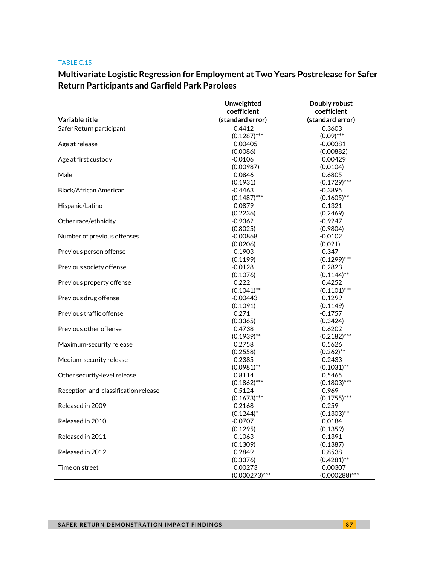# **Multivariate Logistic Regression for Employment at Two Years Postrelease for Safer Return Participants and Garfield Park Parolees**

|                                      | Unweighted            | Doubly robust    |
|--------------------------------------|-----------------------|------------------|
|                                      | coefficient           | coefficient      |
| Variable title                       | (standard error)      | (standard error) |
| Safer Return participant             | 0.4412                | 0.3603           |
|                                      | $(0.1287)$ ***        | $(0.09)$ ***     |
| Age at release                       | 0.00405               | $-0.00381$       |
|                                      | (0.0086)              | (0.00882)        |
| Age at first custody                 | $-0.0106$             | 0.00429          |
|                                      | (0.00987)             | (0.0104)         |
| Male                                 | 0.0846                | 0.6805           |
|                                      | (0.1931)              | $(0.1729)$ ***   |
| Black/African American               | $-0.4463$             | $-0.3895$        |
|                                      | $(0.1487)$ ***        | $(0.1605)$ **    |
| Hispanic/Latino                      | 0.0879                | 0.1321           |
|                                      | (0.2236)              | (0.2469)         |
| Other race/ethnicity                 | $-0.9362$             | $-0.9247$        |
|                                      | (0.8025)              | (0.9804)         |
| Number of previous offenses          | $-0.00868$            | $-0.0102$        |
|                                      | (0.0206)              | (0.021)          |
| Previous person offense              | 0.1903                | 0.347            |
|                                      | (0.1199)              | $(0.1299)$ ***   |
| Previous society offense             | $-0.0128$             | 0.2823           |
|                                      | (0.1076)              | $(0.1144)$ **    |
| Previous property offense            | 0.222                 | 0.4252           |
|                                      | $(0.1041)$ **         | $(0.1101)$ ***   |
| Previous drug offense                | $-0.00443$            | 0.1299           |
|                                      | (0.1091)              | (0.1149)         |
| Previous traffic offense             | 0.271                 | $-0.1757$        |
|                                      | (0.3365)              | (0.3424)         |
| Previous other offense               | 0.4738                | 0.6202           |
|                                      | $(0.1939)$ **         | $(0.2182)$ ***   |
| Maximum-security release             | 0.2758                | 0.5626           |
|                                      | (0.2558)              | $(0.262)$ **     |
| Medium-security release              | 0.2385                | 0.2433           |
|                                      | $(0.0981)$ **         | $(0.1031)$ **    |
| Other security-level release         | 0.8114                | 0.5465           |
|                                      | $(0.1862)$ ***        | $(0.1803)$ ***   |
| Reception-and-classification release | $-0.5124$             | $-0.969$         |
|                                      | $(0.1673)$ ***        | $(0.1755)$ ***   |
| Released in 2009                     | $-0.2168$             | $-0.259$         |
|                                      | $(0.1244)^*$          | $(0.1303)$ **    |
| Released in 2010                     |                       |                  |
|                                      | $-0.0707$             | 0.0184           |
| Released in 2011                     | (0.1295)<br>$-0.1063$ | (0.1359)         |
|                                      |                       | $-0.1391$        |
|                                      | (0.1309)              | (0.1387)         |
| Released in 2012                     | 0.2849                | 0.8538           |
|                                      | (0.3376)              | $(0.4281)$ **    |
| Time on street                       | 0.00273               | 0.00307          |
|                                      | $(0.000273)$ ***      | $(0.000288)$ *** |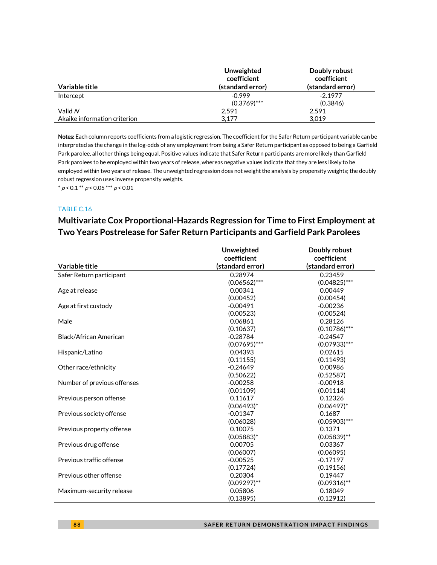|                              | Unweighted<br>coefficient | Doubly robust<br>coefficient |
|------------------------------|---------------------------|------------------------------|
| Variable title               | (standard error)          | (standard error)             |
| Intercept                    | $-0.999$                  | $-2.1977$                    |
|                              | $(0.3769)$ ***            | (0.3846)                     |
| Valid N                      | 2.591                     | 2.591                        |
| Akaike information criterion | 3.177                     | 3.019                        |

Notes: Each column reports coefficients from a logistic regression. The coefficient for the Safer Return participant variable can be interpreted as the change in the log-odds of any employment from being a Safer Return participant as opposed to being a Garfield Park parolee, all other things being equal. Positive values indicate that Safer Return participants are more likely than Garfield Park parolees to be employed within two years of release, whereas negative values indicate that they are less likely to be employed within two years of release. The unweighted regression does not weight the analysis by propensity weights; the doubly robust regression uses inverse propensity weights.

 $^*$   $\rho$  < 0.1  $^{**}$   $\rho$  < 0.05  $^{***}$   $\rho$  < 0.01

#### TABLE C.16

### **Multivariate Cox Proportional-Hazards Regression for Time to First Employment at Two Years Postrelease for Safer Return Participants and Garfield Park Parolees**

|                             | Unweighted       | Doubly robust    |
|-----------------------------|------------------|------------------|
|                             | coefficient      | coefficient      |
| Variable title              | (standard error) | (standard error) |
| Safer Return participant    | 0.28974          | 0.23459          |
|                             | $(0.06562)$ ***  | $(0.04825)$ ***  |
| Age at release              | 0.00341          | 0.00449          |
|                             | (0.00452)        | (0.00454)        |
| Age at first custody        | $-0.00491$       | $-0.00236$       |
|                             | (0.00523)        | (0.00524)        |
| Male                        | 0.06861          | 0.28126          |
|                             | (0.10637)        | $(0.10786)$ ***  |
| Black/African American      | $-0.28784$       | $-0.24547$       |
|                             | $(0.07695)$ ***  | $(0.07933)$ ***  |
| Hispanic/Latino             | 0.04393          | 0.02615          |
|                             | (0.11155)        | (0.11493)        |
| Other race/ethnicity        | $-0.24649$       | 0.00986          |
|                             | (0.50622)        | (0.52587)        |
| Number of previous offenses | $-0.00258$       | $-0.00918$       |
|                             | (0.01109)        | (0.01114)        |
| Previous person offense     | 0.11617          | 0.12326          |
|                             | $(0.06493)^{*}$  | $(0.06497)^*$    |
| Previous society offense    | $-0.01347$       | 0.1687           |
|                             | (0.06028)        | $(0.05903)$ ***  |
| Previous property offense   | 0.10075          | 0.1371           |
|                             | $(0.05883)^*$    | $(0.05839)$ **   |
| Previous drug offense       | 0.00705          | 0.03367          |
|                             | (0.06007)        | (0.06095)        |
| Previous traffic offense    | $-0.00525$       | $-0.17197$       |
|                             | (0.17724)        | (0.19156)        |
| Previous other offense      | 0.20304          | 0.19447          |
|                             | $(0.09297)$ **   | $(0.09316)$ **   |
| Maximum-security release    | 0.05806          | 0.18049          |
|                             | (0.13895)        | (0.12912)        |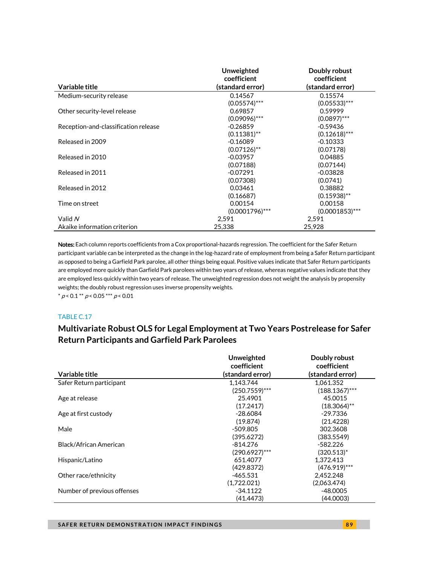|                                      | Unweighted        | Doubly robust     |
|--------------------------------------|-------------------|-------------------|
|                                      | coefficient       | coefficient       |
| Variable title                       | (standard error)  | (standard error)  |
| Medium-security release              | 0.14567           | 0.15574           |
|                                      | $(0.05574)$ ***   | $(0.05533)***$    |
| Other security-level release         | 0.69857           | 0.59999           |
|                                      | $(0.09096)$ ***   | $(0.0897)$ ***    |
| Reception-and-classification release | $-0.26859$        | $-0.59436$        |
|                                      | $(0.11381)$ **    | $(0.12618)$ ***   |
| Released in 2009                     | $-0.16089$        | $-0.10333$        |
|                                      | $(0.07126)$ **    | (0.07178)         |
| Released in 2010                     | $-0.03957$        | 0.04885           |
|                                      | (0.07188)         | (0.07144)         |
| Released in 2011                     | $-0.07291$        | $-0.03828$        |
|                                      | (0.07308)         | (0.0741)          |
| Released in 2012                     | 0.03461           | 0.38882           |
|                                      | (0.16687)         | $(0.15938)$ **    |
| Time on street                       | 0.00154           | 0.00158           |
|                                      | $(0.0001796)$ *** | $(0.0001853)$ *** |
| Valid $N$                            | 2,591             | 2,591             |
| Akaike information criterion         | 25.338            | 25.928            |

Notes: Each column reports coefficients from a Cox proportional-hazards regression. The coefficient for the Safer Return participant variable can be interpreted as the change in the log-hazard rate of employment from being a Safer Return participant as opposed to being a Garfield Park parolee, all other things being equal. Positive values indicate that Safer Return participants are employed more quickly than Garfield Park parolees within two years of release, whereas negative values indicate that they are employed less quickly within two years of release. The unweighted regression does not weight the analysis by propensity weights; the doubly robust regression uses inverse propensity weights.  $* p < 0.1 ** p < 0.05*** p < 0.01$ 

#### TABLE C.17

### **Multivariate Robust OLS for Legal Employment at Two Years Postrelease for Safer Return Participants and Garfield Park Parolees**

|                             | Unweighted       | Doubly robust    |  |
|-----------------------------|------------------|------------------|--|
|                             | coefficient      | coefficient      |  |
| Variable title              | (standard error) | (standard error) |  |
| Safer Return participant    | 1.143.744        | 1.061.352        |  |
|                             | $(250.7559)$ *** | $(188.1367)$ *** |  |
| Age at release              | 25.4901          | 45.0015          |  |
|                             | (17.2417)        | $(18.3064)$ **   |  |
| Age at first custody        | $-28.6084$       | $-29.7336$       |  |
|                             | (19.874)         | (21.4228)        |  |
| Male                        | $-509.805$       | 302.3608         |  |
|                             | (395.6272)       | (383.5549)       |  |
| Black/African American      | $-814.276$       | $-582.226$       |  |
|                             | $(290.6927)$ *** | (320.513)*       |  |
| Hispanic/Latino             | 651.4077         | 1.372.413        |  |
|                             | (429.8372)       | $(476.919)***$   |  |
| Other race/ethnicity        | $-465.531$       | 2,452.248        |  |
|                             | (1.722.021)      | (2.063.474)      |  |
| Number of previous offenses | -34.1122         | -48.0005         |  |
|                             | (41.4473)        | (44.0003)        |  |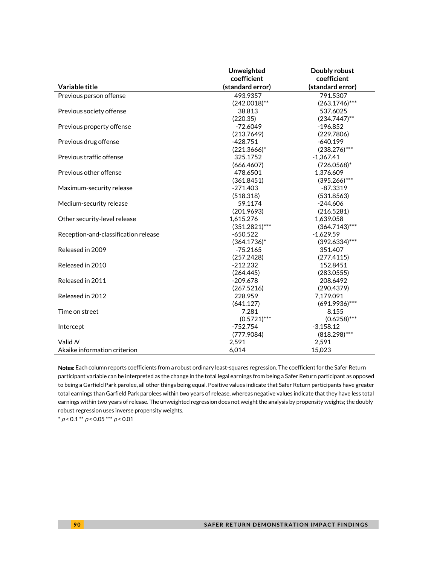|                                      | Unweighted       | Doubly robust    |
|--------------------------------------|------------------|------------------|
|                                      | coefficient      | coefficient      |
| Variable title                       | (standard error) | (standard error) |
| Previous person offense              | 493.9357         | 791.5307         |
|                                      | $(242.0018)$ **  | $(263.1746)$ *** |
| Previous society offense             | 38.813           | 537.6025         |
|                                      | (220.35)         | $(234.7447)$ **  |
| Previous property offense            | $-72.6049$       | $-196.852$       |
|                                      | (213.7649)       | (229.7806)       |
| Previous drug offense                | $-428.751$       | $-640.199$       |
|                                      | $(221.3666)^*$   | $(238.276)$ ***  |
| Previous traffic offense             | 325.1752         | $-1.367.41$      |
|                                      | (666.4607)       | $(726.0568)^*$   |
| Previous other offense               | 478.6501         | 1,376.609        |
|                                      | (361.8451)       | $(395.266)$ ***  |
| Maximum-security release             | $-271.403$       | $-87.3319$       |
|                                      | (518.318)        | (531.8563)       |
| Medium-security release              | 59.1174          | $-244.606$       |
|                                      | (201.9693)       | (216.5281)       |
| Other security-level release         | 1,615.276        | 1,639.058        |
|                                      | $(351.2821)***$  | $(364.7143)***$  |
| Reception-and-classification release | $-650.522$       | $-1,629.59$      |
|                                      | $(364.1736)^*$   | $(392.6334)***$  |
| Released in 2009                     | $-75.2165$       | 351.407          |
|                                      | (257.2428)       | (277.4115)       |
| Released in 2010                     | $-212.232$       | 152.8451         |
|                                      | (264.445)        | (283.0555)       |
| Released in 2011                     | $-209.678$       | 208.6492         |
|                                      | (267.5216)       | (290.4379)       |
| Released in 2012                     | 228.959          | 7,179.091        |
|                                      | (641.127)        | $(691.9936)***$  |
| Time on street                       | 7.281            | 8.155            |
|                                      | $(0.5721)$ ***   | $(0.6258)$ ***   |
| Intercept                            | $-752.754$       | $-3,158.12$      |
|                                      | (777.9084)       | $(818.298)***$   |
| Valid N                              | 2,591            | 2,591            |
| Akaike information criterion         | 6,014            | 15.023           |

Notes: Each column reports coefficients from a robust ordinary least-squares regression. The coefficient for the Safer Return participant variable can be interpreted as the change in the total legal earnings from being a Safer Return participant as opposed to being a Garfield Park parolee, all other things being equal. Positive values indicate that Safer Return participants have greater total earnings than Garfield Park parolees within two years of release, whereas negative values indicate that they have less total earnings within two years of release. The unweighted regression does not weight the analysis by propensity weights; the doubly robust regression uses inverse propensity weights.

 $* p < 0.1 ** p < 0.05 ** p < 0.01$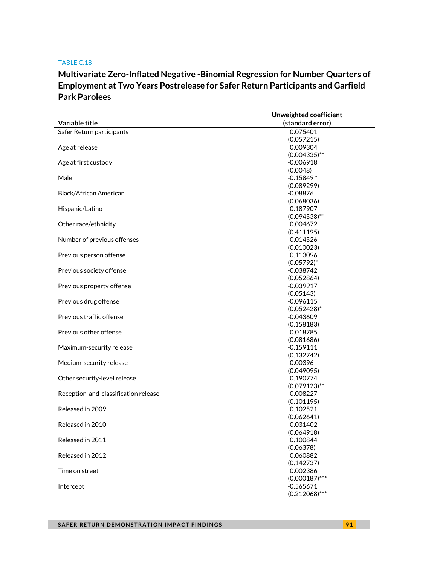### **Multivariate Zero-Inflated Negative -Binomial Regression for Number Quarters of Employment at Two Years Postrelease for Safer Return Participants and Garfield Park Parolees**

|                                      | Unweighted coefficient |
|--------------------------------------|------------------------|
| Variable title                       | (standard error)       |
| Safer Return participants            | 0.075401               |
|                                      | (0.057215)             |
| Age at release                       | 0.009304               |
|                                      | $(0.004335)$ **        |
| Age at first custody                 | $-0.006918$            |
|                                      | (0.0048)               |
| Male                                 | $-0.15849*$            |
|                                      | (0.089299)             |
| Black/African American               | $-0.08876$             |
|                                      | (0.068036)             |
| Hispanic/Latino                      | 0.187907               |
|                                      | $(0.094538)$ **        |
| Other race/ethnicity                 | 0.004672               |
|                                      | (0.411195)             |
| Number of previous offenses          | $-0.014526$            |
|                                      | (0.010023)             |
| Previous person offense              | 0.113096               |
|                                      | $(0.05792)^*$          |
| Previous society offense             | $-0.038742$            |
|                                      | (0.052864)             |
| Previous property offense            | $-0.039917$            |
|                                      | (0.05143)              |
| Previous drug offense                | $-0.096115$            |
|                                      | $(0.052428)^*$         |
| Previous traffic offense             | $-0.043609$            |
|                                      | (0.158183)             |
| Previous other offense               | 0.018785               |
|                                      | (0.081686)             |
| Maximum-security release             | $-0.159111$            |
|                                      | (0.132742)             |
| Medium-security release              | 0.00396                |
|                                      | (0.049095)             |
| Other security-level release         | 0.190774               |
|                                      | $(0.079123)$ **        |
| Reception-and-classification release | $-0.008227$            |
|                                      | (0.101195)             |
| Released in 2009                     | 0.102521               |
|                                      | (0.062641)             |
| Released in 2010                     | 0.031402               |
|                                      | (0.064918)             |
| Released in 2011                     | 0.100844               |
| Released in 2012                     | (0.06378)<br>0.060882  |
|                                      |                        |
|                                      | (0.142737)<br>0.002386 |
| Time on street                       | $(0.000187)$ ***       |
| Intercept                            | $-0.565671$            |
|                                      | $(0.212068)$ ***       |
|                                      |                        |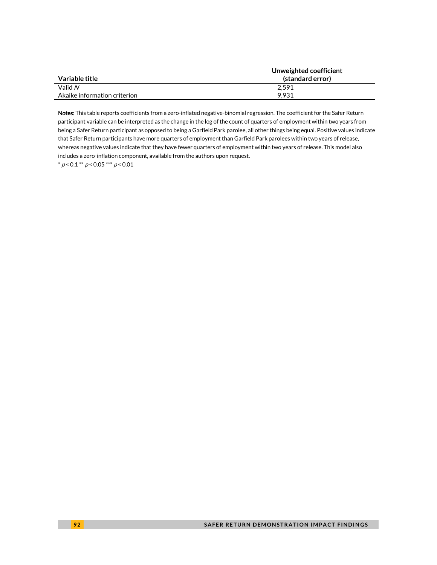|                              | Unweighted coefficient |
|------------------------------|------------------------|
| Variable title               | (standard error)       |
| Valid $N$                    | 2.591                  |
| Akaike information criterion | 9.931                  |

Notes: This table reports coefficients from a zero-inflated negative-binomial regression. The coefficient for the Safer Return participant variable can be interpreted as the change in the log of the count of quarters of employment within two years from being a Safer Return participant as opposed to being a Garfield Park parolee, all other things being equal. Positive values indicate that Safer Return participants have more quarters of employment than Garfield Park parolees within two years of release, whereas negative values indicate that they have fewer quarters of employment within two years of release. This model also includes a zero-inflation component, available from the authors upon request.

 $^*$   $\rho$  < 0.1  $^{**}$   $\rho$  < 0.05  $^{***}$   $\rho$  < 0.01